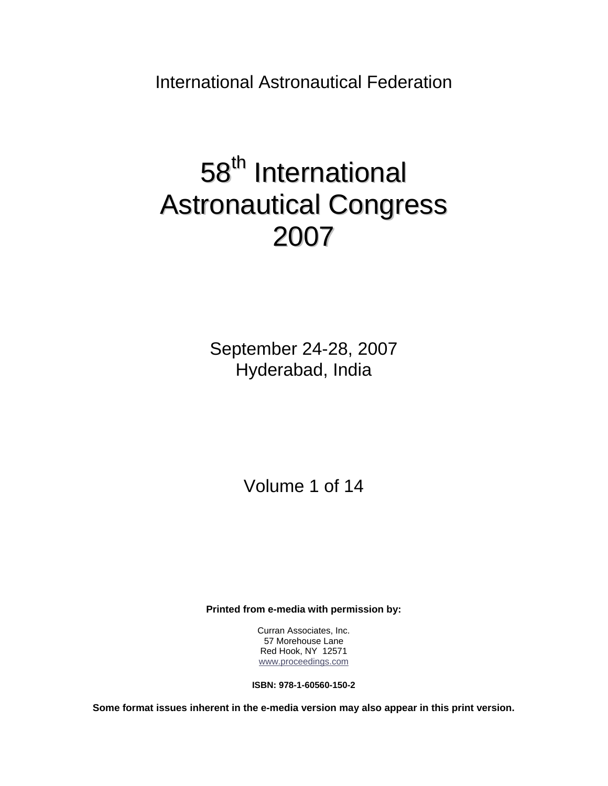International Astronautical Federation

# 58<sup>th</sup> International Astronautical Congress 2007

September 24-28, 2007 Hyderabad, India

Volume 1 of 14

**Printed from e-media with permission by:** 

Curran Associates, Inc. 57 Morehouse Lane Red Hook, NY 12571 [www.proceedings.com](http://www.proceedings.com/)

**ISBN: 978-1-60560-150-2** 

**Some format issues inherent in the e-media version may also appear in this print version.**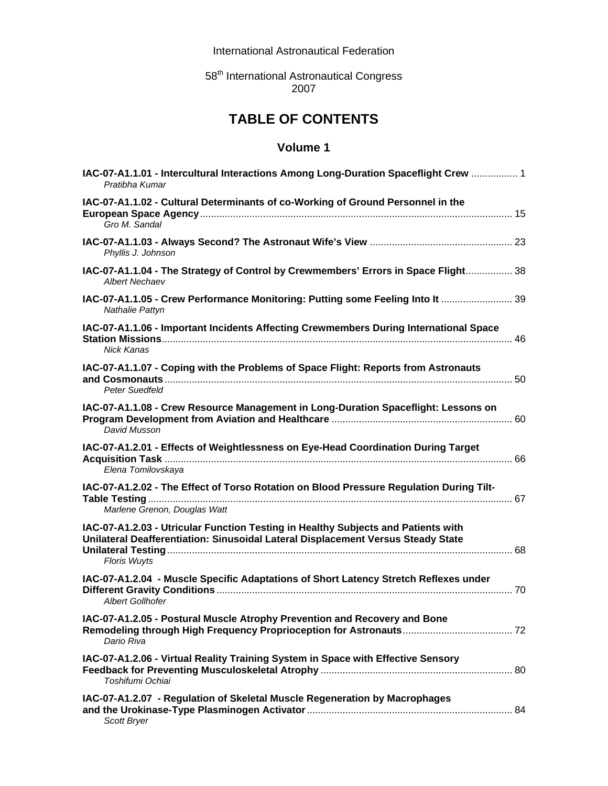International Astronautical Federation

58<sup>th</sup> International Astronautical Congress 2007

## **TABLE OF CONTENTS**

| IAC-07-A1.1.01 - Intercultural Interactions Among Long-Duration Spaceflight Crew  1<br>Pratibha Kumar                                                                                        |  |
|----------------------------------------------------------------------------------------------------------------------------------------------------------------------------------------------|--|
| IAC-07-A1.1.02 - Cultural Determinants of co-Working of Ground Personnel in the<br>Gro M. Sandal                                                                                             |  |
| Phyllis J. Johnson                                                                                                                                                                           |  |
| IAC-07-A1.1.04 - The Strategy of Control by Crewmembers' Errors in Space Flight 38<br><b>Albert Nechaev</b>                                                                                  |  |
| IAC-07-A1.1.05 - Crew Performance Monitoring: Putting some Feeling Into It  39<br>Nathalie Pattyn                                                                                            |  |
| IAC-07-A1.1.06 - Important Incidents Affecting Crewmembers During International Space<br><b>Nick Kanas</b>                                                                                   |  |
| IAC-07-A1.1.07 - Coping with the Problems of Space Flight: Reports from Astronauts<br><b>Peter Suedfeld</b>                                                                                  |  |
| IAC-07-A1.1.08 - Crew Resource Management in Long-Duration Spaceflight: Lessons on<br>David Musson                                                                                           |  |
| IAC-07-A1.2.01 - Effects of Weightlessness on Eye-Head Coordination During Target<br>Elena Tomilovskaya                                                                                      |  |
| IAC-07-A1.2.02 - The Effect of Torso Rotation on Blood Pressure Regulation During Tilt-<br>Marlene Grenon, Douglas Watt                                                                      |  |
| IAC-07-A1.2.03 - Utricular Function Testing in Healthy Subjects and Patients with<br>Unilateral Deafferentiation: Sinusoidal Lateral Displacement Versus Steady State<br><b>Floris Wuyts</b> |  |
| IAC-07-A1.2.04 - Muscle Specific Adaptations of Short Latency Stretch Reflexes under<br><b>Albert Gollhofer</b>                                                                              |  |
| IAC-07-A1.2.05 - Postural Muscle Atrophy Prevention and Recovery and Bone<br>Dario Riva                                                                                                      |  |
| IAC-07-A1.2.06 - Virtual Reality Training System in Space with Effective Sensory<br>Toshifumi Ochiai                                                                                         |  |
| IAC-07-A1.2.07 - Regulation of Skeletal Muscle Regeneration by Macrophages<br>Scott Bryer                                                                                                    |  |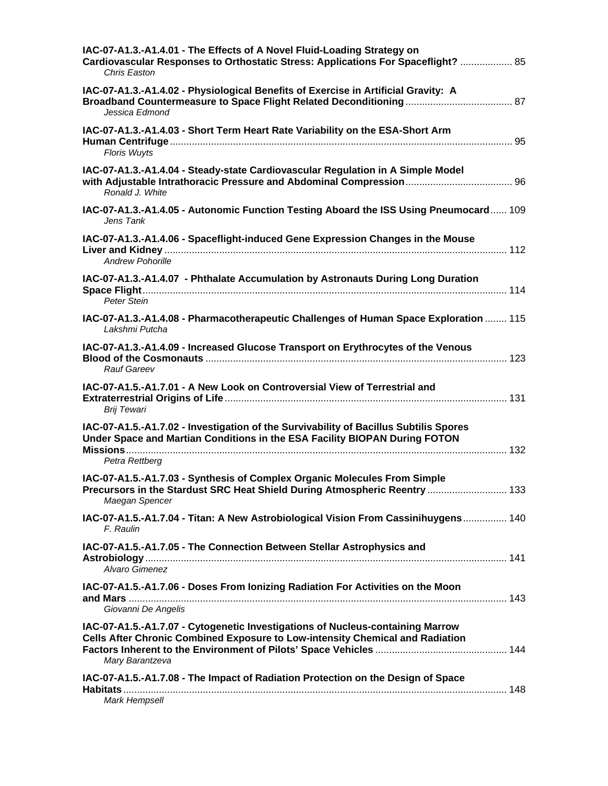| IAC-07-A1.3.-A1.4.01 - The Effects of A Novel Fluid-Loading Strategy on<br>Cardiovascular Responses to Orthostatic Stress: Applications For Spaceflight?  85<br>Chris Easton          |
|---------------------------------------------------------------------------------------------------------------------------------------------------------------------------------------|
| IAC-07-A1.3.-A1.4.02 - Physiological Benefits of Exercise in Artificial Gravity: A<br>Jessica Edmond                                                                                  |
| IAC-07-A1.3.-A1.4.03 - Short Term Heart Rate Variability on the ESA-Short Arm<br><b>Floris Wuyts</b>                                                                                  |
| IAC-07-A1.3.-A1.4.04 - Steady-state Cardiovascular Regulation in A Simple Model<br>Ronald J. White                                                                                    |
| IAC-07-A1.3.-A1.4.05 - Autonomic Function Testing Aboard the ISS Using Pneumocard 109<br>Jens Tank                                                                                    |
| IAC-07-A1.3.-A1.4.06 - Spaceflight-induced Gene Expression Changes in the Mouse<br><b>Andrew Pohorille</b>                                                                            |
| IAC-07-A1.3.-A1.4.07 - Phthalate Accumulation by Astronauts During Long Duration<br>Peter Stein                                                                                       |
| IAC-07-A1.3.-A1.4.08 - Pharmacotherapeutic Challenges of Human Space Exploration  115<br>Lakshmi Putcha                                                                               |
| IAC-07-A1.3.-A1.4.09 - Increased Glucose Transport on Erythrocytes of the Venous<br>Rauf Gareev                                                                                       |
| IAC-07-A1.5.-A1.7.01 - A New Look on Controversial View of Terrestrial and<br><b>Brij Tewari</b>                                                                                      |
| IAC-07-A1.5.-A1.7.02 - Investigation of the Survivability of Bacillus Subtilis Spores<br>Under Space and Martian Conditions in the ESA Facility BIOPAN During FOTON<br>Petra Rettberg |
| IAC-07-A1.5.-A1.7.03 - Synthesis of Complex Organic Molecules From Simple<br>Precursors in the Stardust SRC Heat Shield During Atmospheric Reentry  133<br>Maegan Spencer             |
| IAC-07-A1.5.-A1.7.04 - Titan: A New Astrobiological Vision From Cassinihuygens 140<br>F. Raulin                                                                                       |
| IAC-07-A1.5.-A1.7.05 - The Connection Between Stellar Astrophysics and<br>Alvaro Gimenez                                                                                              |
| IAC-07-A1.5.-A1.7.06 - Doses From Ionizing Radiation For Activities on the Moon<br>Giovanni De Angelis                                                                                |
| IAC-07-A1.5.-A1.7.07 - Cytogenetic Investigations of Nucleus-containing Marrow                                                                                                        |
| Cells After Chronic Combined Exposure to Low-intensity Chemical and Radiation<br>Mary Barantzeva                                                                                      |
| IAC-07-A1.5.-A1.7.08 - The Impact of Radiation Protection on the Design of Space<br>Mark Hempsell                                                                                     |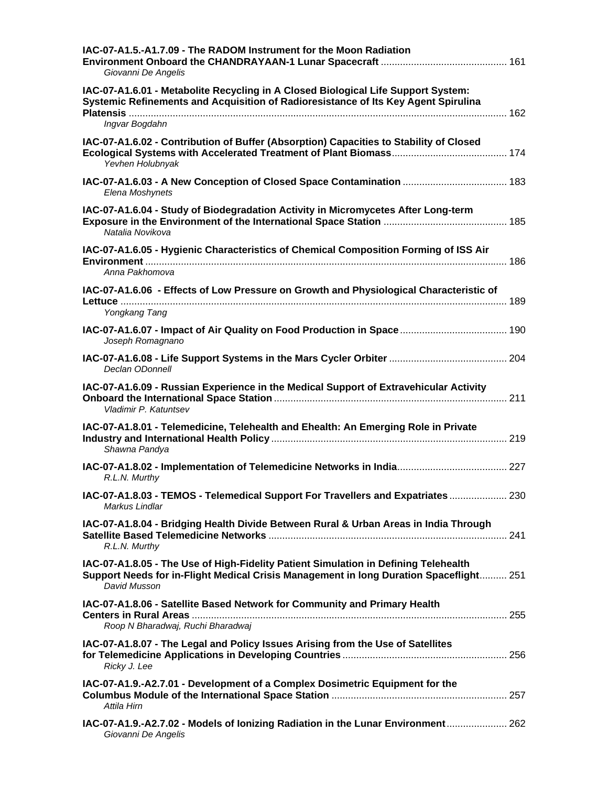| IAC-07-A1.5.-A1.7.09 - The RADOM Instrument for the Moon Radiation<br>Giovanni De Angelis                                                                                                     |  |
|-----------------------------------------------------------------------------------------------------------------------------------------------------------------------------------------------|--|
| IAC-07-A1.6.01 - Metabolite Recycling in A Closed Biological Life Support System:<br>Systemic Refinements and Acquisition of Radioresistance of Its Key Agent Spirulina<br>Ingvar Bogdahn     |  |
| IAC-07-A1.6.02 - Contribution of Buffer (Absorption) Capacities to Stability of Closed<br>Yevhen Holubnyak                                                                                    |  |
| Elena Moshynets                                                                                                                                                                               |  |
| IAC-07-A1.6.04 - Study of Biodegradation Activity in Micromycetes After Long-term<br>Natalia Novikova                                                                                         |  |
| IAC-07-A1.6.05 - Hygienic Characteristics of Chemical Composition Forming of ISS Air<br>Anna Pakhomova                                                                                        |  |
| IAC-07-A1.6.06 - Effects of Low Pressure on Growth and Physiological Characteristic of<br>Yongkang Tang                                                                                       |  |
| Joseph Romagnano                                                                                                                                                                              |  |
| Declan ODonnell                                                                                                                                                                               |  |
| IAC-07-A1.6.09 - Russian Experience in the Medical Support of Extravehicular Activity<br>Vladimir P. Katuntsev                                                                                |  |
| IAC-07-A1.8.01 - Telemedicine, Telehealth and Ehealth: An Emerging Role in Private<br>Shawna Pandya                                                                                           |  |
| R.L.N. Murthy                                                                                                                                                                                 |  |
| IAC-07-A1.8.03 - TEMOS - Telemedical Support For Travellers and Expatriates  230<br>Markus Lindlar                                                                                            |  |
| IAC-07-A1.8.04 - Bridging Health Divide Between Rural & Urban Areas in India Through<br>R.L.N. Murthy                                                                                         |  |
| IAC-07-A1.8.05 - The Use of High-Fidelity Patient Simulation in Defining Telehealth<br>Support Needs for in-Flight Medical Crisis Management in long Duration Spaceflight 251<br>David Musson |  |
| IAC-07-A1.8.06 - Satellite Based Network for Community and Primary Health<br>Roop N Bharadwaj, Ruchi Bharadwaj                                                                                |  |
| IAC-07-A1.8.07 - The Legal and Policy Issues Arising from the Use of Satellites<br>Ricky J. Lee                                                                                               |  |
| IAC-07-A1.9.-A2.7.01 - Development of a Complex Dosimetric Equipment for the<br>Attila Hirn                                                                                                   |  |
| IAC-07-A1.9.-A2.7.02 - Models of Ionizing Radiation in the Lunar Environment  262<br>Giovanni De Angelis                                                                                      |  |
|                                                                                                                                                                                               |  |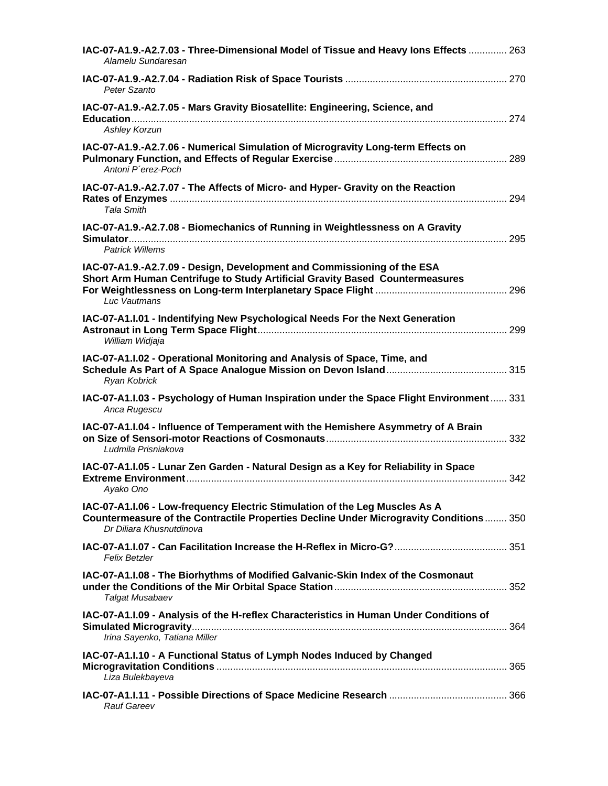| IAC-07-A1.9.-A2.7.03 - Three-Dimensional Model of Tissue and Heavy lons Effects  263<br>Alamelu Sundaresan                                                                                        |  |
|---------------------------------------------------------------------------------------------------------------------------------------------------------------------------------------------------|--|
| Peter Szanto                                                                                                                                                                                      |  |
| IAC-07-A1.9.-A2.7.05 - Mars Gravity Biosatellite: Engineering, Science, and<br><b>Ashley Korzun</b>                                                                                               |  |
| IAC-07-A1.9.-A2.7.06 - Numerical Simulation of Microgravity Long-term Effects on<br>Antoni P'erez-Poch                                                                                            |  |
| IAC-07-A1.9.-A2.7.07 - The Affects of Micro- and Hyper- Gravity on the Reaction<br><b>Tala Smith</b>                                                                                              |  |
| IAC-07-A1.9.-A2.7.08 - Biomechanics of Running in Weightlessness on A Gravity<br><b>Patrick Willems</b>                                                                                           |  |
| IAC-07-A1.9.-A2.7.09 - Design, Development and Commissioning of the ESA<br>Short Arm Human Centrifuge to Study Artificial Gravity Based Countermeasures<br>Luc Vautmans                           |  |
| IAC-07-A1.I.01 - Indentifying New Psychological Needs For the Next Generation<br>William Widjaja                                                                                                  |  |
| IAC-07-A1.I.02 - Operational Monitoring and Analysis of Space, Time, and<br>Ryan Kobrick                                                                                                          |  |
| IAC-07-A1.I.03 - Psychology of Human Inspiration under the Space Flight Environment 331<br>Anca Rugescu                                                                                           |  |
| IAC-07-A1.I.04 - Influence of Temperament with the Hemishere Asymmetry of A Brain<br>Ludmila Prisniakova                                                                                          |  |
| IAC-07-A1.I.05 - Lunar Zen Garden - Natural Design as a Key for Reliability in Space<br>Ayako Ono                                                                                                 |  |
| IAC-07-A1.I.06 - Low-frequency Electric Stimulation of the Leg Muscles As A<br>Countermeasure of the Contractile Properties Decline Under Microgravity Conditions 350<br>Dr Diliara Khusnutdinova |  |
| Felix Betzler                                                                                                                                                                                     |  |
| IAC-07-A1.I.08 - The Biorhythms of Modified Galvanic-Skin Index of the Cosmonaut<br>Talgat Musabaev                                                                                               |  |
| IAC-07-A1.I.09 - Analysis of the H-reflex Characteristics in Human Under Conditions of<br>Irina Sayenko, Tatiana Miller                                                                           |  |
| IAC-07-A1.I.10 - A Functional Status of Lymph Nodes Induced by Changed<br>Liza Bulekbayeva                                                                                                        |  |
| Rauf Gareev                                                                                                                                                                                       |  |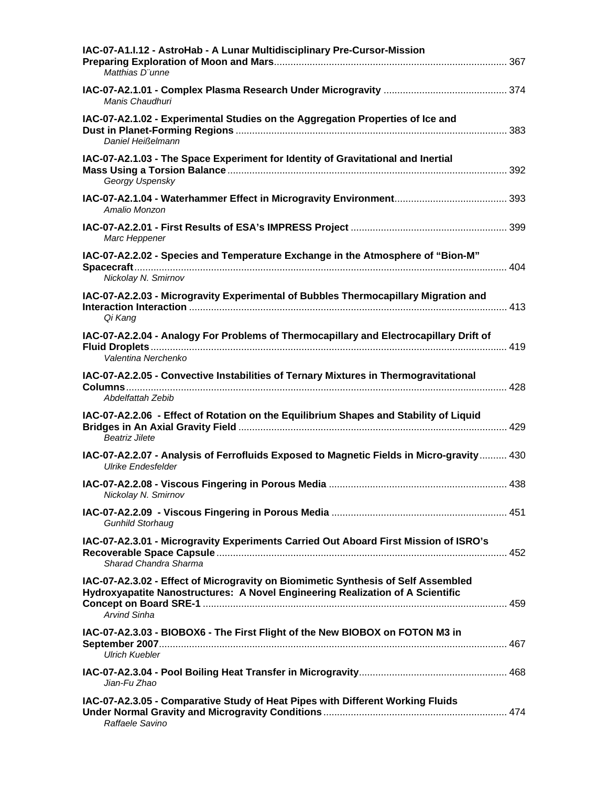| IAC-07-A1.I.12 - AstroHab - A Lunar Multidisciplinary Pre-Cursor-Mission<br>Matthias D"unne                                                                                                |  |
|--------------------------------------------------------------------------------------------------------------------------------------------------------------------------------------------|--|
| Manis Chaudhuri                                                                                                                                                                            |  |
| IAC-07-A2.1.02 - Experimental Studies on the Aggregation Properties of Ice and<br>Daniel Heißelmann                                                                                        |  |
| IAC-07-A2.1.03 - The Space Experiment for Identity of Gravitational and Inertial<br>Georgy Uspensky                                                                                        |  |
| Amalio Monzon                                                                                                                                                                              |  |
| Marc Heppener                                                                                                                                                                              |  |
| IAC-07-A2.2.02 - Species and Temperature Exchange in the Atmosphere of "Bion-M"<br>Nickolay N. Smirnov                                                                                     |  |
| IAC-07-A2.2.03 - Microgravity Experimental of Bubbles Thermocapillary Migration and<br>Qi Kang                                                                                             |  |
| IAC-07-A2.2.04 - Analogy For Problems of Thermocapillary and Electrocapillary Drift of<br>Valentina Nerchenko                                                                              |  |
| IAC-07-A2.2.05 - Convective Instabilities of Ternary Mixtures in Thermogravitational<br>Abdelfattah Zebib                                                                                  |  |
| IAC-07-A2.2.06 - Effect of Rotation on the Equilibrium Shapes and Stability of Liquid<br><b>Beatriz Jilete</b>                                                                             |  |
| IAC-07-A2.2.07 - Analysis of Ferrofluids Exposed to Magnetic Fields in Micro-gravity 430<br><b>Ulrike Endesfelder</b>                                                                      |  |
| Nickolay N. Smirnov                                                                                                                                                                        |  |
| <b>Gunhild Storhaug</b>                                                                                                                                                                    |  |
| IAC-07-A2.3.01 - Microgravity Experiments Carried Out Aboard First Mission of ISRO's<br>Sharad Chandra Sharma                                                                              |  |
| IAC-07-A2.3.02 - Effect of Microgravity on Biomimetic Synthesis of Self Assembled<br>Hydroxyapatite Nanostructures: A Novel Engineering Realization of A Scientific<br><b>Arvind Sinha</b> |  |
| IAC-07-A2.3.03 - BIOBOX6 - The First Flight of the New BIOBOX on FOTON M3 in<br><b>Ulrich Kuebler</b>                                                                                      |  |
| Jian-Fu Zhao                                                                                                                                                                               |  |
| IAC-07-A2.3.05 - Comparative Study of Heat Pipes with Different Working Fluids<br>Raffaele Savino                                                                                          |  |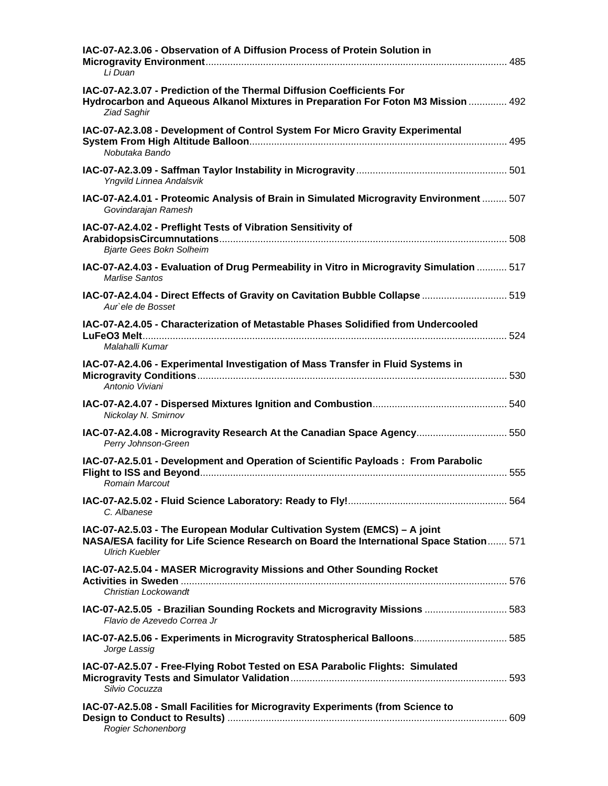| IAC-07-A2.3.06 - Observation of A Diffusion Process of Protein Solution in<br>Li Duan                                                                                                          |  |
|------------------------------------------------------------------------------------------------------------------------------------------------------------------------------------------------|--|
| IAC-07-A2.3.07 - Prediction of the Thermal Diffusion Coefficients For<br>Hydrocarbon and Aqueous Alkanol Mixtures in Preparation For Foton M3 Mission  492<br><b>Ziad Saghir</b>               |  |
| IAC-07-A2.3.08 - Development of Control System For Micro Gravity Experimental<br>Nobutaka Bando                                                                                                |  |
| Yngvild Linnea Andalsvik                                                                                                                                                                       |  |
| IAC-07-A2.4.01 - Proteomic Analysis of Brain in Simulated Microgravity Environment  507<br>Govindarajan Ramesh                                                                                 |  |
| IAC-07-A2.4.02 - Preflight Tests of Vibration Sensitivity of<br><b>Bjarte Gees Bokn Solheim</b>                                                                                                |  |
| IAC-07-A2.4.03 - Evaluation of Drug Permeability in Vitro in Microgravity Simulation  517<br><b>Marlise Santos</b>                                                                             |  |
| IAC-07-A2.4.04 - Direct Effects of Gravity on Cavitation Bubble Collapse  519<br>Aur`ele de Bosset                                                                                             |  |
| IAC-07-A2.4.05 - Characterization of Metastable Phases Solidified from Undercooled<br>Malahalli Kumar                                                                                          |  |
| IAC-07-A2.4.06 - Experimental Investigation of Mass Transfer in Fluid Systems in<br>Antonio Viviani                                                                                            |  |
| Nickolay N. Smirnov                                                                                                                                                                            |  |
| IAC-07-A2.4.08 - Microgravity Research At the Canadian Space Agency 550<br>Perry Johnson-Green                                                                                                 |  |
| IAC-07-A2.5.01 - Development and Operation of Scientific Payloads: From Parabolic<br><b>Romain Marcout</b>                                                                                     |  |
| C. Albanese                                                                                                                                                                                    |  |
| IAC-07-A2.5.03 - The European Modular Cultivation System (EMCS) - A joint<br>NASA/ESA facility for Life Science Research on Board the International Space Station 571<br><b>Ulrich Kuebler</b> |  |
| IAC-07-A2.5.04 - MASER Microgravity Missions and Other Sounding Rocket<br>Christian Lockowandt                                                                                                 |  |
| IAC-07-A2.5.05 - Brazilian Sounding Rockets and Microgravity Missions  583<br>Flavio de Azevedo Correa Jr                                                                                      |  |
| IAC-07-A2.5.06 - Experiments in Microgravity Stratospherical Balloons 585<br>Jorge Lassig                                                                                                      |  |
| IAC-07-A2.5.07 - Free-Flying Robot Tested on ESA Parabolic Flights: Simulated<br>Silvio Cocuzza                                                                                                |  |
| IAC-07-A2.5.08 - Small Facilities for Microgravity Experiments (from Science to<br><b>Rogier Schonenborg</b>                                                                                   |  |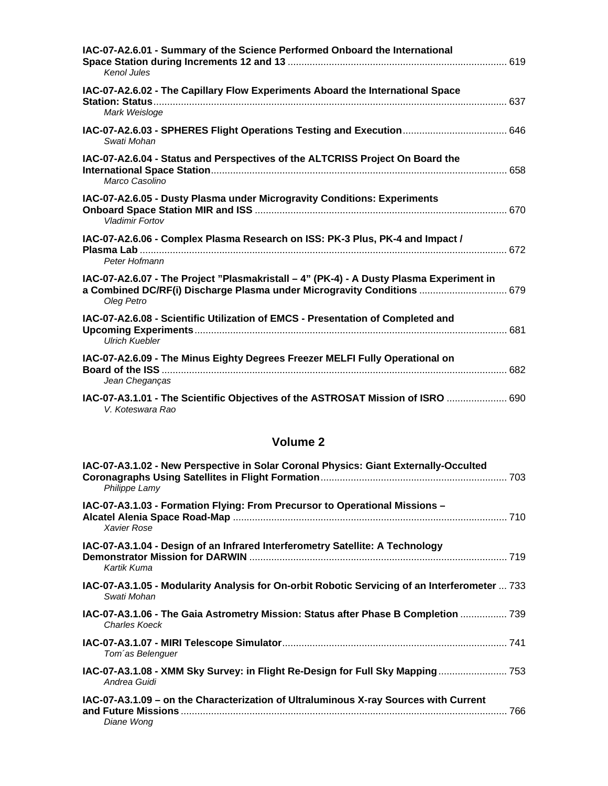| IAC-07-A2.6.01 - Summary of the Science Performed Onboard the International<br>Kenol Jules                                                                                       |  |
|----------------------------------------------------------------------------------------------------------------------------------------------------------------------------------|--|
| IAC-07-A2.6.02 - The Capillary Flow Experiments Aboard the International Space<br>Mark Weisloge                                                                                  |  |
| Swati Mohan                                                                                                                                                                      |  |
| IAC-07-A2.6.04 - Status and Perspectives of the ALTCRISS Project On Board the<br>Marco Casolino                                                                                  |  |
| IAC-07-A2.6.05 - Dusty Plasma under Microgravity Conditions: Experiments<br><b>Vladimir Fortov</b>                                                                               |  |
| IAC-07-A2.6.06 - Complex Plasma Research on ISS: PK-3 Plus, PK-4 and Impact /<br>Peter Hofmann                                                                                   |  |
| IAC-07-A2.6.07 - The Project "Plasmakristall - 4" (PK-4) - A Dusty Plasma Experiment in<br>a Combined DC/RF(i) Discharge Plasma under Microgravity Conditions  679<br>Oleg Petro |  |
| IAC-07-A2.6.08 - Scientific Utilization of EMCS - Presentation of Completed and<br><b>Ulrich Kuebler</b>                                                                         |  |
| IAC-07-A2.6.09 - The Minus Eighty Degrees Freezer MELFI Fully Operational on<br>Jean Cheganças                                                                                   |  |
| IAC-07-A3.1.01 - The Scientific Objectives of the ASTROSAT Mission of ISRO  690<br>V. Koteswara Rao                                                                              |  |

| IAC-07-A3.1.02 - New Perspective in Solar Coronal Physics: Giant Externally-Occulted<br>Philippe Lamy        |  |
|--------------------------------------------------------------------------------------------------------------|--|
| IAC-07-A3.1.03 - Formation Flying: From Precursor to Operational Missions -<br>Xavier Rose                   |  |
| IAC-07-A3.1.04 - Design of an Infrared Interferometry Satellite: A Technology<br>Kartik Kuma                 |  |
| IAC-07-A3.1.05 - Modularity Analysis for On-orbit Robotic Servicing of an Interferometer  733<br>Swati Mohan |  |
| IAC-07-A3.1.06 - The Gaia Astrometry Mission: Status after Phase B Completion  739<br><b>Charles Koeck</b>   |  |
| Tom'as Belenguer                                                                                             |  |
| IAC-07-A3.1.08 - XMM Sky Survey: in Flight Re-Design for Full Sky Mapping 753<br>Andrea Guidi                |  |
| IAC-07-A3.1.09 – on the Characterization of Ultraluminous X-ray Sources with Current<br>Diane Wong           |  |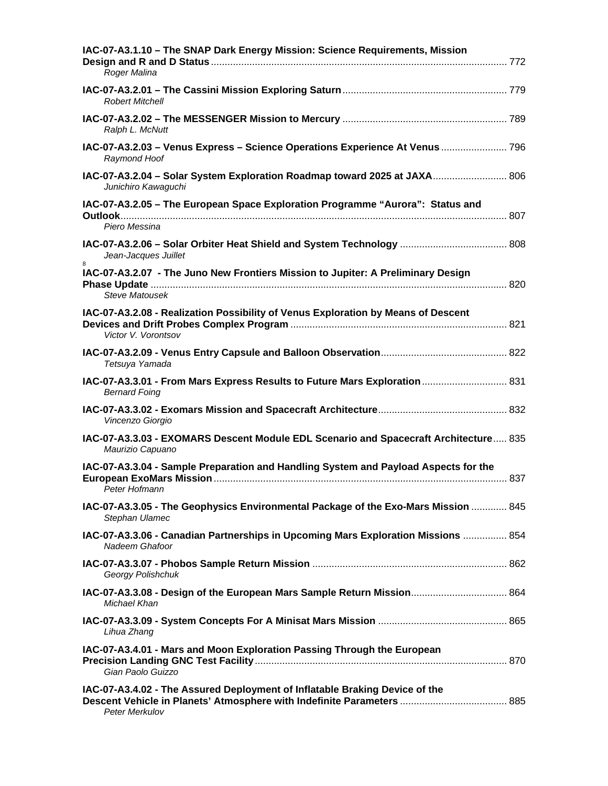| IAC-07-A3.1.10 - The SNAP Dark Energy Mission: Science Requirements, Mission<br>Roger Malina             |  |
|----------------------------------------------------------------------------------------------------------|--|
| <b>Robert Mitchell</b>                                                                                   |  |
| Ralph L. McNutt                                                                                          |  |
| IAC-07-A3.2.03 - Venus Express - Science Operations Experience At Venus  796<br>Raymond Hoof             |  |
| IAC-07-A3.2.04 - Solar System Exploration Roadmap toward 2025 at JAXA 806<br>Junichiro Kawaguchi         |  |
| IAC-07-A3.2.05 - The European Space Exploration Programme "Aurora": Status and<br>Piero Messina          |  |
| Jean-Jacques Juillet                                                                                     |  |
| IAC-07-A3.2.07 - The Juno New Frontiers Mission to Jupiter: A Preliminary Design<br>Steve Matousek       |  |
| IAC-07-A3.2.08 - Realization Possibility of Venus Exploration by Means of Descent<br>Victor V. Vorontsov |  |
| Tetsuya Yamada                                                                                           |  |
| IAC-07-A3.3.01 - From Mars Express Results to Future Mars Exploration  831<br><b>Bernard Foing</b>       |  |
| Vincenzo Giorgio                                                                                         |  |
| IAC-07-A3.3.03 - EXOMARS Descent Module EDL Scenario and Spacecraft Architecture 835<br>Maurizio Capuano |  |
| IAC-07-A3.3.04 - Sample Preparation and Handling System and Payload Aspects for the<br>Peter Hofmann     |  |
| IAC-07-A3.3.05 - The Geophysics Environmental Package of the Exo-Mars Mission  845<br>Stephan Ulamec     |  |
| IAC-07-A3.3.06 - Canadian Partnerships in Upcoming Mars Exploration Missions  854<br>Nadeem Ghafoor      |  |
| Georgy Polishchuk                                                                                        |  |
| IAC-07-A3.3.08 - Design of the European Mars Sample Return Mission 864<br>Michael Khan                   |  |
| Lihua Zhang                                                                                              |  |
| IAC-07-A3.4.01 - Mars and Moon Exploration Passing Through the European<br>Gian Paolo Guizzo             |  |
| IAC-07-A3.4.02 - The Assured Deployment of Inflatable Braking Device of the<br>Peter Merkulov            |  |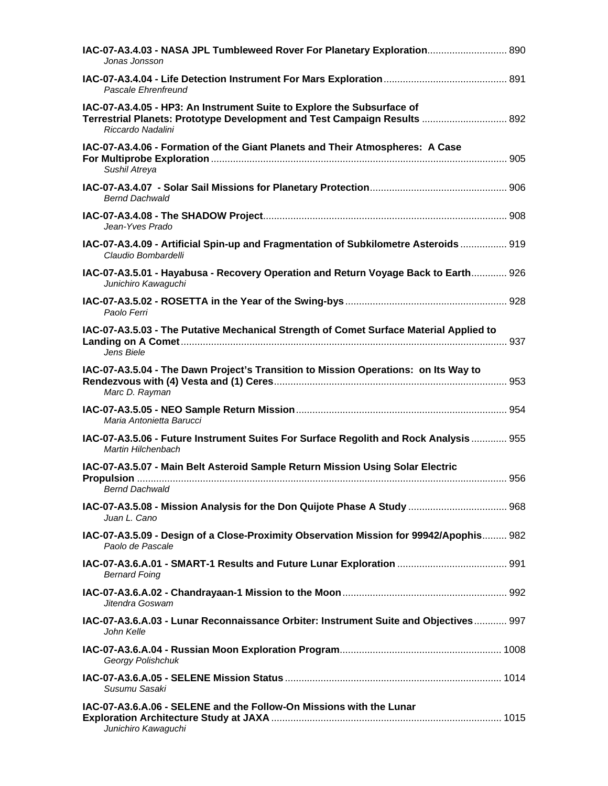| IAC-07-A3.4.03 - NASA JPL Tumbleweed Rover For Planetary Exploration 890<br>Jonas Jonsson                                                                                     |  |
|-------------------------------------------------------------------------------------------------------------------------------------------------------------------------------|--|
| Pascale Ehrenfreund                                                                                                                                                           |  |
| IAC-07-A3.4.05 - HP3: An Instrument Suite to Explore the Subsurface of<br>Terrestrial Planets: Prototype Development and Test Campaign Results  892<br>Riccardo Nadalini      |  |
| IAC-07-A3.4.06 - Formation of the Giant Planets and Their Atmospheres: A Case<br>Sushil Atreya                                                                                |  |
| <b>Bernd Dachwald</b>                                                                                                                                                         |  |
| Jean-Yves Prado                                                                                                                                                               |  |
| IAC-07-A3.4.09 - Artificial Spin-up and Fragmentation of Subkilometre Asteroids  919<br>Claudio Bombardelli                                                                   |  |
| IAC-07-A3.5.01 - Hayabusa - Recovery Operation and Return Voyage Back to Earth 926<br>Junichiro Kawaguchi                                                                     |  |
| Paolo Ferri                                                                                                                                                                   |  |
| IAC-07-A3.5.03 - The Putative Mechanical Strength of Comet Surface Material Applied to<br>Jens Biele                                                                          |  |
| IAC-07-A3.5.04 - The Dawn Project's Transition to Mission Operations: on Its Way to<br>Marc D. Rayman                                                                         |  |
| Maria Antonietta Barucci                                                                                                                                                      |  |
| IAC-07-A3.5.06 - Future Instrument Suites For Surface Regolith and Rock Analysis  955<br>Martin Hilchenbach                                                                   |  |
| IAC-07-A3.5.07 - Main Belt Asteroid Sample Return Mission Using Solar Electric<br><b>Bernd Dachwald Community Community Community Community Community Community Community</b> |  |
| IAC-07-A3.5.08 - Mission Analysis for the Don Quijote Phase A Study  968<br>Juan L. Cano                                                                                      |  |
| IAC-07-A3.5.09 - Design of a Close-Proximity Observation Mission for 99942/Apophis 982<br>Paolo de Pascale                                                                    |  |
| <b>Bernard Foing</b>                                                                                                                                                          |  |
| Jitendra Goswam                                                                                                                                                               |  |
| IAC-07-A3.6.A.03 - Lunar Reconnaissance Orbiter: Instrument Suite and Objectives 997<br>John Kelle                                                                            |  |
| Georgy Polishchuk                                                                                                                                                             |  |
| Susumu Sasaki                                                                                                                                                                 |  |
| IAC-07-A3.6.A.06 - SELENE and the Follow-On Missions with the Lunar<br>Junichiro Kawaguchi                                                                                    |  |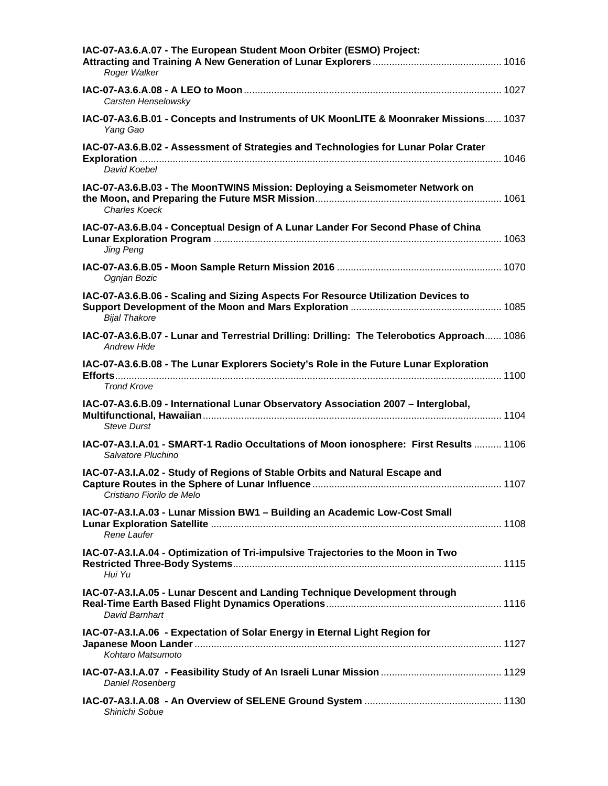| IAC-07-A3.6.A.07 - The European Student Moon Orbiter (ESMO) Project:<br>Roger Walker                              |  |
|-------------------------------------------------------------------------------------------------------------------|--|
| Carsten Henselowsky                                                                                               |  |
| IAC-07-A3.6.B.01 - Concepts and Instruments of UK MoonLITE & Moonraker Missions 1037<br>Yang Gao                  |  |
| IAC-07-A3.6.B.02 - Assessment of Strategies and Technologies for Lunar Polar Crater<br>David Koebel               |  |
| IAC-07-A3.6.B.03 - The MoonTWINS Mission: Deploying a Seismometer Network on<br><b>Charles Koeck</b>              |  |
| IAC-07-A3.6.B.04 - Conceptual Design of A Lunar Lander For Second Phase of China<br><b>Jing Peng</b>              |  |
| Ognjan Bozic                                                                                                      |  |
| IAC-07-A3.6.B.06 - Scaling and Sizing Aspects For Resource Utilization Devices to<br><b>Bijal Thakore</b>         |  |
| IAC-07-A3.6.B.07 - Lunar and Terrestrial Drilling: Drilling: The Telerobotics Approach 1086<br><b>Andrew Hide</b> |  |
| IAC-07-A3.6.B.08 - The Lunar Explorers Society's Role in the Future Lunar Exploration<br><b>Trond Krove</b>       |  |
| IAC-07-A3.6.B.09 - International Lunar Observatory Association 2007 - Interglobal,<br><b>Steve Durst</b>          |  |
| IAC-07-A3.I.A.01 - SMART-1 Radio Occultations of Moon ionosphere: First Results  1106<br>Salvatore Pluchino       |  |
| IAC-07-A3.I.A.02 - Study of Regions of Stable Orbits and Natural Escape and<br>Cristiano Fiorilo de Melo          |  |
| IAC-07-A3.I.A.03 - Lunar Mission BW1 - Building an Academic Low-Cost Small<br>Rene Laufer                         |  |
| IAC-07-A3.I.A.04 - Optimization of Tri-impulsive Trajectories to the Moon in Two<br>Hui Yu                        |  |
| IAC-07-A3.I.A.05 - Lunar Descent and Landing Technique Development through<br>David Barnhart                      |  |
| IAC-07-A3.I.A.06 - Expectation of Solar Energy in Eternal Light Region for<br>Kohtaro Matsumoto                   |  |
| Daniel Rosenberg                                                                                                  |  |
| Shinichi Sobue                                                                                                    |  |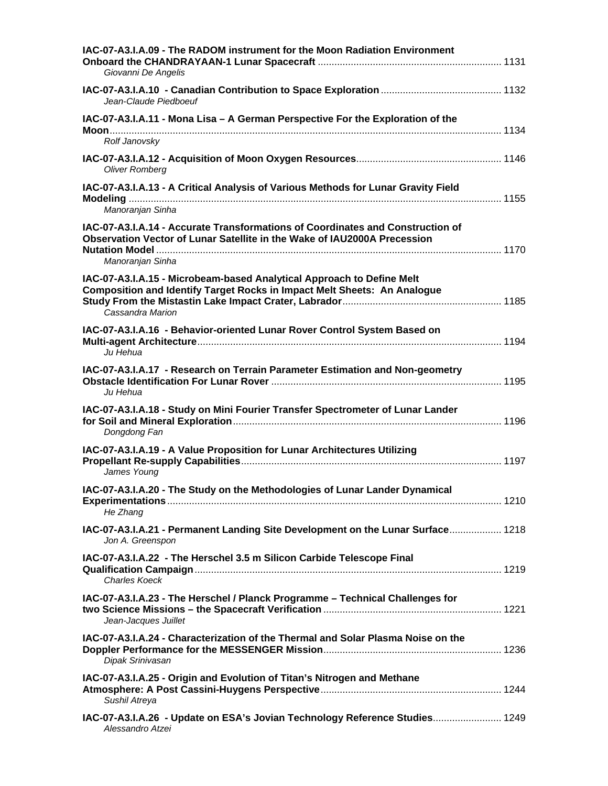| IAC-07-A3.I.A.09 - The RADOM instrument for the Moon Radiation Environment<br>Giovanni De Angelis                                                                              |  |
|--------------------------------------------------------------------------------------------------------------------------------------------------------------------------------|--|
| Jean-Claude Piedboeuf                                                                                                                                                          |  |
| IAC-07-A3.I.A.11 - Mona Lisa - A German Perspective For the Exploration of the                                                                                                 |  |
| Rolf Janovsky                                                                                                                                                                  |  |
| <b>Oliver Romberg</b><br>IAC-07-A3.I.A.13 - A Critical Analysis of Various Methods for Lunar Gravity Field<br>Manoranjan Sinha                                                 |  |
| IAC-07-A3.I.A.14 - Accurate Transformations of Coordinates and Construction of<br>Observation Vector of Lunar Satellite in the Wake of IAU2000A Precession<br>Manoranjan Sinha |  |
| IAC-07-A3.I.A.15 - Microbeam-based Analytical Approach to Define Melt<br><b>Composition and Identify Target Rocks in Impact Melt Sheets: An Analogue</b><br>Cassandra Marion   |  |
| IAC-07-A3.I.A.16 - Behavior-oriented Lunar Rover Control System Based on<br>Ju Hehua                                                                                           |  |
| IAC-07-A3.I.A.17 - Research on Terrain Parameter Estimation and Non-geometry<br>Ju Hehua                                                                                       |  |
| IAC-07-A3.I.A.18 - Study on Mini Fourier Transfer Spectrometer of Lunar Lander<br>Dongdong Fan                                                                                 |  |
| IAC-07-A3.I.A.19 - A Value Proposition for Lunar Architectures Utilizing<br>James Young                                                                                        |  |
| IAC-07-A3.I.A.20 - The Study on the Methodologies of Lunar Lander Dynamical<br>He Zhang                                                                                        |  |
| IAC-07-A3.I.A.21 - Permanent Landing Site Development on the Lunar Surface 1218<br>Jon A. Greenspon                                                                            |  |
| IAC-07-A3.I.A.22 - The Herschel 3.5 m Silicon Carbide Telescope Final<br><b>Charles Koeck</b>                                                                                  |  |
| IAC-07-A3.I.A.23 - The Herschel / Planck Programme - Technical Challenges for<br>Jean-Jacques Juillet                                                                          |  |
| IAC-07-A3.I.A.24 - Characterization of the Thermal and Solar Plasma Noise on the<br>Dipak Srinivasan                                                                           |  |
| IAC-07-A3.I.A.25 - Origin and Evolution of Titan's Nitrogen and Methane<br>Sushil Atreya                                                                                       |  |
| IAC-07-A3.I.A.26 - Update on ESA's Jovian Technology Reference Studies 1249<br>Alessandro Atzei                                                                                |  |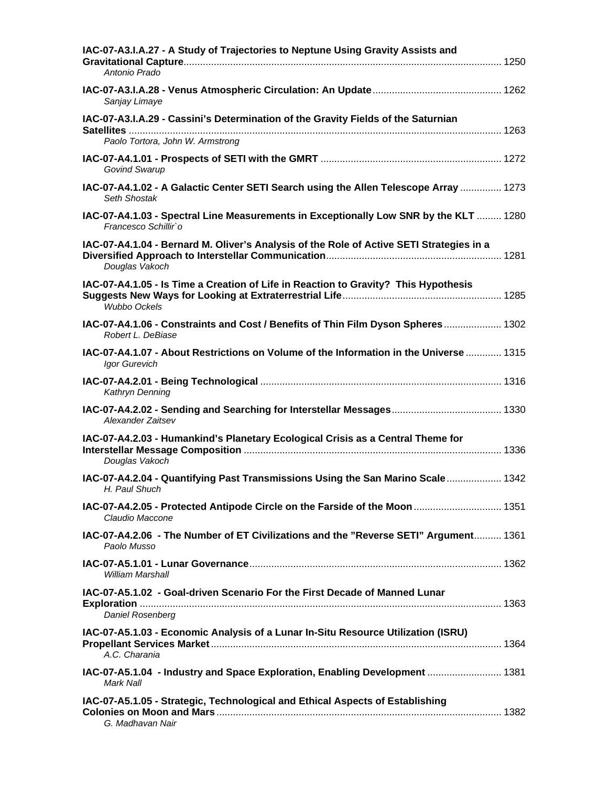| IAC-07-A3.I.A.27 - A Study of Trajectories to Neptune Using Gravity Assists and<br>Antonio Prado              |  |
|---------------------------------------------------------------------------------------------------------------|--|
| Sanjay Limaye                                                                                                 |  |
| IAC-07-A3.I.A.29 - Cassini's Determination of the Gravity Fields of the Saturnian                             |  |
| Paolo Tortora, John W. Armstrong                                                                              |  |
| Govind Swarup                                                                                                 |  |
| IAC-07-A4.1.02 - A Galactic Center SETI Search using the Allen Telescope Array  1273<br>Seth Shostak          |  |
| IAC-07-A4.1.03 - Spectral Line Measurements in Exceptionally Low SNR by the KLT  1280<br>Francesco Schillir'o |  |
| IAC-07-A4.1.04 - Bernard M. Oliver's Analysis of the Role of Active SETI Strategies in a<br>Douglas Vakoch    |  |
| IAC-07-A4.1.05 - Is Time a Creation of Life in Reaction to Gravity? This Hypothesis<br><b>Wubbo Ockels</b>    |  |
| 1302. IAC-07-A4.1.06 - Constraints and Cost / Benefits of Thin Film Dyson Spheres 1302<br>Robert L. DeBiase   |  |
| IAC-07-A4.1.07 - About Restrictions on Volume of the Information in the Universe  1315<br>Igor Gurevich       |  |
| Kathryn Denning                                                                                               |  |
| Alexander Zaitsev                                                                                             |  |
| IAC-07-A4.2.03 - Humankind's Planetary Ecological Crisis as a Central Theme for<br>Douglas Vakoch             |  |
| IAC-07-A4.2.04 - Quantifying Past Transmissions Using the San Marino Scale  1342<br>H. Paul Shuch             |  |
| 140.07-A4.2.05 - Protected Antipode Circle on the Farside of the Moon 1351<br>Claudio Maccone                 |  |
| IAC-07-A4.2.06 - The Number of ET Civilizations and the "Reverse SETI" Argument 1361<br>Paolo Musso           |  |
| William Marshall                                                                                              |  |
| IAC-07-A5.1.02 - Goal-driven Scenario For the First Decade of Manned Lunar<br>Daniel Rosenberg                |  |
| IAC-07-A5.1.03 - Economic Analysis of a Lunar In-Situ Resource Utilization (ISRU)<br>A.C. Charania            |  |
| Mark Nall                                                                                                     |  |
| IAC-07-A5.1.05 - Strategic, Technological and Ethical Aspects of Establishing<br>G. Madhavan Nair             |  |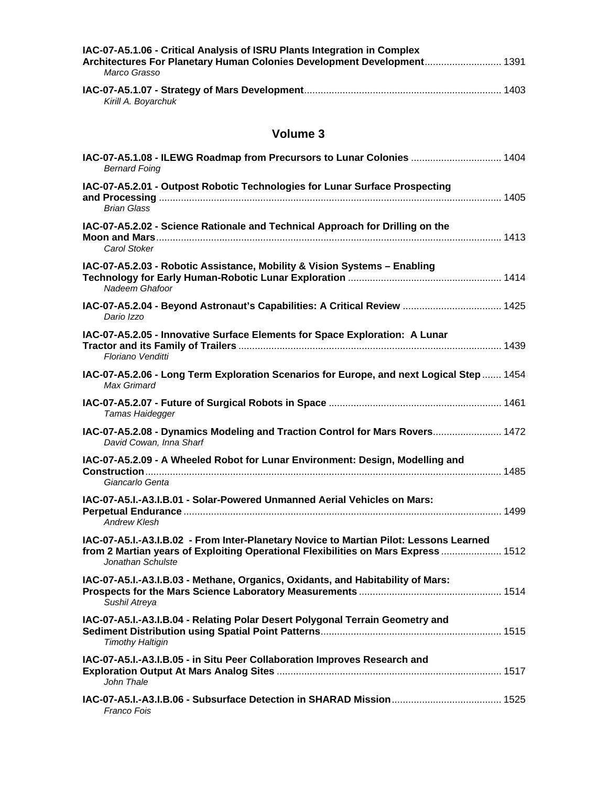| IAC-07-A5.1.06 - Critical Analysis of ISRU Plants Integration in Complex<br>Architectures For Planetary Human Colonies Development Development 1391 |        |
|-----------------------------------------------------------------------------------------------------------------------------------------------------|--------|
| Marco Grasso                                                                                                                                        |        |
|                                                                                                                                                     | . 1403 |

*Kirill A. Boyarchuk* 

| <b>Bernard Foing</b>                                                                                                                                                                              |  |
|---------------------------------------------------------------------------------------------------------------------------------------------------------------------------------------------------|--|
| IAC-07-A5.2.01 - Outpost Robotic Technologies for Lunar Surface Prospecting<br><b>Brian Glass</b>                                                                                                 |  |
| IAC-07-A5.2.02 - Science Rationale and Technical Approach for Drilling on the<br>Carol Stoker                                                                                                     |  |
| IAC-07-A5.2.03 - Robotic Assistance, Mobility & Vision Systems - Enabling<br>Nadeem Ghafoor                                                                                                       |  |
| IAC-07-A5.2.04 - Beyond Astronaut's Capabilities: A Critical Review  1425<br>Dario Izzo                                                                                                           |  |
| IAC-07-A5.2.05 - Innovative Surface Elements for Space Exploration: A Lunar<br>Floriano Venditti                                                                                                  |  |
| IAC-07-A5.2.06 - Long Term Exploration Scenarios for Europe, and next Logical Step  1454<br>Max Grimard                                                                                           |  |
| Tamas Haidegger                                                                                                                                                                                   |  |
| IAC-07-A5.2.08 - Dynamics Modeling and Traction Control for Mars Rovers 1472<br>David Cowan, Inna Sharf                                                                                           |  |
| IAC-07-A5.2.09 - A Wheeled Robot for Lunar Environment: Design, Modelling and<br>Giancarlo Genta                                                                                                  |  |
| IAC-07-A5.I.-A3.I.B.01 - Solar-Powered Unmanned Aerial Vehicles on Mars:<br><b>Andrew Klesh</b>                                                                                                   |  |
| IAC-07-A5.I.-A3.I.B.02 - From Inter-Planetary Novice to Martian Pilot: Lessons Learned<br>from 2 Martian years of Exploiting Operational Flexibilities on Mars Express  1512<br>Jonathan Schulste |  |
| IAC-07-A5.I.-A3.I.B.03 - Methane, Organics, Oxidants, and Habitability of Mars:<br>Sushil Atreya                                                                                                  |  |
| IAC-07-A5.I.-A3.I.B.04 - Relating Polar Desert Polygonal Terrain Geometry and<br><b>Timothy Haltigin</b>                                                                                          |  |
| IAC-07-A5.I.-A3.I.B.05 - in Situ Peer Collaboration Improves Research and<br>John Thale                                                                                                           |  |
| Franco Fois                                                                                                                                                                                       |  |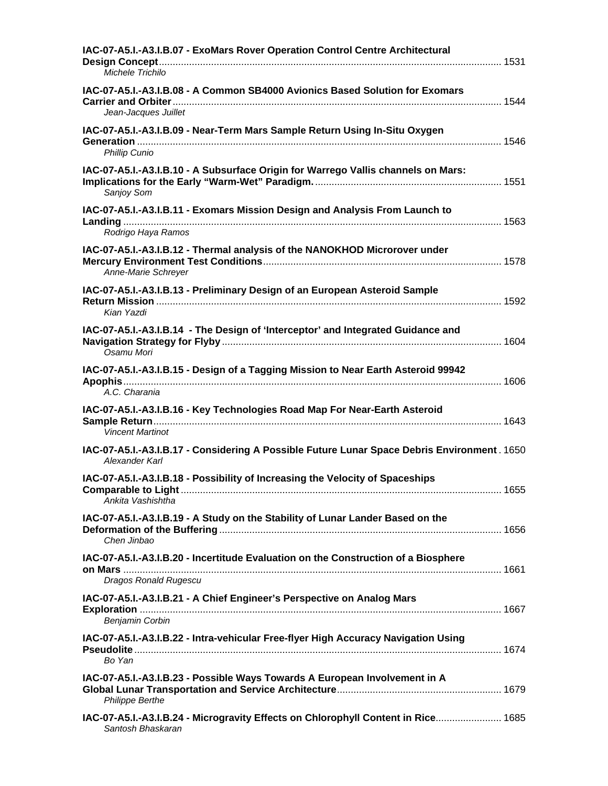| IAC-07-A5.I.-A3.I.B.07 - ExoMars Rover Operation Control Centre Architectural<br>Michele Trichilo                  |  |
|--------------------------------------------------------------------------------------------------------------------|--|
| IAC-07-A5.I.-A3.I.B.08 - A Common SB4000 Avionics Based Solution for Exomars<br>Jean-Jacques Juillet               |  |
| IAC-07-A5.I.-A3.I.B.09 - Near-Term Mars Sample Return Using In-Situ Oxygen<br>Phillip Cunio                        |  |
| IAC-07-A5.I.-A3.I.B.10 - A Subsurface Origin for Warrego Vallis channels on Mars:<br>Sanjoy Som                    |  |
| IAC-07-A5.I.-A3.I.B.11 - Exomars Mission Design and Analysis From Launch to<br>Rodrigo Haya Ramos                  |  |
| IAC-07-A5.I.-A3.I.B.12 - Thermal analysis of the NANOKHOD Microrover under<br>Anne-Marie Schreyer                  |  |
| IAC-07-A5.I.-A3.I.B.13 - Preliminary Design of an European Asteroid Sample<br>Kian Yazdi                           |  |
| IAC-07-A5.I.-A3.I.B.14 - The Design of 'Interceptor' and Integrated Guidance and<br>Osamu Mori                     |  |
| IAC-07-A5.I.-A3.I.B.15 - Design of a Tagging Mission to Near Earth Asteroid 99942<br>A.C. Charania                 |  |
| IAC-07-A5.I.-A3.I.B.16 - Key Technologies Road Map For Near-Earth Asteroid<br><b>Vincent Martinot</b>              |  |
| IAC-07-A5.I.-A3.I.B.17 - Considering A Possible Future Lunar Space Debris Environment. 1650<br>Alexander Karl      |  |
| IAC-07-A5.I.-A3.I.B.18 - Possibility of Increasing the Velocity of Spaceships<br>Ankita Vashishtha                 |  |
| IAC-07-A5.I.-A3.I.B.19 - A Study on the Stability of Lunar Lander Based on the<br>Chen Jinbao                      |  |
| IAC-07-A5.I.-A3.I.B.20 - Incertitude Evaluation on the Construction of a Biosphere<br><b>Dragos Ronald Rugescu</b> |  |
| IAC-07-A5.I.-A3.I.B.21 - A Chief Engineer's Perspective on Analog Mars<br><b>Benjamin Corbin</b>                   |  |
| IAC-07-A5.I.-A3.I.B.22 - Intra-vehicular Free-flyer High Accuracy Navigation Using<br>Bo Yan                       |  |
| IAC-07-A5.I.-A3.I.B.23 - Possible Ways Towards A European Involvement in A<br><b>Philippe Berthe</b>               |  |
| IAC-07-A5.I.-A3.I.B.24 - Microgravity Effects on Chlorophyll Content in Rice 1685<br>Santosh Bhaskaran             |  |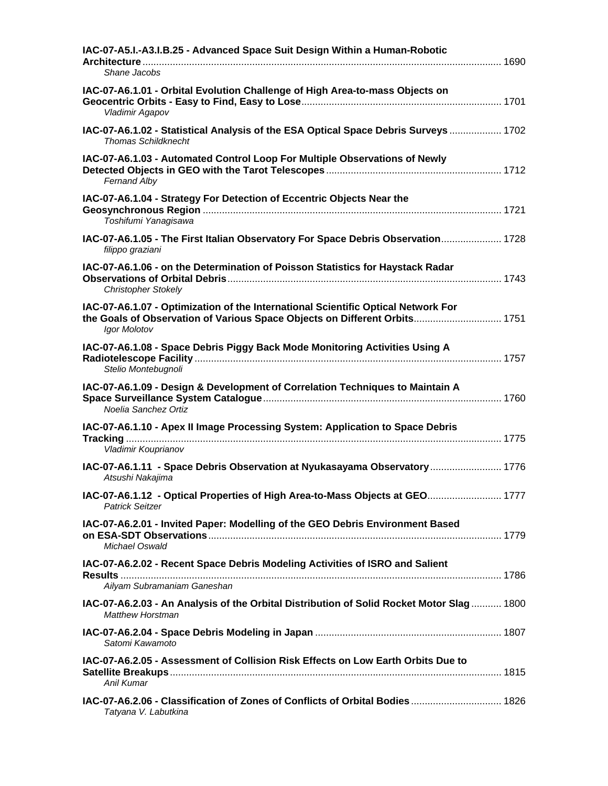| IAC-07-A5.I.-A3.I.B.25 - Advanced Space Suit Design Within a Human-Robotic<br>Shane Jacobs                                                                                      |  |
|---------------------------------------------------------------------------------------------------------------------------------------------------------------------------------|--|
| IAC-07-A6.1.01 - Orbital Evolution Challenge of High Area-to-mass Objects on<br>Vladimir Agapov                                                                                 |  |
| 1702  1702 IAC-07-A6.1.02 - Statistical Analysis of the ESA Optical Space Debris Surveys<br>Thomas Schildknecht                                                                 |  |
| IAC-07-A6.1.03 - Automated Control Loop For Multiple Observations of Newly<br>Fernand Alby                                                                                      |  |
| IAC-07-A6.1.04 - Strategy For Detection of Eccentric Objects Near the<br>Toshifumi Yanagisawa                                                                                   |  |
| IAC-07-A6.1.05 - The First Italian Observatory For Space Debris Observation 1728<br>filippo graziani                                                                            |  |
| IAC-07-A6.1.06 - on the Determination of Poisson Statistics for Haystack Radar<br><b>Christopher Stokely</b>                                                                    |  |
| IAC-07-A6.1.07 - Optimization of the International Scientific Optical Network For<br>the Goals of Observation of Various Space Objects on Different Orbits 1751<br>Igor Molotov |  |
| IAC-07-A6.1.08 - Space Debris Piggy Back Mode Monitoring Activities Using A<br>Stelio Montebugnoli                                                                              |  |
| IAC-07-A6.1.09 - Design & Development of Correlation Techniques to Maintain A<br>Noelia Sanchez Ortiz                                                                           |  |
| IAC-07-A6.1.10 - Apex II Image Processing System: Application to Space Debris                                                                                                   |  |
| Vladimir Kouprianov                                                                                                                                                             |  |
| IAC-07-A6.1.11 - Space Debris Observation at Nyukasayama Observatory  1776<br>Atsushi Nakajima                                                                                  |  |
| 1777 IAC-07-A6.1.12 - Optical Properties of High Area-to-Mass Objects at GEO 1777<br><b>Patrick Seitzer</b>                                                                     |  |
| IAC-07-A6.2.01 - Invited Paper: Modelling of the GEO Debris Environment Based<br>Michael Oswald                                                                                 |  |
| IAC-07-A6.2.02 - Recent Space Debris Modeling Activities of ISRO and Salient                                                                                                    |  |
| Ailyam Subramaniam Ganeshan                                                                                                                                                     |  |
| 1800 IAC-07-A6.2.03 - An Analysis of the Orbital Distribution of Solid Rocket Motor Slag 1800<br><b>Matthew Horstman</b>                                                        |  |
| Satomi Kawamoto                                                                                                                                                                 |  |
| IAC-07-A6.2.05 - Assessment of Collision Risk Effects on Low Earth Orbits Due to<br>Anil Kumar                                                                                  |  |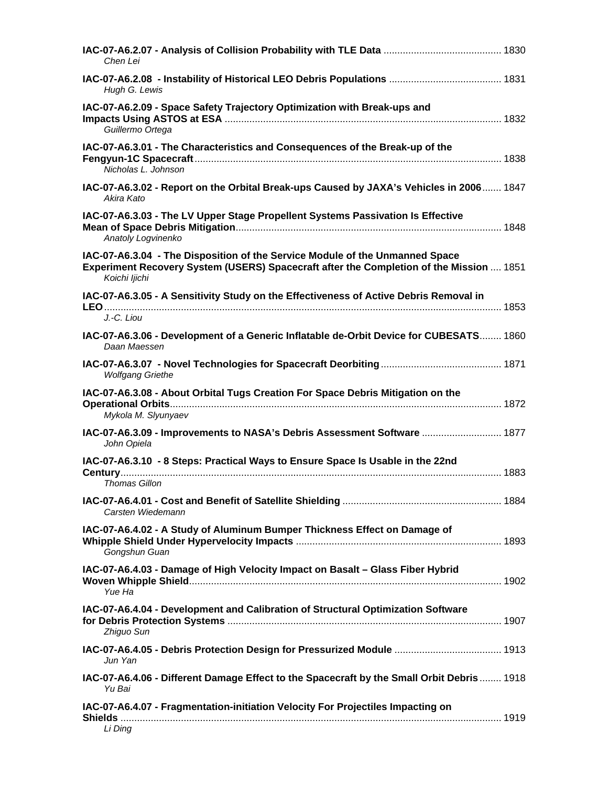| Chen Lei                                                                                                                                                                                 |  |
|------------------------------------------------------------------------------------------------------------------------------------------------------------------------------------------|--|
| Hugh G. Lewis                                                                                                                                                                            |  |
| IAC-07-A6.2.09 - Space Safety Trajectory Optimization with Break-ups and<br>Guillermo Ortega                                                                                             |  |
| IAC-07-A6.3.01 - The Characteristics and Consequences of the Break-up of the<br>Nicholas L. Johnson                                                                                      |  |
| IAC-07-A6.3.02 - Report on the Orbital Break-ups Caused by JAXA's Vehicles in 2006 1847<br>Akira Kato                                                                                    |  |
| IAC-07-A6.3.03 - The LV Upper Stage Propellent Systems Passivation Is Effective<br>Anatoly Logvinenko                                                                                    |  |
| IAC-07-A6.3.04 - The Disposition of the Service Module of the Unmanned Space<br>Experiment Recovery System (USERS) Spacecraft after the Completion of the Mission  1851<br>Koichi ljichi |  |
| IAC-07-A6.3.05 - A Sensitivity Study on the Effectiveness of Active Debris Removal in<br>J.-C. Liou                                                                                      |  |
| IAC-07-A6.3.06 - Development of a Generic Inflatable de-Orbit Device for CUBESATS 1860<br>Daan Maessen                                                                                   |  |
| <b>Wolfgang Griethe</b>                                                                                                                                                                  |  |
| IAC-07-A6.3.08 - About Orbital Tugs Creation For Space Debris Mitigation on the<br>Mykola M. Slyunyaev                                                                                   |  |
| IAC-07-A6.3.09 - Improvements to NASA's Debris Assessment Software  1877<br>John Opiela                                                                                                  |  |
| IAC-07-A6.3.10 - 8 Steps: Practical Ways to Ensure Space Is Usable in the 22nd<br><b>Thomas Gillon</b>                                                                                   |  |
| Carsten Wiedemann                                                                                                                                                                        |  |
| IAC-07-A6.4.02 - A Study of Aluminum Bumper Thickness Effect on Damage of<br>Gongshun Guan                                                                                               |  |
| IAC-07-A6.4.03 - Damage of High Velocity Impact on Basalt - Glass Fiber Hybrid<br>Yue Ha                                                                                                 |  |
| IAC-07-A6.4.04 - Development and Calibration of Structural Optimization Software<br>Zhiguo Sun                                                                                           |  |
| Jun Yan                                                                                                                                                                                  |  |
| IAC-07-A6.4.06 - Different Damage Effect to the Spacecraft by the Small Orbit Debris  1918<br>Yu Bai                                                                                     |  |
| IAC-07-A6.4.07 - Fragmentation-initiation Velocity For Projectiles Impacting on<br>Li Ding                                                                                               |  |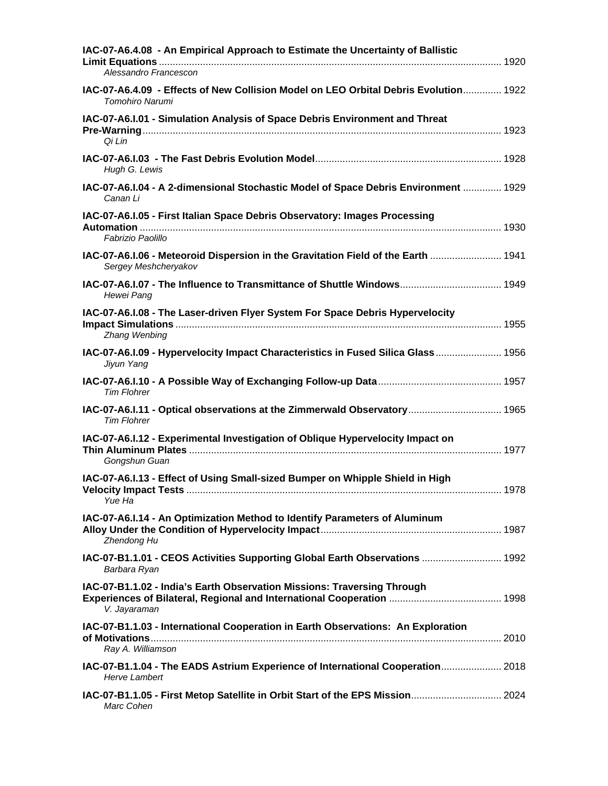| IAC-07-A6.4.08 - An Empirical Approach to Estimate the Uncertainty of Ballistic<br>Alessandro Francescon  |
|-----------------------------------------------------------------------------------------------------------|
| 140-07-A6.4.09 - Effects of New Collision Model on LEO Orbital Debris Evolution 1922<br>Tomohiro Narumi   |
| IAC-07-A6.I.01 - Simulation Analysis of Space Debris Environment and Threat<br>Qi Lin                     |
| Hugh G. Lewis                                                                                             |
| IAC-07-A6.I.04 - A 2-dimensional Stochastic Model of Space Debris Environment  1929<br>Canan Li           |
| IAC-07-A6.I.05 - First Italian Space Debris Observatory: Images Processing<br>Fabrizio Paolillo           |
| IAC-07-A6.I.06 - Meteoroid Dispersion in the Gravitation Field of the Earth  1941<br>Sergey Meshcheryakov |
| Hewei Pang                                                                                                |
| IAC-07-A6.I.08 - The Laser-driven Flyer System For Space Debris Hypervelocity<br>Zhang Wenbing            |
| Jiyun Yang                                                                                                |
| <b>Tim Flohrer</b>                                                                                        |
| 1965. A6.I.11 - Optical observations at the Zimmerwald Observatory 1965<br><b>Tim Flohrer</b>             |
| IAC-07-A6.I.12 - Experimental Investigation of Oblique Hypervelocity Impact on<br>Gongshun Guan           |
| IAC-07-A6.I.13 - Effect of Using Small-sized Bumper on Whipple Shield in High<br>Yue Ha                   |
| IAC-07-A6.I.14 - An Optimization Method to Identify Parameters of Aluminum<br>Zhendong Hu                 |
| 1AC-07-B1.1.01 - CEOS Activities Supporting Global Earth Observations  1992<br>Barbara Ryan               |
| IAC-07-B1.1.02 - India's Earth Observation Missions: Traversing Through<br>V. Jayaraman                   |
| IAC-07-B1.1.03 - International Cooperation in Earth Observations: An Exploration<br>Ray A. Williamson     |
| IAC-07-B1.1.04 - The EADS Astrium Experience of International Cooperation 2018<br><b>Herve Lambert</b>    |
| IAC-07-B1.1.05 - First Metop Satellite in Orbit Start of the EPS Mission 2024<br>Marc Cohen               |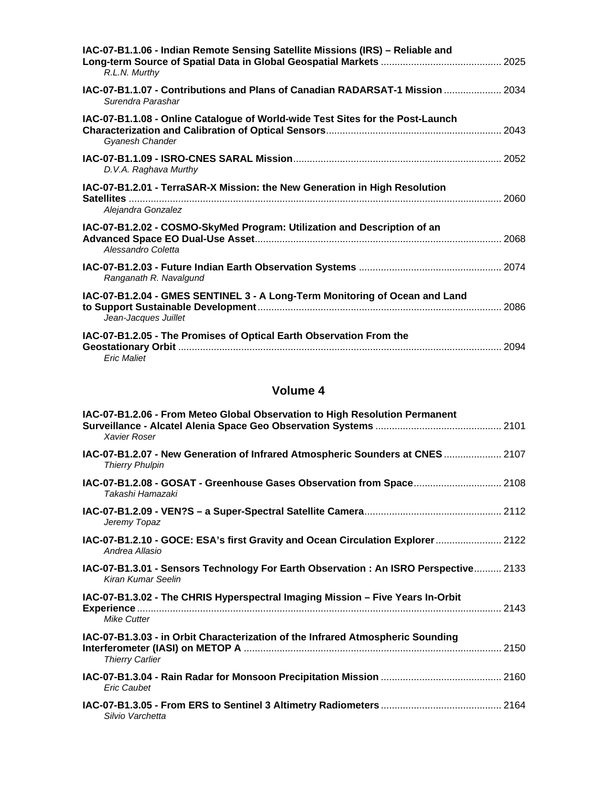| IAC-07-B1.1.06 - Indian Remote Sensing Satellite Missions (IRS) - Reliable and<br>R.L.N. Murthy     |  |
|-----------------------------------------------------------------------------------------------------|--|
| IAC-07-B1.1.07 - Contributions and Plans of Canadian RADARSAT-1 Mission  2034<br>Surendra Parashar  |  |
| IAC-07-B1.1.08 - Online Catalogue of World-wide Test Sites for the Post-Launch<br>Gyanesh Chander   |  |
| D.V.A. Raghava Murthy                                                                               |  |
| IAC-07-B1.2.01 - TerraSAR-X Mission: the New Generation in High Resolution<br>Alejandra Gonzalez    |  |
| IAC-07-B1.2.02 - COSMO-SkyMed Program: Utilization and Description of an<br>Alessandro Coletta      |  |
| Ranganath R. Navalgund                                                                              |  |
| IAC-07-B1.2.04 - GMES SENTINEL 3 - A Long-Term Monitoring of Ocean and Land<br>Jean-Jacques Juillet |  |
| IAC-07-B1.2.05 - The Promises of Optical Earth Observation From the<br><b>Eric Maliet</b>           |  |

| IAC-07-B1.2.06 - From Meteo Global Observation to High Resolution Permanent<br>Xavier Roser               |  |
|-----------------------------------------------------------------------------------------------------------|--|
| IAC-07-B1.2.07 - New Generation of Infrared Atmospheric Sounders at CNES  2107<br><b>Thierry Phulpin</b>  |  |
| IAC-07-B1.2.08 - GOSAT - Greenhouse Gases Observation from Space 2108<br>Takashi Hamazaki                 |  |
| Jeremy Topaz                                                                                              |  |
| IAC-07-B1.2.10 - GOCE: ESA's first Gravity and Ocean Circulation Explorer  2122<br>Andrea Allasio         |  |
| IAC-07-B1.3.01 - Sensors Technology For Earth Observation: An ISRO Perspective 2133<br>Kiran Kumar Seelin |  |
| IAC-07-B1.3.02 - The CHRIS Hyperspectral Imaging Mission - Five Years In-Orbit<br>Mike Cutter             |  |
| IAC-07-B1.3.03 - in Orbit Characterization of the Infrared Atmospheric Sounding<br><b>Thierry Carlier</b> |  |
| <b>Eric Caubet</b>                                                                                        |  |
| Silvio Varchetta                                                                                          |  |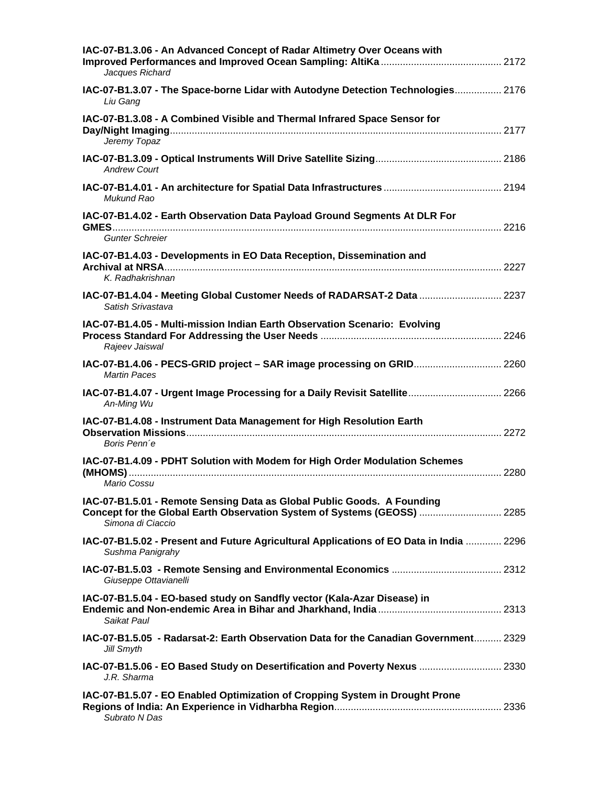| IAC-07-B1.3.06 - An Advanced Concept of Radar Altimetry Over Oceans with<br>Jacques Richard                                                                              |  |
|--------------------------------------------------------------------------------------------------------------------------------------------------------------------------|--|
| IAC-07-B1.3.07 - The Space-borne Lidar with Autodyne Detection Technologies 2176<br>Liu Gang                                                                             |  |
| IAC-07-B1.3.08 - A Combined Visible and Thermal Infrared Space Sensor for<br>Jeremy Topaz                                                                                |  |
| <b>Andrew Court</b>                                                                                                                                                      |  |
| Mukund Rao                                                                                                                                                               |  |
| IAC-07-B1.4.02 - Earth Observation Data Payload Ground Segments At DLR For                                                                                               |  |
| <b>Gunter Schreier</b>                                                                                                                                                   |  |
| IAC-07-B1.4.03 - Developments in EO Data Reception, Dissemination and<br>K. Radhakrishnan                                                                                |  |
| IAC-07-B1.4.04 - Meeting Global Customer Needs of RADARSAT-2 Data  2237<br>Satish Srivastava                                                                             |  |
| IAC-07-B1.4.05 - Multi-mission Indian Earth Observation Scenario: Evolving<br>Rajeev Jaiswal                                                                             |  |
| IAC-07-B1.4.06 - PECS-GRID project - SAR image processing on GRID 2260<br><b>Martin Paces</b>                                                                            |  |
| IAC-07-B1.4.07 - Urgent Image Processing for a Daily Revisit Satellite 2266<br>An-Ming Wu                                                                                |  |
| IAC-07-B1.4.08 - Instrument Data Management for High Resolution Earth<br>Boris Penn'e                                                                                    |  |
| IAC-07-B1.4.09 - PDHT Solution with Modem for High Order Modulation Schemes<br>Mario Cossu                                                                               |  |
| IAC-07-B1.5.01 - Remote Sensing Data as Global Public Goods. A Founding<br>Concept for the Global Earth Observation System of Systems (GEOSS)  2285<br>Simona di Ciaccio |  |
| IAC-07-B1.5.02 - Present and Future Agricultural Applications of EO Data in India  2296<br>Sushma Panigrahy                                                              |  |
| Giuseppe Ottavianelli                                                                                                                                                    |  |
| IAC-07-B1.5.04 - EO-based study on Sandfly vector (Kala-Azar Disease) in<br>Saikat Paul                                                                                  |  |
| IAC-07-B1.5.05 - Radarsat-2: Earth Observation Data for the Canadian Government 2329<br>Jill Smyth                                                                       |  |
| IAC-07-B1.5.06 - EO Based Study on Desertification and Poverty Nexus  2330<br>J.R. Sharma                                                                                |  |
| IAC-07-B1.5.07 - EO Enabled Optimization of Cropping System in Drought Prone<br>Subrato N Das                                                                            |  |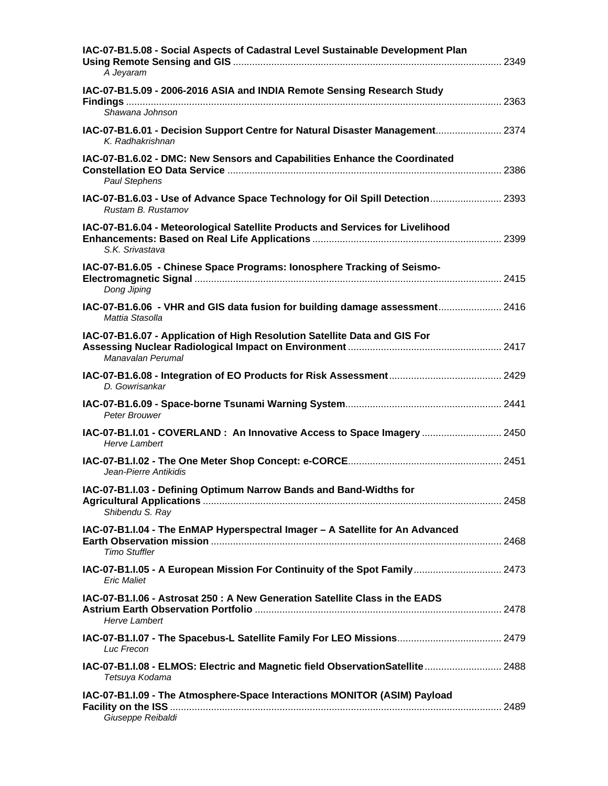| IAC-07-B1.5.08 - Social Aspects of Cadastral Level Sustainable Development Plan<br>A Jeyaram          |  |
|-------------------------------------------------------------------------------------------------------|--|
| IAC-07-B1.5.09 - 2006-2016 ASIA and INDIA Remote Sensing Research Study                               |  |
| Shawana Johnson                                                                                       |  |
| IAC-07-B1.6.01 - Decision Support Centre for Natural Disaster Management 2374<br>K. Radhakrishnan     |  |
| IAC-07-B1.6.02 - DMC: New Sensors and Capabilities Enhance the Coordinated<br><b>Paul Stephens</b>    |  |
| IAC-07-B1.6.03 - Use of Advance Space Technology for Oil Spill Detection 2393<br>Rustam B. Rustamov   |  |
| IAC-07-B1.6.04 - Meteorological Satellite Products and Services for Livelihood<br>S.K. Srivastava     |  |
| IAC-07-B1.6.05 - Chinese Space Programs: lonosphere Tracking of Seismo-<br>Dong Jiping                |  |
| IAC-07-B1.6.06 - VHR and GIS data fusion for building damage assessment 2416<br>Mattia Stasolla       |  |
| IAC-07-B1.6.07 - Application of High Resolution Satellite Data and GIS For<br>Manavalan Perumal       |  |
| D. Gowrisankar                                                                                        |  |
| Peter Brouwer                                                                                         |  |
| IAC-07-B1.I.01 - COVERLAND : An Innovative Access to Space Imagery  2450<br><b>Herve Lambert</b>      |  |
| Jean-Pierre Antikidis                                                                                 |  |
| IAC-07-B1.I.03 - Defining Optimum Narrow Bands and Band-Widths for<br>Shibendu S. Ray                 |  |
| IAC-07-B1.I.04 - The EnMAP Hyperspectral Imager - A Satellite for An Advanced<br><b>Timo Stuffler</b> |  |
| IAC-07-B1.I.05 - A European Mission For Continuity of the Spot Family 2473<br><b>Eric Maliet</b>      |  |
| IAC-07-B1.I.06 - Astrosat 250 : A New Generation Satellite Class in the EADS<br><b>Herve Lambert</b>  |  |
| Luc Frecon                                                                                            |  |
| IAC-07-B1.I.08 - ELMOS: Electric and Magnetic field ObservationSatellite  2488<br>Tetsuya Kodama      |  |
| IAC-07-B1.I.09 - The Atmosphere-Space Interactions MONITOR (ASIM) Payload<br>Giuseppe Reibaldi        |  |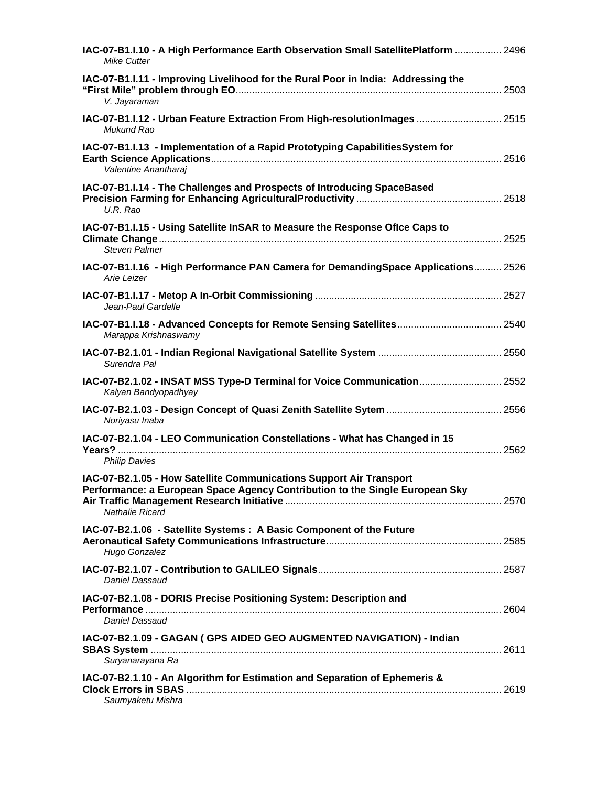| IAC-07-B1.I.10 - A High Performance Earth Observation Small SatellitePlatform  2496<br><b>Mike Cutter</b>                                                              |  |
|------------------------------------------------------------------------------------------------------------------------------------------------------------------------|--|
| IAC-07-B1.I.11 - Improving Livelihood for the Rural Poor in India: Addressing the<br>V. Jayaraman                                                                      |  |
| IAC-07-B1.I.12 - Urban Feature Extraction From High-resolutionImages  2515<br>Mukund Rao                                                                               |  |
| IAC-07-B1.I.13 - Implementation of a Rapid Prototyping CapabilitiesSystem for<br>Valentine Anantharaj                                                                  |  |
| IAC-07-B1.I.14 - The Challenges and Prospects of Introducing SpaceBased<br>U.R. Rao                                                                                    |  |
| IAC-07-B1.I.15 - Using Satellite InSAR to Measure the Response Oflce Caps to<br><b>Steven Palmer</b>                                                                   |  |
| IAC-07-B1.I.16 - High Performance PAN Camera for DemandingSpace Applications 2526<br>Arie Leizer                                                                       |  |
| Jean-Paul Gardelle                                                                                                                                                     |  |
| Marappa Krishnaswamy                                                                                                                                                   |  |
| Surendra Pal                                                                                                                                                           |  |
| IAC-07-B2.1.02 - INSAT MSS Type-D Terminal for Voice Communication 2552<br>Kalyan Bandyopadhyay                                                                        |  |
| Noriyasu Inaba                                                                                                                                                         |  |
| IAC-07-B2.1.04 - LEO Communication Constellations - What has Changed in 15<br><b>Philip Davies</b>                                                                     |  |
| IAC-07-B2.1.05 - How Satellite Communications Support Air Transport<br>Performance: a European Space Agency Contribution to the Single European Sky<br>Nathalie Ricard |  |
| IAC-07-B2.1.06 - Satellite Systems : A Basic Component of the Future<br>Hugo Gonzalez                                                                                  |  |
| Daniel Dassaud                                                                                                                                                         |  |
| IAC-07-B2.1.08 - DORIS Precise Positioning System: Description and<br>Daniel Dassaud                                                                                   |  |
| IAC-07-B2.1.09 - GAGAN ( GPS AIDED GEO AUGMENTED NAVIGATION) - Indian<br>Suryanarayana Ra                                                                              |  |
| IAC-07-B2.1.10 - An Algorithm for Estimation and Separation of Ephemeris &<br>Saumyaketu Mishra                                                                        |  |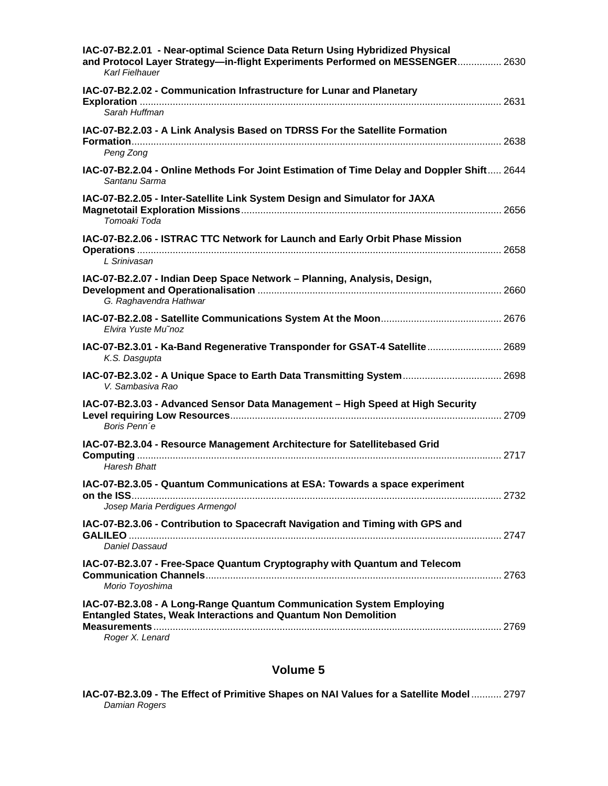| IAC-07-B2.2.01 - Near-optimal Science Data Return Using Hybridized Physical<br>and Protocol Layer Strategy—in-flight Experiments Performed on MESSENGER 2630<br>Karl Fielhauer |  |
|--------------------------------------------------------------------------------------------------------------------------------------------------------------------------------|--|
| IAC-07-B2.2.02 - Communication Infrastructure for Lunar and Planetary<br>Sarah Huffman                                                                                         |  |
| IAC-07-B2.2.03 - A Link Analysis Based on TDRSS For the Satellite Formation<br>Peng Zong                                                                                       |  |
| IAC-07-B2.2.04 - Online Methods For Joint Estimation of Time Delay and Doppler Shift 2644<br>Santanu Sarma                                                                     |  |
| IAC-07-B2.2.05 - Inter-Satellite Link System Design and Simulator for JAXA<br>Tomoaki Toda                                                                                     |  |
| IAC-07-B2.2.06 - ISTRAC TTC Network for Launch and Early Orbit Phase Mission<br>L Srinivasan                                                                                   |  |
| IAC-07-B2.2.07 - Indian Deep Space Network - Planning, Analysis, Design,<br>G. Raghavendra Hathwar                                                                             |  |
| Elvira Yuste Mu'noz                                                                                                                                                            |  |
| IAC-07-B2.3.01 - Ka-Band Regenerative Transponder for GSAT-4 Satellite 2689<br>K.S. Dasgupta                                                                                   |  |
| IAC-07-B2.3.02 - A Unique Space to Earth Data Transmitting System 2698<br>V. Sambasiva Rao                                                                                     |  |
| IAC-07-B2.3.03 - Advanced Sensor Data Management - High Speed at High Security<br>Boris Penn'e                                                                                 |  |
| IAC-07-B2.3.04 - Resource Management Architecture for Satellitebased Grid<br><b>Haresh Bhatt</b>                                                                               |  |
| IAC-07-B2.3.05 - Quantum Communications at ESA: Towards a space experiment<br>Josep Maria Perdigues Armengol                                                                   |  |
| IAC-07-B2.3.06 - Contribution to Spacecraft Navigation and Timing with GPS and<br>Daniel Dassaud                                                                               |  |
| IAC-07-B2.3.07 - Free-Space Quantum Cryptography with Quantum and Telecom<br>Morio Toyoshima                                                                                   |  |
| IAC-07-B2.3.08 - A Long-Range Quantum Communication System Employing<br><b>Entangled States, Weak Interactions and Quantum Non Demolition</b><br>Roger X. Lenard               |  |

|               | IAC-07-B2.3.09 - The Effect of Primitive Shapes on NAI Values for a Satellite Model  2797 |  |  |
|---------------|-------------------------------------------------------------------------------------------|--|--|
| Damian Rogers |                                                                                           |  |  |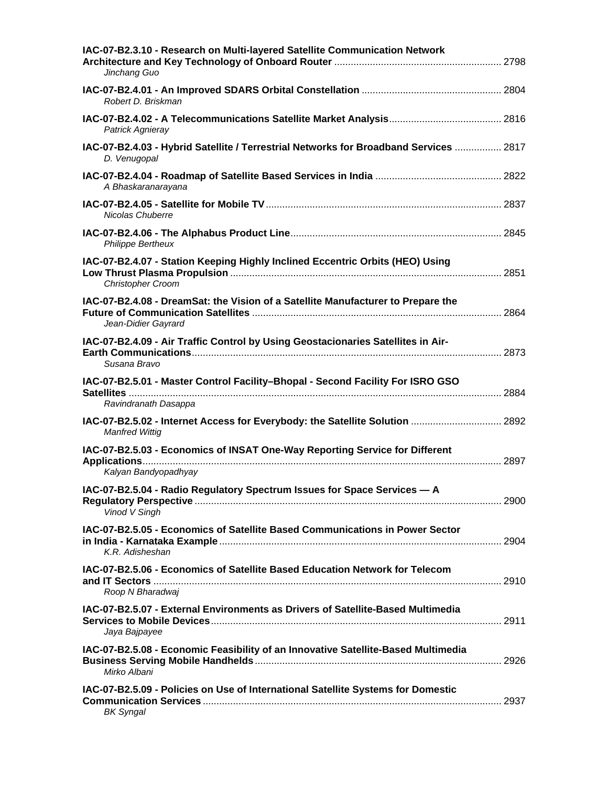| IAC-07-B2.3.10 - Research on Multi-layered Satellite Communication Network<br>Jinchang Guo                |  |
|-----------------------------------------------------------------------------------------------------------|--|
| Robert D. Briskman                                                                                        |  |
| Patrick Agnieray                                                                                          |  |
| IAC-07-B2.4.03 - Hybrid Satellite / Terrestrial Networks for Broadband Services  2817<br>D. Venugopal     |  |
| A Bhaskaranarayana                                                                                        |  |
| Nicolas Chuberre                                                                                          |  |
| <b>Philippe Bertheux</b>                                                                                  |  |
| IAC-07-B2.4.07 - Station Keeping Highly Inclined Eccentric Orbits (HEO) Using<br><b>Christopher Croom</b> |  |
| IAC-07-B2.4.08 - DreamSat: the Vision of a Satellite Manufacturer to Prepare the<br>Jean-Didier Gayrard   |  |
| IAC-07-B2.4.09 - Air Traffic Control by Using Geostacionaries Satellites in Air-<br>Susana Bravo          |  |
| IAC-07-B2.5.01 - Master Control Facility-Bhopal - Second Facility For ISRO GSO<br>Ravindranath Dasappa    |  |
| IAC-07-B2.5.02 - Internet Access for Everybody: the Satellite Solution  2892<br><b>Manfred Wittig</b>     |  |
| IAC-07-B2.5.03 - Economics of INSAT One-Way Reporting Service for Different<br>Kalyan Bandyopadhyay       |  |
| IAC-07-B2.5.04 - Radio Regulatory Spectrum Issues for Space Services - A<br>Vinod V Singh                 |  |
| IAC-07-B2.5.05 - Economics of Satellite Based Communications in Power Sector<br>K.R. Adisheshan           |  |
| IAC-07-B2.5.06 - Economics of Satellite Based Education Network for Telecom<br>Roop N Bharadwai           |  |
| IAC-07-B2.5.07 - External Environments as Drivers of Satellite-Based Multimedia<br>Jaya Bajpayee          |  |
| IAC-07-B2.5.08 - Economic Feasibility of an Innovative Satellite-Based Multimedia<br>Mirko Albani         |  |
| IAC-07-B2.5.09 - Policies on Use of International Satellite Systems for Domestic<br><b>BK Syngal</b>      |  |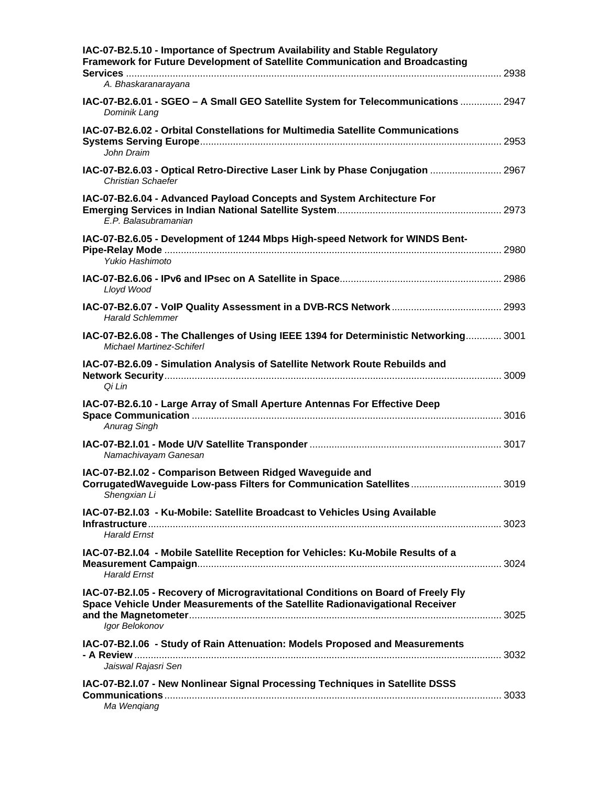| IAC-07-B2.5.10 - Importance of Spectrum Availability and Stable Regulatory<br>Framework for Future Development of Satellite Communication and Broadcasting                          |  |
|-------------------------------------------------------------------------------------------------------------------------------------------------------------------------------------|--|
| A. Bhaskaranarayana                                                                                                                                                                 |  |
| IAC-07-B2.6.01 - SGEO - A Small GEO Satellite System for Telecommunications  2947<br>Dominik Lang                                                                                   |  |
| IAC-07-B2.6.02 - Orbital Constellations for Multimedia Satellite Communications<br>John Draim                                                                                       |  |
| IAC-07-B2.6.03 - Optical Retro-Directive Laser Link by Phase Conjugation  2967<br><b>Christian Schaefer</b>                                                                         |  |
| IAC-07-B2.6.04 - Advanced Payload Concepts and System Architecture For<br>E.P. Balasubramanian                                                                                      |  |
| IAC-07-B2.6.05 - Development of 1244 Mbps High-speed Network for WINDS Bent-<br>Yukio Hashimoto                                                                                     |  |
| Lloyd Wood                                                                                                                                                                          |  |
| <b>Harald Schlemmer</b>                                                                                                                                                             |  |
| IAC-07-B2.6.08 - The Challenges of Using IEEE 1394 for Deterministic Networking 3001<br><b>Michael Martinez-Schiferl</b>                                                            |  |
| IAC-07-B2.6.09 - Simulation Analysis of Satellite Network Route Rebuilds and<br>Qi Lin                                                                                              |  |
| IAC-07-B2.6.10 - Large Array of Small Aperture Antennas For Effective Deep<br>Anurag Singh                                                                                          |  |
| Namachivayam Ganesan                                                                                                                                                                |  |
| IAC-07-B2.I.02 - Comparison Between Ridged Waveguide and<br>CorrugatedWaveguide Low-pass Filters for Communication Satellites  3019<br>Shengxian Li                                 |  |
| IAC-07-B2.I.03 - Ku-Mobile: Satellite Broadcast to Vehicles Using Available<br><b>Harald Ernst</b>                                                                                  |  |
| IAC-07-B2.I.04 - Mobile Satellite Reception for Vehicles: Ku-Mobile Results of a<br><b>Harald Ernst</b>                                                                             |  |
| IAC-07-B2.I.05 - Recovery of Microgravitational Conditions on Board of Freely Fly<br>Space Vehicle Under Measurements of the Satellite Radionavigational Receiver<br>Igor Belokonov |  |
| IAC-07-B2.I.06 - Study of Rain Attenuation: Models Proposed and Measurements<br>Jaiswal Rajasri Sen                                                                                 |  |
| IAC-07-B2.I.07 - New Nonlinear Signal Processing Techniques in Satellite DSSS<br>Ma Wengiang                                                                                        |  |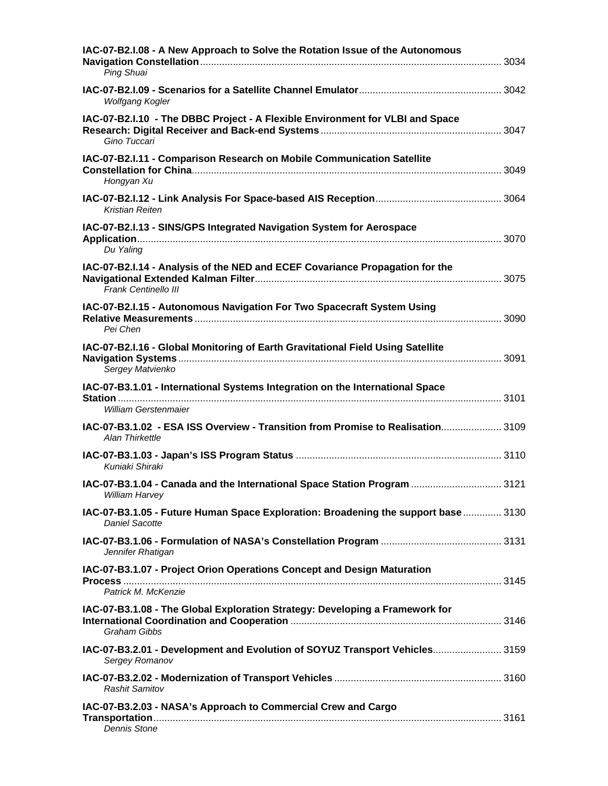| IAC-07-B2.I.08 - A New Approach to Solve the Rotation Issue of the Autonomous<br>Ping Shuai                 |  |
|-------------------------------------------------------------------------------------------------------------|--|
| Wolfgang Kogler                                                                                             |  |
| IAC-07-B2.I.10 - The DBBC Project - A Flexible Environment for VLBI and Space<br>Gino Tuccari               |  |
| IAC-07-B2.I.11 - Comparison Research on Mobile Communication Satellite<br>Hongyan Xu                        |  |
| Kristian Reiten                                                                                             |  |
| IAC-07-B2.I.13 - SINS/GPS Integrated Navigation System for Aerospace<br>Du Yaling                           |  |
| IAC-07-B2.I.14 - Analysis of the NED and ECEF Covariance Propagation for the<br>Frank Centinello III        |  |
| IAC-07-B2.I.15 - Autonomous Navigation For Two Spacecraft System Using<br>Pei Chen                          |  |
| IAC-07-B2.I.16 - Global Monitoring of Earth Gravitational Field Using Satellite<br>Sergey Matvienko         |  |
| IAC-07-B3.1.01 - International Systems Integration on the International Space<br>William Gerstenmaier       |  |
| IAC-07-B3.1.02 - ESA ISS Overview - Transition from Promise to Realisation 3109<br>Alan Thirkettle          |  |
| Kuniaki Shiraki                                                                                             |  |
| IAC-07-B3.1.04 - Canada and the International Space Station Program  3121<br>William Harvey                 |  |
| IAC-07-B3.1.05 - Future Human Space Exploration: Broadening the support base  3130<br><b>Daniel Sacotte</b> |  |
| Jennifer Rhatigan                                                                                           |  |
| IAC-07-B3.1.07 - Project Orion Operations Concept and Design Maturation<br>Process<br>Patrick M. McKenzie   |  |
| IAC-07-B3.1.08 - The Global Exploration Strategy: Developing a Framework for<br>Graham Gibbs                |  |
| IAC-07-B3.2.01 - Development and Evolution of SOYUZ Transport Vehicles 3159<br>Sergey Romanov               |  |
| <b>Rashit Samitov</b>                                                                                       |  |
| IAC-07-B3.2.03 - NASA's Approach to Commercial Crew and Cargo<br><b>Dennis Stone</b>                        |  |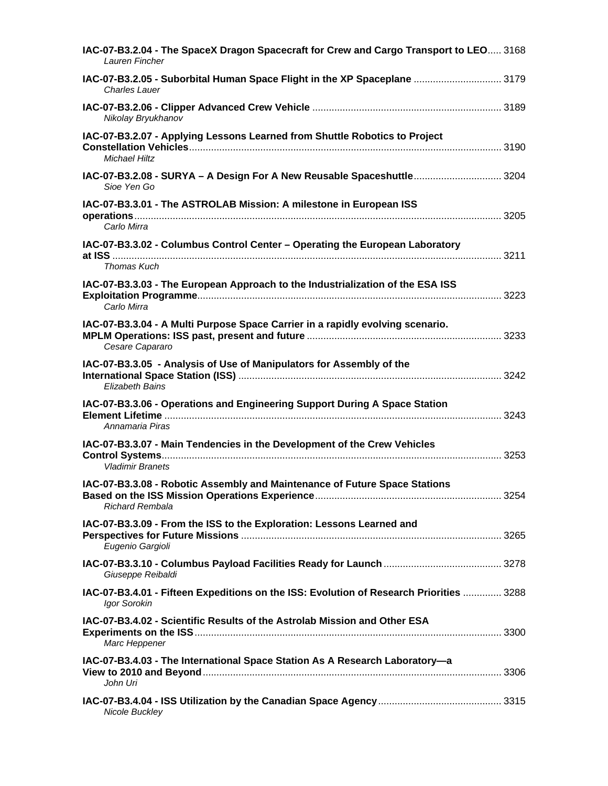| IAC-07-B3.2.04 - The SpaceX Dragon Spacecraft for Crew and Cargo Transport to LEO 3168<br>Lauren Fincher |  |
|----------------------------------------------------------------------------------------------------------|--|
| IAC-07-B3.2.05 - Suborbital Human Space Flight in the XP Spaceplane  3179<br>Charles Lauer               |  |
| Nikolay Bryukhanov                                                                                       |  |
| IAC-07-B3.2.07 - Applying Lessons Learned from Shuttle Robotics to Project<br><b>Michael Hiltz</b>       |  |
| IAC-07-B3.2.08 - SURYA - A Design For A New Reusable Spaceshuttle 3204<br>Sioe Yen Go                    |  |
| IAC-07-B3.3.01 - The ASTROLAB Mission: A milestone in European ISS<br>Carlo Mirra                        |  |
| IAC-07-B3.3.02 - Columbus Control Center - Operating the European Laboratory<br>Thomas Kuch              |  |
| IAC-07-B3.3.03 - The European Approach to the Industrialization of the ESA ISS<br>Carlo Mirra            |  |
| IAC-07-B3.3.04 - A Multi Purpose Space Carrier in a rapidly evolving scenario.<br>Cesare Capararo        |  |
| IAC-07-B3.3.05 - Analysis of Use of Manipulators for Assembly of the<br>Elizabeth Bains                  |  |
| IAC-07-B3.3.06 - Operations and Engineering Support During A Space Station<br>Annamaria Piras            |  |
| IAC-07-B3.3.07 - Main Tendencies in the Development of the Crew Vehicles<br><b>Vladimir Branets</b>      |  |
| IAC-07-B3.3.08 - Robotic Assembly and Maintenance of Future Space Stations<br><b>Richard Rembala</b>     |  |
| IAC-07-B3.3.09 - From the ISS to the Exploration: Lessons Learned and<br>Eugenio Gargioli                |  |
| Giuseppe Reibaldi                                                                                        |  |
| IAC-07-B3.4.01 - Fifteen Expeditions on the ISS: Evolution of Research Priorities  3288<br>Igor Sorokin  |  |
| IAC-07-B3.4.02 - Scientific Results of the Astrolab Mission and Other ESA<br>Marc Heppener               |  |
| IAC-07-B3.4.03 - The International Space Station As A Research Laboratory-a<br>John Uri                  |  |
| Nicole Buckley                                                                                           |  |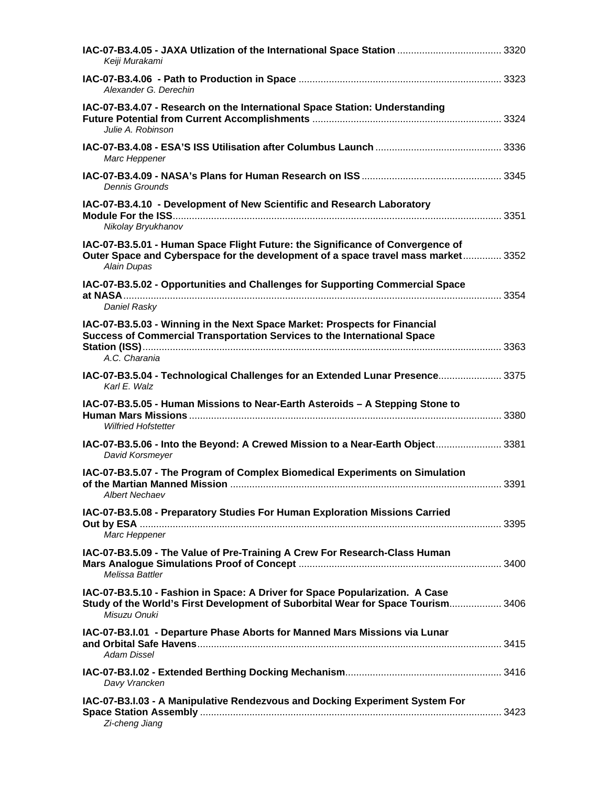| Keiii Murakami                                                                                                                                                                     |  |
|------------------------------------------------------------------------------------------------------------------------------------------------------------------------------------|--|
| Alexander G. Derechin                                                                                                                                                              |  |
| IAC-07-B3.4.07 - Research on the International Space Station: Understanding<br>Julie A. Robinson                                                                                   |  |
| Marc Heppener                                                                                                                                                                      |  |
| <b>Dennis Grounds</b>                                                                                                                                                              |  |
| IAC-07-B3.4.10 - Development of New Scientific and Research Laboratory<br>Nikolay Bryukhanov                                                                                       |  |
| IAC-07-B3.5.01 - Human Space Flight Future: the Significance of Convergence of<br>Outer Space and Cyberspace for the development of a space travel mass market 3352<br>Alain Dupas |  |
| IAC-07-B3.5.02 - Opportunities and Challenges for Supporting Commercial Space<br>Daniel Rasky                                                                                      |  |
| IAC-07-B3.5.03 - Winning in the Next Space Market: Prospects for Financial<br>Success of Commercial Transportation Services to the International Space<br>A.C. Charania            |  |
| IAC-07-B3.5.04 - Technological Challenges for an Extended Lunar Presence 3375<br>Karl E. Walz                                                                                      |  |
| IAC-07-B3.5.05 - Human Missions to Near-Earth Asteroids - A Stepping Stone to<br><b>Wilfried Hofstetter</b>                                                                        |  |
| IAC-07-B3.5.06 - Into the Beyond: A Crewed Mission to a Near-Earth Object 3381<br>David Korsmeyer                                                                                  |  |
| IAC-07-B3.5.07 - The Program of Complex Biomedical Experiments on Simulation<br><b>Albert Nechaev</b>                                                                              |  |
| IAC-07-B3.5.08 - Preparatory Studies For Human Exploration Missions Carried<br>Marc Heppener                                                                                       |  |
| IAC-07-B3.5.09 - The Value of Pre-Training A Crew For Research-Class Human<br>Melissa Battler                                                                                      |  |
| IAC-07-B3.5.10 - Fashion in Space: A Driver for Space Popularization. A Case<br>Study of the World's First Development of Suborbital Wear for Space Tourism 3406<br>Misuzu Onuki   |  |
| IAC-07-B3.I.01 - Departure Phase Aborts for Manned Mars Missions via Lunar<br><b>Adam Dissel</b>                                                                                   |  |
| Davy Vrancken                                                                                                                                                                      |  |
| IAC-07-B3.I.03 - A Manipulative Rendezvous and Docking Experiment System For<br>Zi-cheng Jiang                                                                                     |  |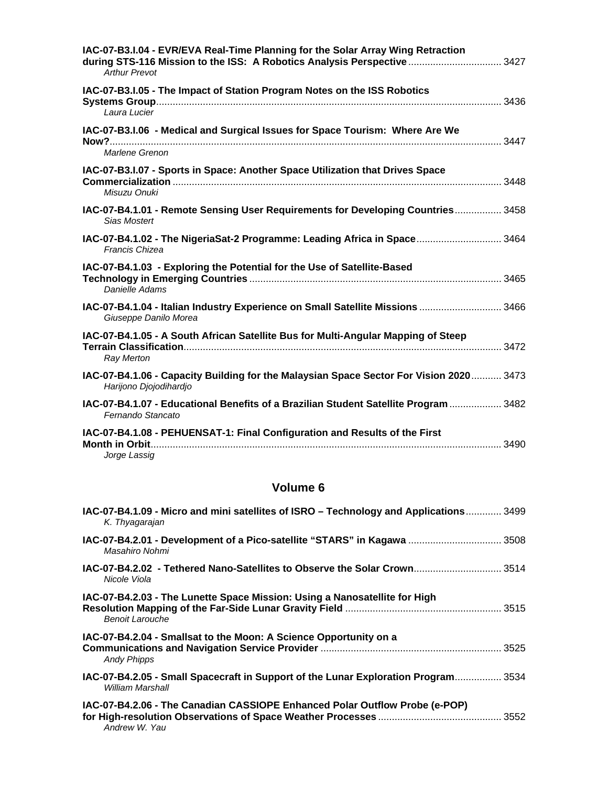| IAC-07-B3.I.04 - EVR/EVA Real-Time Planning for the Solar Array Wing Retraction<br>during STS-116 Mission to the ISS: A Robotics Analysis Perspective  3427<br><b>Arthur Prevot</b> |  |
|-------------------------------------------------------------------------------------------------------------------------------------------------------------------------------------|--|
| IAC-07-B3.I.05 - The Impact of Station Program Notes on the ISS Robotics<br>Laura Lucier                                                                                            |  |
| IAC-07-B3.I.06 - Medical and Surgical Issues for Space Tourism: Where Are We<br>Marlene Grenon                                                                                      |  |
| IAC-07-B3.I.07 - Sports in Space: Another Space Utilization that Drives Space<br>Misuzu Onuki                                                                                       |  |
| IAC-07-B4.1.01 - Remote Sensing User Requirements for Developing Countries 3458<br>Sias Mostert                                                                                     |  |
| IAC-07-B4.1.02 - The NigeriaSat-2 Programme: Leading Africa in Space 3464<br>Francis Chizea                                                                                         |  |
| IAC-07-B4.1.03 - Exploring the Potential for the Use of Satellite-Based<br>Danielle Adams                                                                                           |  |
| IAC-07-B4.1.04 - Italian Industry Experience on Small Satellite Missions  3466<br>Giuseppe Danilo Morea                                                                             |  |
| IAC-07-B4.1.05 - A South African Satellite Bus for Multi-Angular Mapping of Steep<br><b>Ray Merton</b>                                                                              |  |
| IAC-07-B4.1.06 - Capacity Building for the Malaysian Space Sector For Vision 2020 3473<br>Harijono Djojodihardjo                                                                    |  |
| IAC-07-B4.1.07 - Educational Benefits of a Brazilian Student Satellite Program  3482<br>Fernando Stancato                                                                           |  |
| IAC-07-B4.1.08 - PEHUENSAT-1: Final Configuration and Results of the First<br>Jorge Lassig                                                                                          |  |

| IAC-07-B4.1.09 - Micro and mini satellites of ISRO - Technology and Applications 3499<br>K. Thyagarajan |  |
|---------------------------------------------------------------------------------------------------------|--|
| IAC-07-B4.2.01 - Development of a Pico-satellite "STARS" in Kagawa  3508<br>Masahiro Nohmi              |  |
| <b>IAC-07-B4.2.02 - Tethered Nano-Satellites to Observe the Solar Crown</b> 3514<br>Nicole Viola        |  |
| IAC-07-B4.2.03 - The Lunette Space Mission: Using a Nanosatellite for High<br>Benoit Larouche           |  |
| IAC-07-B4.2.04 - Smallsat to the Moon: A Science Opportunity on a<br><b>Andy Phipps</b>                 |  |
| IAC-07-B4.2.05 - Small Spacecraft in Support of the Lunar Exploration Program 3534<br>William Marshall  |  |
| IAC-07-B4.2.06 - The Canadian CASSIOPE Enhanced Polar Outflow Probe (e-POP)<br>Andrew W. Yau            |  |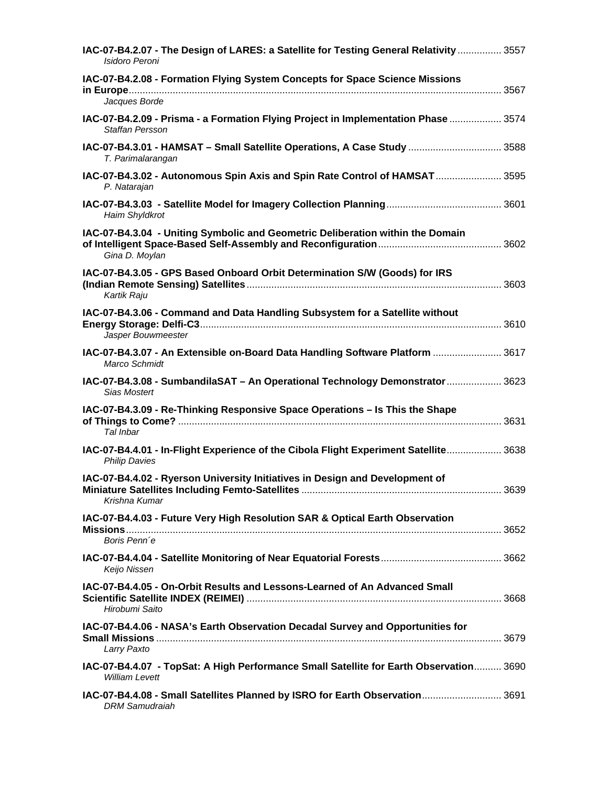| IAC-07-B4.2.07 - The Design of LARES: a Satellite for Testing General Relativity  3557<br>Isidoro Peroni        |  |
|-----------------------------------------------------------------------------------------------------------------|--|
| IAC-07-B4.2.08 - Formation Flying System Concepts for Space Science Missions<br>Jacques Borde                   |  |
| IAC-07-B4.2.09 - Prisma - a Formation Flying Project in Implementation Phase  3574<br><b>Staffan Persson</b>    |  |
| IAC-07-B4.3.01 - HAMSAT - Small Satellite Operations, A Case Study  3588<br>T. Parimalarangan                   |  |
| IAC-07-B4.3.02 - Autonomous Spin Axis and Spin Rate Control of HAMSAT  3595<br>P. Natarajan                     |  |
| Haim Shyldkrot                                                                                                  |  |
| IAC-07-B4.3.04 - Uniting Symbolic and Geometric Deliberation within the Domain<br>Gina D. Moylan                |  |
| IAC-07-B4.3.05 - GPS Based Onboard Orbit Determination S/W (Goods) for IRS<br>Kartik Raju                       |  |
| IAC-07-B4.3.06 - Command and Data Handling Subsystem for a Satellite without<br>Jasper Bouwmeester              |  |
| IAC-07-B4.3.07 - An Extensible on-Board Data Handling Software Platform  3617<br>Marco Schmidt                  |  |
| IAC-07-B4.3.08 - SumbandilaSAT - An Operational Technology Demonstrator  3623<br><b>Sias Mostert</b>            |  |
| IAC-07-B4.3.09 - Re-Thinking Responsive Space Operations - Is This the Shape<br>Tal Inbar                       |  |
| IAC-07-B4.4.01 - In-Flight Experience of the Cibola Flight Experiment Satellite 3638<br><b>Philip Davies</b>    |  |
| IAC-07-B4.4.02 - Ryerson University Initiatives in Design and Development of<br>Krishna Kumar                   |  |
| IAC-07-B4.4.03 - Future Very High Resolution SAR & Optical Earth Observation<br>Boris Penn'e                    |  |
|                                                                                                                 |  |
| Keijo Nissen                                                                                                    |  |
| IAC-07-B4.4.05 - On-Orbit Results and Lessons-Learned of An Advanced Small<br>Hirobumi Saito                    |  |
| IAC-07-B4.4.06 - NASA's Earth Observation Decadal Survey and Opportunities for<br>Larry Paxto                   |  |
| IAC-07-B4.4.07 - TopSat: A High Performance Small Satellite for Earth Observation 3690<br><b>William Levett</b> |  |
| IAC-07-B4.4.08 - Small Satellites Planned by ISRO for Earth Observation 3691<br><b>DRM</b> Samudraiah           |  |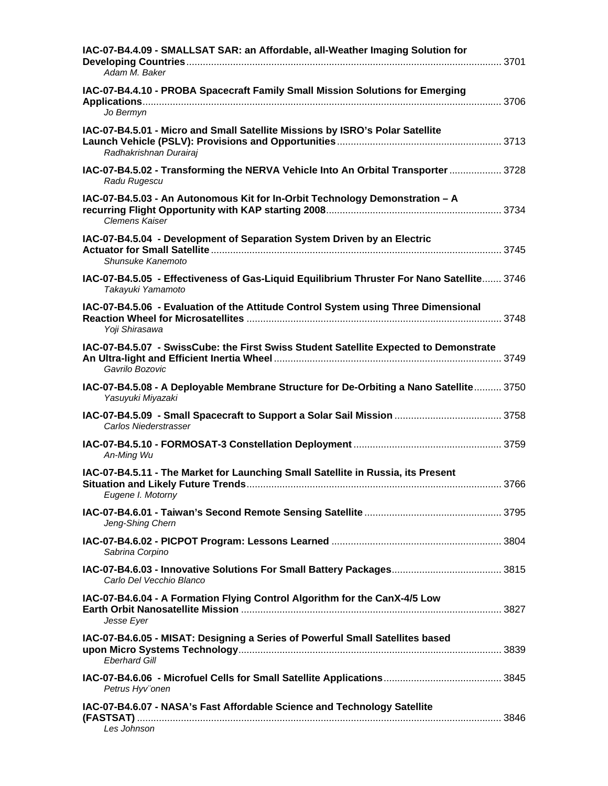| IAC-07-B4.4.09 - SMALLSAT SAR: an Affordable, all-Weather Imaging Solution for<br>Adam M. Baker                |  |
|----------------------------------------------------------------------------------------------------------------|--|
| IAC-07-B4.4.10 - PROBA Spacecraft Family Small Mission Solutions for Emerging                                  |  |
| Jo Bermyn                                                                                                      |  |
| IAC-07-B4.5.01 - Micro and Small Satellite Missions by ISRO's Polar Satellite<br>Radhakrishnan Durairaj        |  |
| IAC-07-B4.5.02 - Transforming the NERVA Vehicle Into An Orbital Transporter  3728<br>Radu Rugescu              |  |
| IAC-07-B4.5.03 - An Autonomous Kit for In-Orbit Technology Demonstration - A<br><b>Clemens Kaiser</b>          |  |
| IAC-07-B4.5.04 - Development of Separation System Driven by an Electric<br>Shunsuke Kanemoto                   |  |
| IAC-07-B4.5.05 - Effectiveness of Gas-Liquid Equilibrium Thruster For Nano Satellite 3746<br>Takayuki Yamamoto |  |
| IAC-07-B4.5.06 - Evaluation of the Attitude Control System using Three Dimensional<br>Yoji Shirasawa           |  |
| IAC-07-B4.5.07 - SwissCube: the First Swiss Student Satellite Expected to Demonstrate<br>Gavrilo Bozovic       |  |
| IAC-07-B4.5.08 - A Deployable Membrane Structure for De-Orbiting a Nano Satellite 3750<br>Yasuyuki Miyazaki    |  |
| Carlos Niederstrasser                                                                                          |  |
| An-Ming Wu                                                                                                     |  |
| IAC-07-B4.5.11 - The Market for Launching Small Satellite in Russia, its Present<br>Eugene I. Motorny          |  |
| Jeng-Shing Chern                                                                                               |  |
| Sabrina Corpino                                                                                                |  |
| Carlo Del Vecchio Blanco                                                                                       |  |
| IAC-07-B4.6.04 - A Formation Flying Control Algorithm for the CanX-4/5 Low<br>Jesse Eyer                       |  |
| IAC-07-B4.6.05 - MISAT: Designing a Series of Powerful Small Satellites based<br><b>Eberhard Gill</b>          |  |
| Petrus Hyv"onen                                                                                                |  |
| IAC-07-B4.6.07 - NASA's Fast Affordable Science and Technology Satellite<br>Les Johnson                        |  |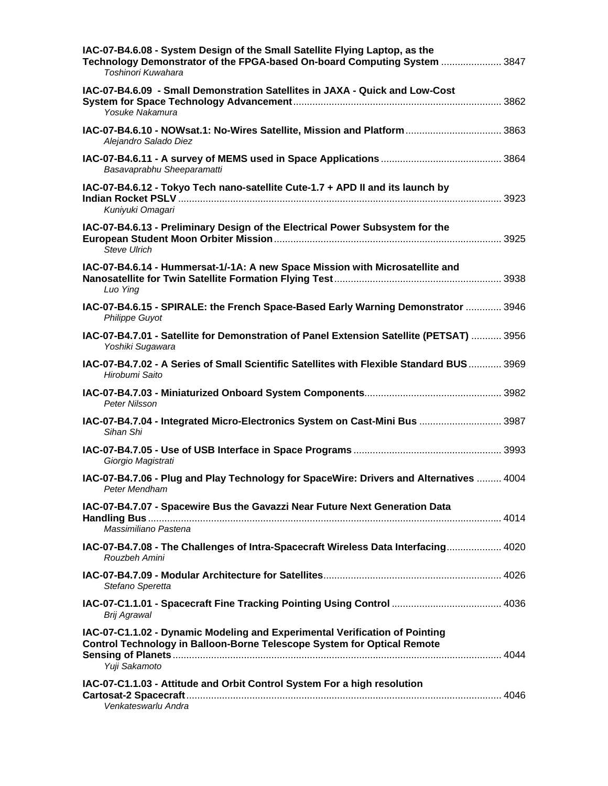| IAC-07-B4.6.08 - System Design of the Small Satellite Flying Laptop, as the<br>Technology Demonstrator of the FPGA-based On-board Computing System  3847<br>Toshinori Kuwahara |  |
|--------------------------------------------------------------------------------------------------------------------------------------------------------------------------------|--|
| IAC-07-B4.6.09 - Small Demonstration Satellites in JAXA - Quick and Low-Cost<br>Yosuke Nakamura                                                                                |  |
| IAC-07-B4.6.10 - NOWsat.1: No-Wires Satellite, Mission and Platform  3863<br>Alejandro Salado Diez                                                                             |  |
| Basavaprabhu Sheeparamatti                                                                                                                                                     |  |
| IAC-07-B4.6.12 - Tokyo Tech nano-satellite Cute-1.7 + APD II and its launch by<br>Kuniyuki Omagari                                                                             |  |
| IAC-07-B4.6.13 - Preliminary Design of the Electrical Power Subsystem for the<br><b>Steve Ulrich</b>                                                                           |  |
| IAC-07-B4.6.14 - Hummersat-1/-1A: A new Space Mission with Microsatellite and<br>Luo Ying                                                                                      |  |
| IAC-07-B4.6.15 - SPIRALE: the French Space-Based Early Warning Demonstrator  3946<br><b>Philippe Guyot</b>                                                                     |  |
| IAC-07-B4.7.01 - Satellite for Demonstration of Panel Extension Satellite (PETSAT)  3956<br>Yoshiki Sugawara                                                                   |  |
| IAC-07-B4.7.02 - A Series of Small Scientific Satellites with Flexible Standard BUS 3969<br>Hirobumi Saito                                                                     |  |
| Peter Nilsson                                                                                                                                                                  |  |
| 1AC-07-B4.7.04 - Integrated Micro-Electronics System on Cast-Mini Bus  3987<br>Sihan Shi                                                                                       |  |
| Giorgio Magistrati                                                                                                                                                             |  |
| IAC-07-B4.7.06 - Plug and Play Technology for SpaceWire: Drivers and Alternatives  4004<br>Peter Mendham                                                                       |  |
| IAC-07-B4.7.07 - Spacewire Bus the Gavazzi Near Future Next Generation Data                                                                                                    |  |
| Massimiliano Pastena                                                                                                                                                           |  |
| IAC-07-B4.7.08 - The Challenges of Intra-Spacecraft Wireless Data Interfacing 4020<br>Rouzbeh Amini                                                                            |  |
| Stefano Speretta                                                                                                                                                               |  |
| Brij Agrawal                                                                                                                                                                   |  |
| IAC-07-C1.1.02 - Dynamic Modeling and Experimental Verification of Pointing<br>Control Technology in Balloon-Borne Telescope System for Optical Remote<br>Yuji Sakamoto        |  |
| IAC-07-C1.1.03 - Attitude and Orbit Control System For a high resolution<br>Venkateswarlu Andra                                                                                |  |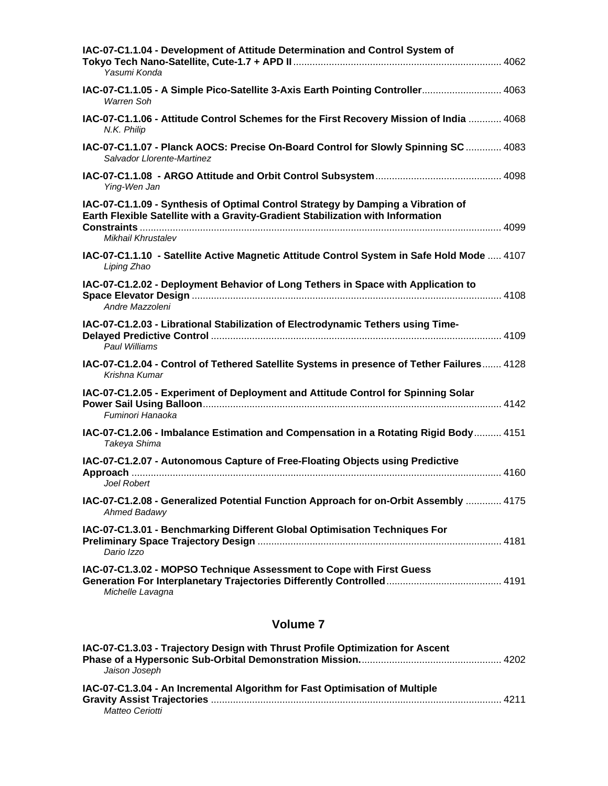| IAC-07-C1.1.04 - Development of Attitude Determination and Control System of<br>Yasumi Konda                                                                                              |
|-------------------------------------------------------------------------------------------------------------------------------------------------------------------------------------------|
| IAC-07-C1.1.05 - A Simple Pico-Satellite 3-Axis Earth Pointing Controller 4063<br>Warren Soh                                                                                              |
| IAC-07-C1.1.06 - Attitude Control Schemes for the First Recovery Mission of India  4068<br>N.K. Philip                                                                                    |
| IAC-07-C1.1.07 - Planck AOCS: Precise On-Board Control for Slowly Spinning SC  4083<br>Salvador Llorente-Martinez                                                                         |
| Ying-Wen Jan                                                                                                                                                                              |
| IAC-07-C1.1.09 - Synthesis of Optimal Control Strategy by Damping a Vibration of<br>Earth Flexible Satellite with a Gravity-Gradient Stabilization with Information<br>Mikhail Khrustalev |
| IAC-07-C1.1.10 - Satellite Active Magnetic Attitude Control System in Safe Hold Mode  4107<br>Liping Zhao                                                                                 |
| IAC-07-C1.2.02 - Deployment Behavior of Long Tethers in Space with Application to<br>Andre Mazzoleni                                                                                      |
| IAC-07-C1.2.03 - Librational Stabilization of Electrodynamic Tethers using Time-<br>Paul Williams                                                                                         |
| IAC-07-C1.2.04 - Control of Tethered Satellite Systems in presence of Tether Failures 4128<br>Krishna Kumar                                                                               |
| IAC-07-C1.2.05 - Experiment of Deployment and Attitude Control for Spinning Solar<br>Fuminori Hanaoka                                                                                     |
| IAC-07-C1.2.06 - Imbalance Estimation and Compensation in a Rotating Rigid Body 4151<br>Takeya Shima                                                                                      |
| IAC-07-C1.2.07 - Autonomous Capture of Free-Floating Objects using Predictive<br>Joel Robert                                                                                              |
| IAC-07-C1.2.08 - Generalized Potential Function Approach for on-Orbit Assembly  4175<br>Ahmed Badawy                                                                                      |
| IAC-07-C1.3.01 - Benchmarking Different Global Optimisation Techniques For<br>Dario Izzo                                                                                                  |
| IAC-07-C1.3.02 - MOPSO Technique Assessment to Cope with First Guess<br>Michelle Lavagna                                                                                                  |

| IAC-07-C1.3.03 - Trajectory Design with Thrust Profile Optimization for Ascent |  |
|--------------------------------------------------------------------------------|--|
|                                                                                |  |
| Jaison Joseph                                                                  |  |
| IAC-07-C1.3.04 - An Incremental Algorithm for Fast Optimisation of Multiple    |  |
|                                                                                |  |
| Matteo Ceriotti                                                                |  |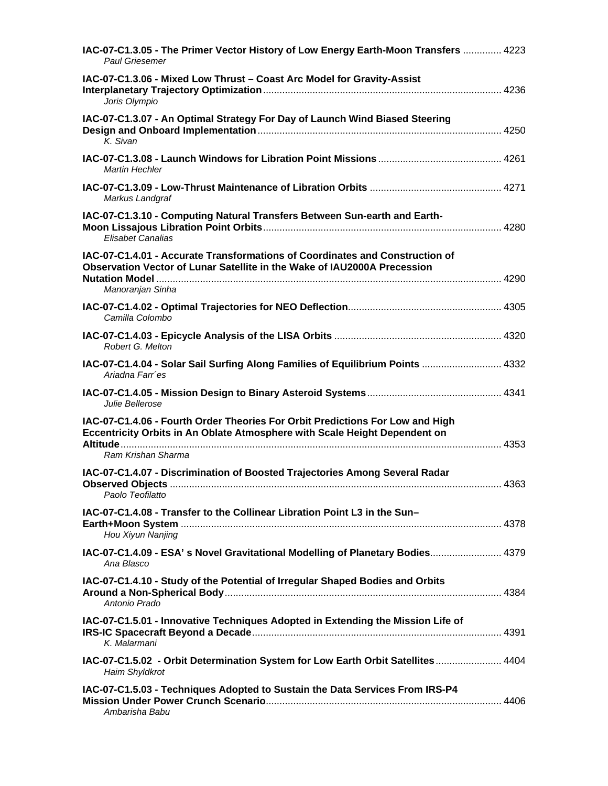| IAC-07-C1.3.05 - The Primer Vector History of Low Energy Earth-Moon Transfers  4223<br>Paul Griesemer                                                                             |  |
|-----------------------------------------------------------------------------------------------------------------------------------------------------------------------------------|--|
| IAC-07-C1.3.06 - Mixed Low Thrust - Coast Arc Model for Gravity-Assist<br>Joris Olympio                                                                                           |  |
| IAC-07-C1.3.07 - An Optimal Strategy For Day of Launch Wind Biased Steering<br>K. Sivan                                                                                           |  |
| Martin Hechler                                                                                                                                                                    |  |
| Markus Landgraf                                                                                                                                                                   |  |
| IAC-07-C1.3.10 - Computing Natural Transfers Between Sun-earth and Earth-<br><b>Elisabet Canalias</b>                                                                             |  |
| IAC-07-C1.4.01 - Accurate Transformations of Coordinates and Construction of<br>Observation Vector of Lunar Satellite in the Wake of IAU2000A Precession<br>Manoranjan Sinha      |  |
| Camilla Colombo                                                                                                                                                                   |  |
| Robert G. Melton                                                                                                                                                                  |  |
| IAC-07-C1.4.04 - Solar Sail Surfing Along Families of Equilibrium Points  4332<br>Ariadna Farr'es                                                                                 |  |
| Julie Bellerose                                                                                                                                                                   |  |
| IAC-07-C1.4.06 - Fourth Order Theories For Orbit Predictions For Low and High<br>Eccentricity Orbits in An Oblate Atmosphere with Scale Height Dependent on<br>Ram Krishan Sharma |  |
| IAC-07-C1.4.07 - Discrimination of Boosted Trajectories Among Several Radar<br>Paolo Teofilatto                                                                                   |  |
| IAC-07-C1.4.08 - Transfer to the Collinear Libration Point L3 in the Sun-<br>Hou Xiyun Nanjing                                                                                    |  |
| IAC-07-C1.4.09 - ESA's Novel Gravitational Modelling of Planetary Bodies 4379<br>Ana Blasco                                                                                       |  |
| IAC-07-C1.4.10 - Study of the Potential of Irregular Shaped Bodies and Orbits<br>Antonio Prado                                                                                    |  |
| IAC-07-C1.5.01 - Innovative Techniques Adopted in Extending the Mission Life of<br>K. Malarmani                                                                                   |  |
| IAC-07-C1.5.02 - Orbit Determination System for Low Earth Orbit Satellites  4404<br>Haim Shyldkrot                                                                                |  |
| IAC-07-C1.5.03 - Techniques Adopted to Sustain the Data Services From IRS-P4                                                                                                      |  |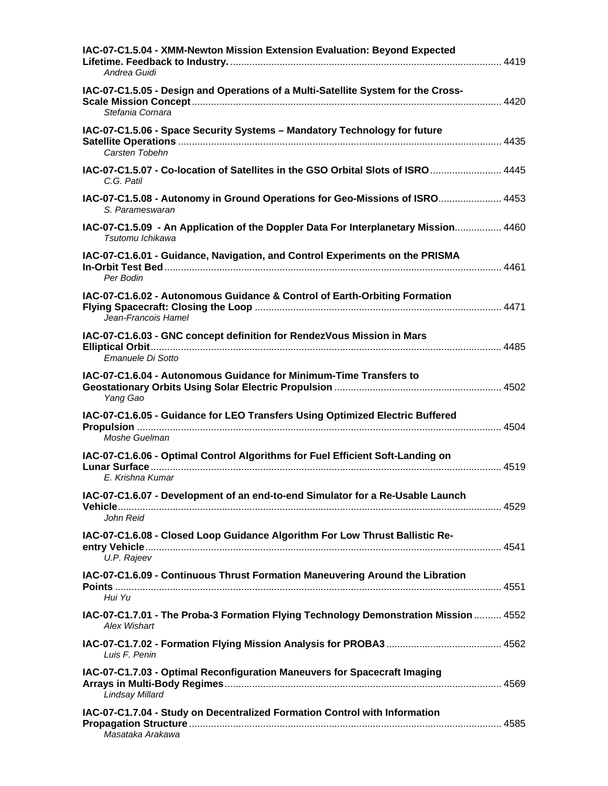| IAC-07-C1.5.04 - XMM-Newton Mission Extension Evaluation: Beyond Expected<br>Andrea Guidi                   |  |
|-------------------------------------------------------------------------------------------------------------|--|
| IAC-07-C1.5.05 - Design and Operations of a Multi-Satellite System for the Cross-<br>Stefania Cornara       |  |
| IAC-07-C1.5.06 - Space Security Systems - Mandatory Technology for future<br>Carsten Tobehn                 |  |
| IAC-07-C1.5.07 - Co-location of Satellites in the GSO Orbital Slots of ISRO  4445<br>C.G. Patil             |  |
| IAC-07-C1.5.08 - Autonomy in Ground Operations for Geo-Missions of ISRO 4453<br>S. Parameswaran             |  |
| IAC-07-C1.5.09 - An Application of the Doppler Data For Interplanetary Mission 4460<br>Tsutomu Ichikawa     |  |
| IAC-07-C1.6.01 - Guidance, Navigation, and Control Experiments on the PRISMA<br>Per Bodin                   |  |
| IAC-07-C1.6.02 - Autonomous Guidance & Control of Earth-Orbiting Formation<br>Jean-Francois Hamel           |  |
| IAC-07-C1.6.03 - GNC concept definition for RendezVous Mission in Mars<br>Emanuele Di Sotto                 |  |
| IAC-07-C1.6.04 - Autonomous Guidance for Minimum-Time Transfers to<br>Yang Gao                              |  |
| IAC-07-C1.6.05 - Guidance for LEO Transfers Using Optimized Electric Buffered<br>Moshe Guelman              |  |
| IAC-07-C1.6.06 - Optimal Control Algorithms for Fuel Efficient Soft-Landing on<br>E. Krishna Kumar          |  |
| IAC-07-C1.6.07 - Development of an end-to-end Simulator for a Re-Usable Launch<br>John Reid                 |  |
| IAC-07-C1.6.08 - Closed Loop Guidance Algorithm For Low Thrust Ballistic Re-<br>U.P. Rajeev                 |  |
| IAC-07-C1.6.09 - Continuous Thrust Formation Maneuvering Around the Libration<br>Hui Yu                     |  |
| IAC-07-C1.7.01 - The Proba-3 Formation Flying Technology Demonstration Mission  4552<br><b>Alex Wishart</b> |  |
| Luis F. Penin                                                                                               |  |
| IAC-07-C1.7.03 - Optimal Reconfiguration Maneuvers for Spacecraft Imaging<br>Lindsay Millard                |  |
| IAC-07-C1.7.04 - Study on Decentralized Formation Control with Information<br>Masataka Arakawa              |  |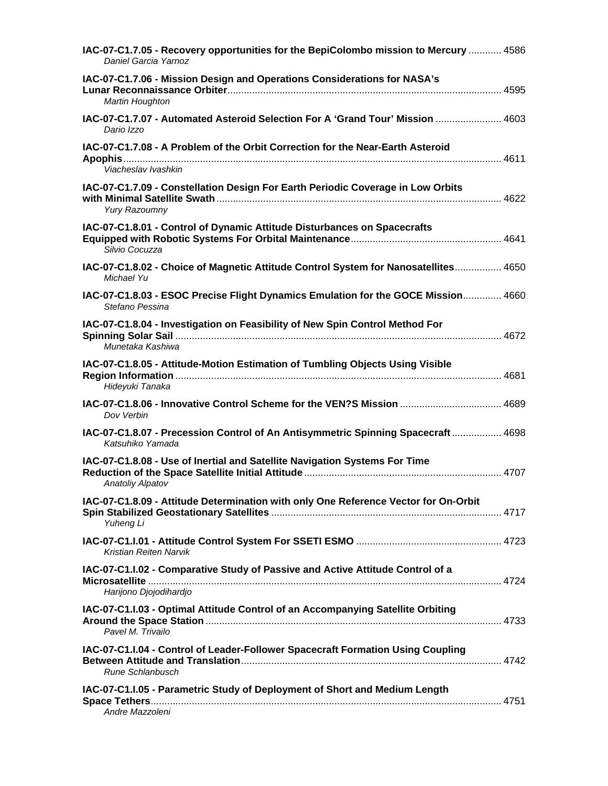| IAC-07-C1.7.05 - Recovery opportunities for the BepiColombo mission to Mercury  4586<br>Daniel Garcia Yarnoz |  |
|--------------------------------------------------------------------------------------------------------------|--|
| IAC-07-C1.7.06 - Mission Design and Operations Considerations for NASA's<br>Martin Houghton                  |  |
| 1AC-07-C1.7.07 - Automated Asteroid Selection For A 'Grand Tour' Mission  4603<br>Dario Izzo                 |  |
| IAC-07-C1.7.08 - A Problem of the Orbit Correction for the Near-Earth Asteroid<br>Viacheslav Ivashkin        |  |
| IAC-07-C1.7.09 - Constellation Design For Earth Periodic Coverage in Low Orbits<br><b>Yury Razoumny</b>      |  |
| IAC-07-C1.8.01 - Control of Dynamic Attitude Disturbances on Spacecrafts<br>Silvio Cocuzza                   |  |
| IAC-07-C1.8.02 - Choice of Magnetic Attitude Control System for Nanosatellites 4650<br>Michael Yu            |  |
| IAC-07-C1.8.03 - ESOC Precise Flight Dynamics Emulation for the GOCE Mission 4660<br>Stefano Pessina         |  |
| IAC-07-C1.8.04 - Investigation on Feasibility of New Spin Control Method For<br>Munetaka Kashiwa             |  |
| IAC-07-C1.8.05 - Attitude-Motion Estimation of Tumbling Objects Using Visible<br>Hideyuki Tanaka             |  |
| IAC-07-C1.8.06 - Innovative Control Scheme for the VEN?S Mission  4689<br>Dov Verbin                         |  |
| IAC-07-C1.8.07 - Precession Control of An Antisymmetric Spinning Spacecraft  4698<br>Katsuhiko Yamada        |  |
| IAC-07-C1.8.08 - Use of Inertial and Satellite Navigation Systems For Time<br>Anatoliy Alpatov               |  |
| IAC-07-C1.8.09 - Attitude Determination with only One Reference Vector for On-Orbit<br>Yuheng Li             |  |
| Kristian Reiten Narvik                                                                                       |  |
| IAC-07-C1.I.02 - Comparative Study of Passive and Active Attitude Control of a<br>Harijono Djojodihardjo     |  |
| IAC-07-C1.I.03 - Optimal Attitude Control of an Accompanying Satellite Orbiting<br>Pavel M. Trivailo         |  |
| IAC-07-C1.I.04 - Control of Leader-Follower Spacecraft Formation Using Coupling<br>Rune Schlanbusch          |  |
| IAC-07-C1.I.05 - Parametric Study of Deployment of Short and Medium Length<br>Andre Mazzoleni                |  |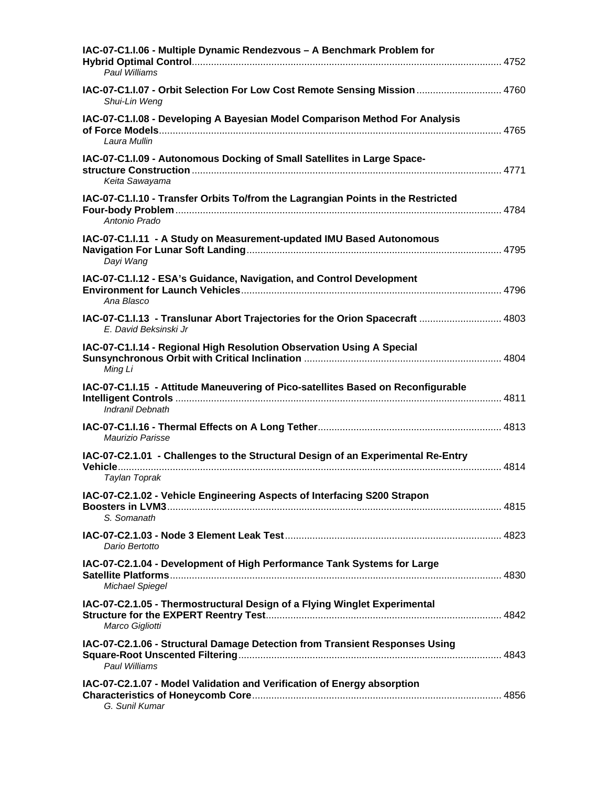| IAC-07-C1.I.06 - Multiple Dynamic Rendezvous - A Benchmark Problem for<br>Paul Williams                |  |
|--------------------------------------------------------------------------------------------------------|--|
| IAC-07-C1.I.07 - Orbit Selection For Low Cost Remote Sensing Mission  4760<br>Shui-Lin Weng            |  |
| IAC-07-C1.I.08 - Developing A Bayesian Model Comparison Method For Analysis<br>Laura Mullin            |  |
| IAC-07-C1.I.09 - Autonomous Docking of Small Satellites in Large Space-<br>Keita Sawayama              |  |
| IAC-07-C1.I.10 - Transfer Orbits To/from the Lagrangian Points in the Restricted<br>Antonio Prado      |  |
| IAC-07-C1.I.11 - A Study on Measurement-updated IMU Based Autonomous<br>Dayi Wang                      |  |
| IAC-07-C1.I.12 - ESA's Guidance, Navigation, and Control Development<br>Ana Blasco                     |  |
| IAC-07-C1.I.13 - Translunar Abort Trajectories for the Orion Spacecraft  4803<br>E. David Beksinski Jr |  |
| IAC-07-C1.I.14 - Regional High Resolution Observation Using A Special<br>Ming Li                       |  |
| IAC-07-C1.I.15 - Attitude Maneuvering of Pico-satellites Based on Reconfigurable<br>Indranil Debnath   |  |
| Maurizio Parisse                                                                                       |  |
| IAC-07-C2.1.01 - Challenges to the Structural Design of an Experimental Re-Entry<br>Taylan Toprak      |  |
| IAC-07-C2.1.02 - Vehicle Engineering Aspects of Interfacing S200 Strapon<br>S. Somanath                |  |
| Dario Bertotto                                                                                         |  |
| IAC-07-C2.1.04 - Development of High Performance Tank Systems for Large<br>Michael Spiegel             |  |
| IAC-07-C2.1.05 - Thermostructural Design of a Flying Winglet Experimental<br>Marco Gigliotti           |  |
| IAC-07-C2.1.06 - Structural Damage Detection from Transient Responses Using<br>Paul Williams           |  |
| IAC-07-C2.1.07 - Model Validation and Verification of Energy absorption<br>G. Sunil Kumar              |  |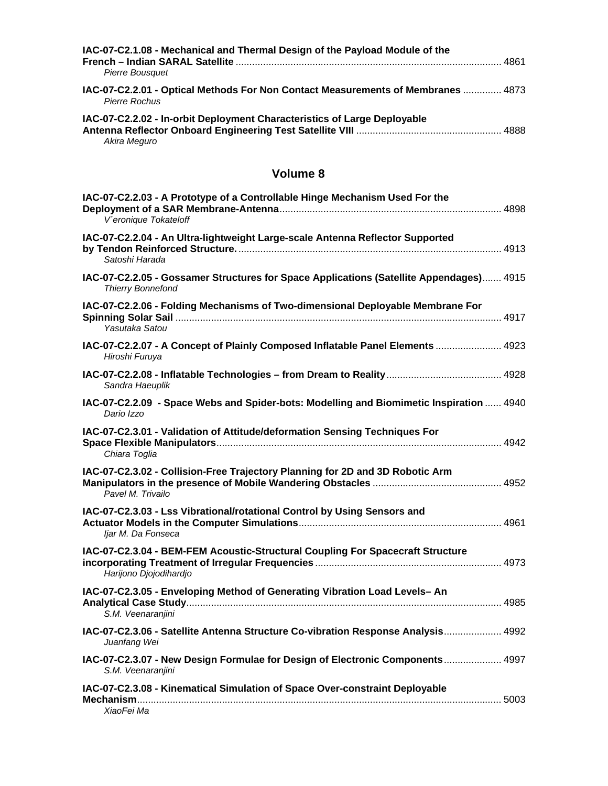| IAC-07-C2.1.08 - Mechanical and Thermal Design of the Payload Module of the<br><b>Pierre Bousquet</b> | . 4861 |
|-------------------------------------------------------------------------------------------------------|--------|
| IAC-07-C2.2.01 - Optical Methods For Non Contact Measurements of Membranes  4873<br>Pierre Rochus     |        |
| IAC-07-C2.2.02 - In-orbit Deployment Characteristics of Large Deployable<br>Akira Meguro              |        |

| IAC-07-C2.2.03 - A Prototype of a Controllable Hinge Mechanism Used For the<br>V'eronique Tokateloff                |  |
|---------------------------------------------------------------------------------------------------------------------|--|
| IAC-07-C2.2.04 - An Ultra-lightweight Large-scale Antenna Reflector Supported<br>Satoshi Harada                     |  |
| IAC-07-C2.2.05 - Gossamer Structures for Space Applications (Satellite Appendages) 4915<br><b>Thierry Bonnefond</b> |  |
| IAC-07-C2.2.06 - Folding Mechanisms of Two-dimensional Deployable Membrane For<br>Yasutaka Satou                    |  |
| IAC-07-C2.2.07 - A Concept of Plainly Composed Inflatable Panel Elements  4923<br>Hiroshi Furuya                    |  |
| Sandra Haeuplik                                                                                                     |  |
| IAC-07-C2.2.09 - Space Webs and Spider-bots: Modelling and Biomimetic Inspiration  4940<br>Dario Izzo               |  |
| IAC-07-C2.3.01 - Validation of Attitude/deformation Sensing Techniques For<br>Chiara Toglia                         |  |
| IAC-07-C2.3.02 - Collision-Free Trajectory Planning for 2D and 3D Robotic Arm<br>Pavel M. Trivailo                  |  |
| IAC-07-C2.3.03 - Lss Vibrational/rotational Control by Using Sensors and<br>Ijar M. Da Fonseca                      |  |
| IAC-07-C2.3.04 - BEM-FEM Acoustic-Structural Coupling For Spacecraft Structure<br>Harijono Djojodihardjo            |  |
| IAC-07-C2.3.05 - Enveloping Method of Generating Vibration Load Levels- An<br>S.M. Veenaranjini                     |  |
| IAC-07-C2.3.06 - Satellite Antenna Structure Co-vibration Response Analysis 4992<br>Juanfang Wei                    |  |
| IAC-07-C2.3.07 - New Design Formulae for Design of Electronic Components 4997<br>S.M. Veenaranjini                  |  |
| IAC-07-C2.3.08 - Kinematical Simulation of Space Over-constraint Deployable<br>XiaoFei Ma                           |  |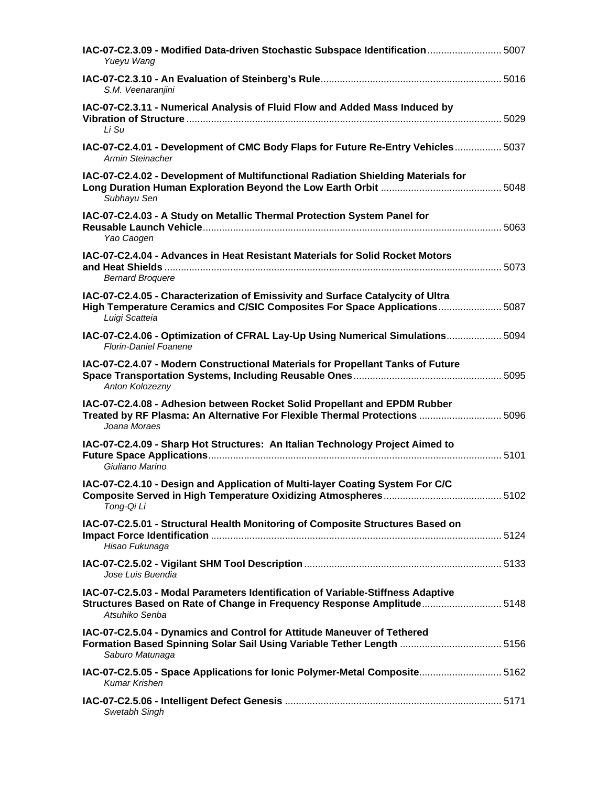| IAC-07-C2.3.09 - Modified Data-driven Stochastic Subspace Identification  5007<br>Yueyu Wang                                                                                    |  |
|---------------------------------------------------------------------------------------------------------------------------------------------------------------------------------|--|
| S.M. Veenaranjini                                                                                                                                                               |  |
| IAC-07-C2.3.11 - Numerical Analysis of Fluid Flow and Added Mass Induced by<br>Li Su                                                                                            |  |
| IAC-07-C2.4.01 - Development of CMC Body Flaps for Future Re-Entry Vehicles 5037<br>Armin Steinacher                                                                            |  |
| IAC-07-C2.4.02 - Development of Multifunctional Radiation Shielding Materials for<br>Subhayu Sen                                                                                |  |
| IAC-07-C2.4.03 - A Study on Metallic Thermal Protection System Panel for<br>Yao Caogen                                                                                          |  |
| IAC-07-C2.4.04 - Advances in Heat Resistant Materials for Solid Rocket Motors<br><b>Bernard Broquere</b>                                                                        |  |
| IAC-07-C2.4.05 - Characterization of Emissivity and Surface Catalycity of Ultra<br>High Temperature Ceramics and C/SIC Composites For Space Applications 5087<br>Luigi Scatteia |  |
| IAC-07-C2.4.06 - Optimization of CFRAL Lay-Up Using Numerical Simulations 5094<br><b>Florin-Daniel Foanene</b>                                                                  |  |
| IAC-07-C2.4.07 - Modern Constructional Materials for Propellant Tanks of Future<br>Anton Kolozezny                                                                              |  |
| IAC-07-C2.4.08 - Adhesion between Rocket Solid Propellant and EPDM Rubber<br>Treated by RF Plasma: An Alternative For Flexible Thermal Protections  5096<br>Joana Moraes        |  |
| IAC-07-C2.4.09 - Sharp Hot Structures: An Italian Technology Project Aimed to<br>Giuliano Marino                                                                                |  |
| IAC-07-C2.4.10 - Design and Application of Multi-layer Coating System For C/C<br>Tong-Qi Li                                                                                     |  |
| IAC-07-C2.5.01 - Structural Health Monitoring of Composite Structures Based on<br>Hisao Fukunaga                                                                                |  |
| Jose Luis Buendia                                                                                                                                                               |  |
| IAC-07-C2.5.03 - Modal Parameters Identification of Variable-Stiffness Adaptive<br>Structures Based on Rate of Change in Frequency Response Amplitude 5148<br>Atsuhiko Senba    |  |
| IAC-07-C2.5.04 - Dynamics and Control for Attitude Maneuver of Tethered<br>Formation Based Spinning Solar Sail Using Variable Tether Length  5156<br>Saburo Matunaga            |  |
| IAC-07-C2.5.05 - Space Applications for lonic Polymer-Metal Composite 5162<br><b>Kumar Krishen</b>                                                                              |  |
| Swetabh Singh                                                                                                                                                                   |  |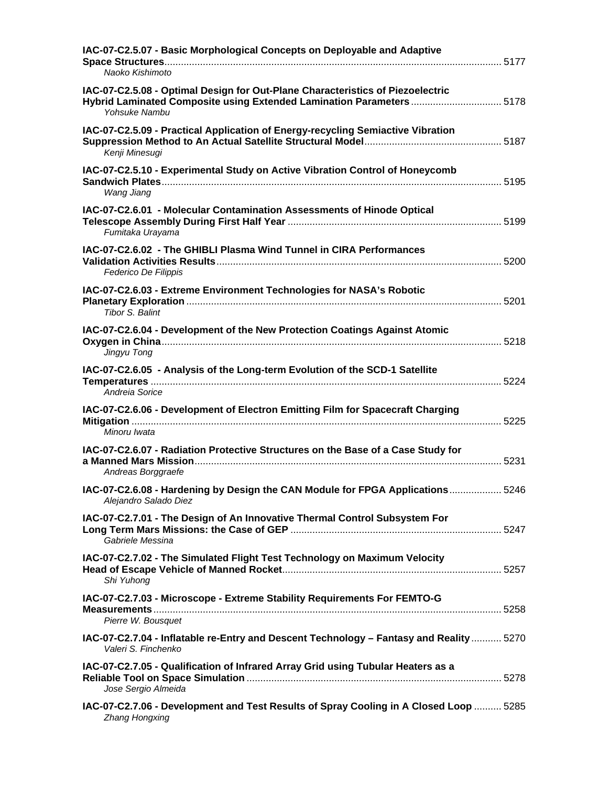| IAC-07-C2.5.07 - Basic Morphological Concepts on Deployable and Adaptive<br>Naoko Kishimoto                                                                              |  |
|--------------------------------------------------------------------------------------------------------------------------------------------------------------------------|--|
| IAC-07-C2.5.08 - Optimal Design for Out-Plane Characteristics of Piezoelectric<br>Hybrid Laminated Composite using Extended Lamination Parameters  5178<br>Yohsuke Nambu |  |
| IAC-07-C2.5.09 - Practical Application of Energy-recycling Semiactive Vibration<br>Kenji Minesugi                                                                        |  |
| IAC-07-C2.5.10 - Experimental Study on Active Vibration Control of Honeycomb<br>Wang Jiang                                                                               |  |
| IAC-07-C2.6.01 - Molecular Contamination Assessments of Hinode Optical<br>Fumitaka Urayama                                                                               |  |
| IAC-07-C2.6.02 - The GHIBLI Plasma Wind Tunnel in CIRA Performances<br>Federico De Filippis                                                                              |  |
| IAC-07-C2.6.03 - Extreme Environment Technologies for NASA's Robotic<br>Tibor S. Balint                                                                                  |  |
| IAC-07-C2.6.04 - Development of the New Protection Coatings Against Atomic<br>Jingyu Tong                                                                                |  |
| IAC-07-C2.6.05 - Analysis of the Long-term Evolution of the SCD-1 Satellite<br>Andreia Sorice                                                                            |  |
| IAC-07-C2.6.06 - Development of Electron Emitting Film for Spacecraft Charging<br>Minoru Iwata                                                                           |  |
| IAC-07-C2.6.07 - Radiation Protective Structures on the Base of a Case Study for<br>Andreas Borggraefe                                                                   |  |
| IAC-07-C2.6.08 - Hardening by Design the CAN Module for FPGA Applications  5246<br>Alejandro Salado Diez                                                                 |  |
| IAC-07-C2.7.01 - The Design of An Innovative Thermal Control Subsystem For<br>Gabriele Messina                                                                           |  |
| IAC-07-C2.7.02 - The Simulated Flight Test Technology on Maximum Velocity<br>Shi Yuhong                                                                                  |  |
| IAC-07-C2.7.03 - Microscope - Extreme Stability Requirements For FEMTO-G<br>Pierre W. Bousquet                                                                           |  |
| IAC-07-C2.7.04 - Inflatable re-Entry and Descent Technology - Fantasy and Reality  5270<br>Valeri S. Finchenko                                                           |  |
| IAC-07-C2.7.05 - Qualification of Infrared Array Grid using Tubular Heaters as a<br>Jose Sergio Almeida                                                                  |  |
| IAC-07-C2.7.06 - Development and Test Results of Spray Cooling in A Closed Loop  5285<br>Zhang Hongxing                                                                  |  |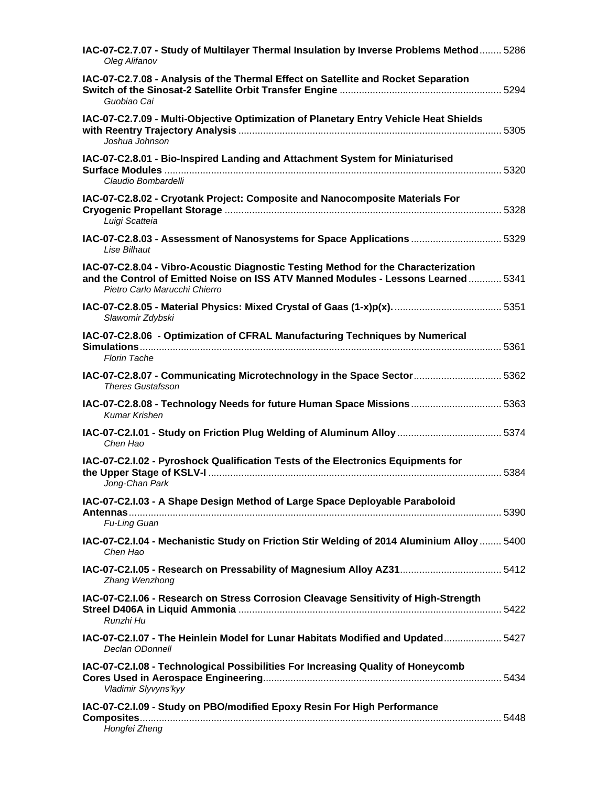| IAC-07-C2.7.07 - Study of Multilayer Thermal Insulation by Inverse Problems Method 5286<br>Oleg Alifanov                                                                                                  |  |
|-----------------------------------------------------------------------------------------------------------------------------------------------------------------------------------------------------------|--|
| IAC-07-C2.7.08 - Analysis of the Thermal Effect on Satellite and Rocket Separation<br>Guobiao Cai                                                                                                         |  |
| IAC-07-C2.7.09 - Multi-Objective Optimization of Planetary Entry Vehicle Heat Shields<br>Joshua Johnson                                                                                                   |  |
| IAC-07-C2.8.01 - Bio-Inspired Landing and Attachment System for Miniaturised<br>Claudio Bombardelli                                                                                                       |  |
| IAC-07-C2.8.02 - Cryotank Project: Composite and Nanocomposite Materials For<br>Luigi Scatteia                                                                                                            |  |
| IAC-07-C2.8.03 - Assessment of Nanosystems for Space Applications  5329<br><b>Lise Bilhaut</b>                                                                                                            |  |
| IAC-07-C2.8.04 - Vibro-Acoustic Diagnostic Testing Method for the Characterization<br>and the Control of Emitted Noise on ISS ATV Manned Modules - Lessons Learned  5341<br>Pietro Carlo Marucchi Chierro |  |
| Slawomir Zdybski                                                                                                                                                                                          |  |
| IAC-07-C2.8.06 - Optimization of CFRAL Manufacturing Techniques by Numerical<br><b>Florin Tache</b>                                                                                                       |  |
| IAC-07-C2.8.07 - Communicating Microtechnology in the Space Sector  5362<br><b>Theres Gustafsson</b>                                                                                                      |  |
| IAC-07-C2.8.08 - Technology Needs for future Human Space Missions  5363<br><b>Kumar Krishen</b>                                                                                                           |  |
| IAC-07-C2.I.01 - Study on Friction Plug Welding of Aluminum Alloy  5374<br>Chen Hao                                                                                                                       |  |
| IAC-07-C2.I.02 - Pyroshock Qualification Tests of the Electronics Equipments for<br>Jong-Chan Park                                                                                                        |  |
| IAC-07-C2.I.03 - A Shape Design Method of Large Space Deployable Paraboloid<br>Fu-Ling Guan                                                                                                               |  |
| IAC-07-C2.I.04 - Mechanistic Study on Friction Stir Welding of 2014 Aluminium Alloy  5400<br>Chen Hao                                                                                                     |  |
| IAC-07-C2.I.05 - Research on Pressability of Magnesium Alloy AZ31 5412<br>Zhang Wenzhong                                                                                                                  |  |
| IAC-07-C2.I.06 - Research on Stress Corrosion Cleavage Sensitivity of High-Strength<br>Runzhi Hu                                                                                                          |  |
| IAC-07-C2.I.07 - The Heinlein Model for Lunar Habitats Modified and Updated 5427<br>Declan ODonnell                                                                                                       |  |
| IAC-07-C2.I.08 - Technological Possibilities For Increasing Quality of Honeycomb<br>Vladimir Slyvyns'kyy                                                                                                  |  |
| IAC-07-C2.I.09 - Study on PBO/modified Epoxy Resin For High Performance<br>Hongfei Zheng                                                                                                                  |  |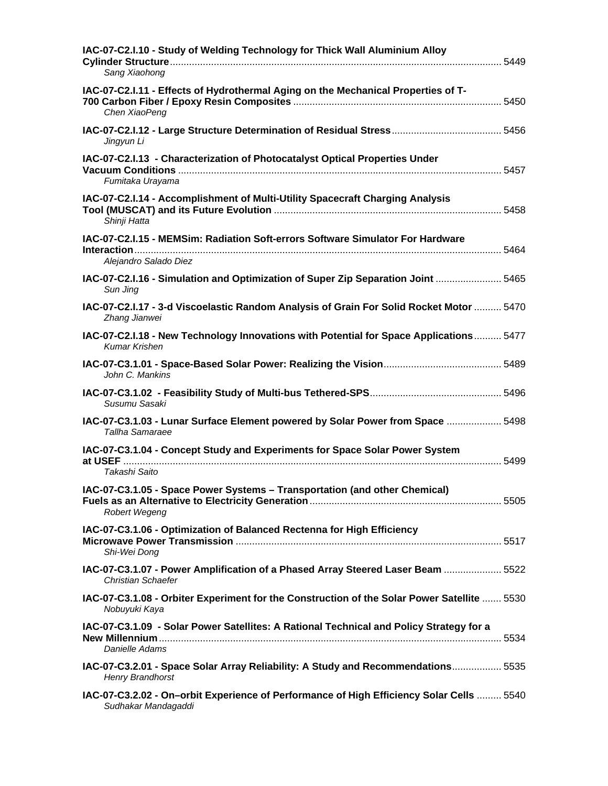| IAC-07-C2.I.10 - Study of Welding Technology for Thick Wall Aluminium Alloy<br>Sang Xiaohong                    |  |
|-----------------------------------------------------------------------------------------------------------------|--|
| IAC-07-C2.I.11 - Effects of Hydrothermal Aging on the Mechanical Properties of T-<br>Chen XiaoPeng              |  |
| Jingyun Li                                                                                                      |  |
| IAC-07-C2.I.13 - Characterization of Photocatalyst Optical Properties Under<br>Fumitaka Urayama                 |  |
| IAC-07-C2.I.14 - Accomplishment of Multi-Utility Spacecraft Charging Analysis<br>Shinji Hatta                   |  |
| IAC-07-C2.I.15 - MEMSim: Radiation Soft-errors Software Simulator For Hardware<br>Alejandro Salado Diez         |  |
| IAC-07-C2.I.16 - Simulation and Optimization of Super Zip Separation Joint  5465<br>Sun Jing                    |  |
| IAC-07-C2.I.17 - 3-d Viscoelastic Random Analysis of Grain For Solid Rocket Motor  5470<br>Zhang Jianwei        |  |
| IAC-07-C2.I.18 - New Technology Innovations with Potential for Space Applications 5477<br><b>Kumar Krishen</b>  |  |
| John C. Mankins                                                                                                 |  |
| Susumu Sasaki                                                                                                   |  |
| IAC-07-C3.1.03 - Lunar Surface Element powered by Solar Power from Space  5498<br>Tallha Samaraee               |  |
| IAC-07-C3.1.04 - Concept Study and Experiments for Space Solar Power System                                     |  |
| Takashi Saito                                                                                                   |  |
| IAC-07-C3.1.05 - Space Power Systems - Transportation (and other Chemical)<br>Robert Wegeng                     |  |
| IAC-07-C3.1.06 - Optimization of Balanced Rectenna for High Efficiency<br>Shi-Wei Dong                          |  |
| IAC-07-C3.1.07 - Power Amplification of a Phased Array Steered Laser Beam  5522<br><b>Christian Schaefer</b>    |  |
| IAC-07-C3.1.08 - Orbiter Experiment for the Construction of the Solar Power Satellite  5530<br>Nobuyuki Kaya    |  |
| IAC-07-C3.1.09 - Solar Power Satellites: A Rational Technical and Policy Strategy for a<br>Danielle Adams       |  |
| IAC-07-C3.2.01 - Space Solar Array Reliability: A Study and Recommendations 5535<br><b>Henry Brandhorst</b>     |  |
| IAC-07-C3.2.02 - On-orbit Experience of Performance of High Efficiency Solar Cells  5540<br>Sudhakar Mandagaddi |  |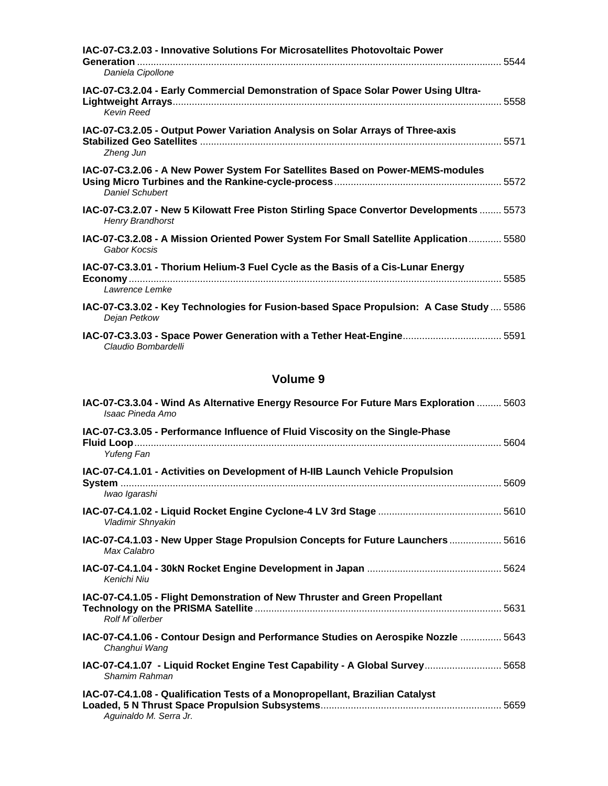| IAC-07-C3.2.03 - Innovative Solutions For Microsatellites Photovoltaic Power                                       |
|--------------------------------------------------------------------------------------------------------------------|
| Daniela Cipollone                                                                                                  |
| IAC-07-C3.2.04 - Early Commercial Demonstration of Space Solar Power Using Ultra-<br><b>Kevin Reed</b>             |
| IAC-07-C3.2.05 - Output Power Variation Analysis on Solar Arrays of Three-axis<br>Zheng Jun                        |
| IAC-07-C3.2.06 - A New Power System For Satellites Based on Power-MEMS-modules<br>Daniel Schubert                  |
| IAC-07-C3.2.07 - New 5 Kilowatt Free Piston Stirling Space Convertor Developments  5573<br><b>Henry Brandhorst</b> |
| IAC-07-C3.2.08 - A Mission Oriented Power System For Small Satellite Application 5580<br>Gabor Kocsis              |
| IAC-07-C3.3.01 - Thorium Helium-3 Fuel Cycle as the Basis of a Cis-Lunar Energy<br>Lawrence Lemke                  |
| IAC-07-C3.3.02 - Key Technologies for Fusion-based Space Propulsion: A Case Study  5586<br>Dejan Petkow            |
| IAC-07-C3.3.03 - Space Power Generation with a Tether Heat-Engine 5591<br>Claudio Bombardelli                      |

| IAC-07-C3.3.04 - Wind As Alternative Energy Resource For Future Mars Exploration  5603<br>Isaac Pineda Amo |
|------------------------------------------------------------------------------------------------------------|
| IAC-07-C3.3.05 - Performance Influence of Fluid Viscosity on the Single-Phase<br>Yufeng Fan                |
| IAC-07-C4.1.01 - Activities on Development of H-IIB Launch Vehicle Propulsion<br>Iwao Igarashi             |
| Vladimir Shnyakin                                                                                          |
| IAC-07-C4.1.03 - New Upper Stage Propulsion Concepts for Future Launchers  5616<br>Max Calabro             |
| Kenichi Niu                                                                                                |
| IAC-07-C4.1.05 - Flight Demonstration of New Thruster and Green Propellant<br>Rolf M"ollerber              |
| IAC-07-C4.1.06 - Contour Design and Performance Studies on Aerospike Nozzle  5643<br>Changhui Wang         |
| 1AC-07-C4.1.07 - Liquid Rocket Engine Test Capability - A Global Survey 5658<br>Shamim Rahman              |
| IAC-07-C4.1.08 - Qualification Tests of a Monopropellant, Brazilian Catalyst<br>Aguinaldo M. Serra Jr.     |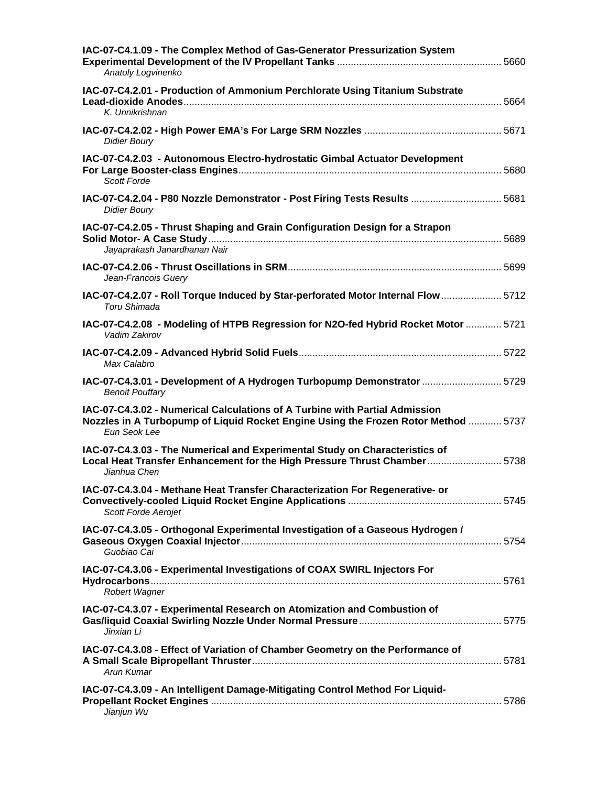| IAC-07-C4.1.09 - The Complex Method of Gas-Generator Pressurization System<br>Anatoly Logvinenko                                                                                  |  |
|-----------------------------------------------------------------------------------------------------------------------------------------------------------------------------------|--|
| IAC-07-C4.2.01 - Production of Ammonium Perchlorate Using Titanium Substrate<br>K. Unnikrishnan                                                                                   |  |
| <b>Didier Boury</b>                                                                                                                                                               |  |
| IAC-07-C4.2.03 - Autonomous Electro-hydrostatic Gimbal Actuator Development<br>Scott Forde                                                                                        |  |
| 1AC-07-C4.2.04 - P80 Nozzle Demonstrator - Post Firing Tests Results  5681<br><b>Didier Boury</b>                                                                                 |  |
| IAC-07-C4.2.05 - Thrust Shaping and Grain Configuration Design for a Strapon<br>Jayaprakash Janardhanan Nair                                                                      |  |
| Jean-Francois Guery                                                                                                                                                               |  |
| IAC-07-C4.2.07 - Roll Torque Induced by Star-perforated Motor Internal Flow  5712<br>Toru Shimada                                                                                 |  |
| IAC-07-C4.2.08 - Modeling of HTPB Regression for N2O-fed Hybrid Rocket Motor  5721<br>Vadim Zakirov                                                                               |  |
| Max Calabro                                                                                                                                                                       |  |
| IAC-07-C4.3.01 - Development of A Hydrogen Turbopump Demonstrator  5729<br><b>Benoit Pouffary</b>                                                                                 |  |
| IAC-07-C4.3.02 - Numerical Calculations of A Turbine with Partial Admission<br>Nozzles in A Turbopump of Liquid Rocket Engine Using the Frozen Rotor Method  5737<br>Eun Seok Lee |  |
| IAC-07-C4.3.03 - The Numerical and Experimental Study on Characteristics of<br>Local Heat Transfer Enhancement for the High Pressure Thrust Chamber 5738<br>Jianhua Chen          |  |
| IAC-07-C4.3.04 - Methane Heat Transfer Characterization For Regenerative- or<br>Scott Forde Aerojet                                                                               |  |
| IAC-07-C4.3.05 - Orthogonal Experimental Investigation of a Gaseous Hydrogen /<br>Guobiao Cai                                                                                     |  |
| IAC-07-C4.3.06 - Experimental Investigations of COAX SWIRL Injectors For<br>Robert Wagner                                                                                         |  |
| IAC-07-C4.3.07 - Experimental Research on Atomization and Combustion of<br>Jinxian Li                                                                                             |  |
| IAC-07-C4.3.08 - Effect of Variation of Chamber Geometry on the Performance of<br>Arun Kumar                                                                                      |  |
| IAC-07-C4.3.09 - An Intelligent Damage-Mitigating Control Method For Liquid-<br>Jianjun Wu                                                                                        |  |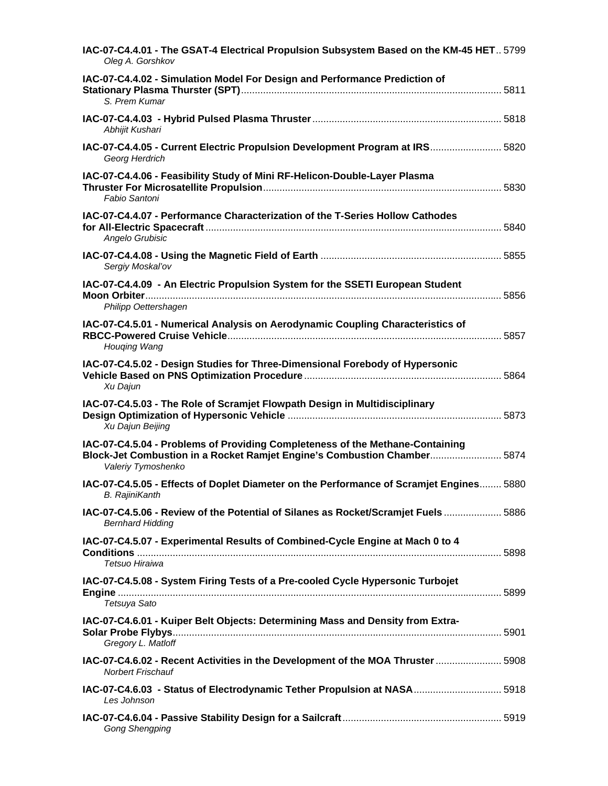| IAC-07-C4.4.01 - The GSAT-4 Electrical Propulsion Subsystem Based on the KM-45 HET 5799<br>Oleg A. Gorshkov                                                                     |  |
|---------------------------------------------------------------------------------------------------------------------------------------------------------------------------------|--|
| IAC-07-C4.4.02 - Simulation Model For Design and Performance Prediction of<br>S. Prem Kumar                                                                                     |  |
| Abhijit Kushari                                                                                                                                                                 |  |
| IAC-07-C4.4.05 - Current Electric Propulsion Development Program at IRS 5820<br>Georg Herdrich                                                                                  |  |
| IAC-07-C4.4.06 - Feasibility Study of Mini RF-Helicon-Double-Layer Plasma<br>Fabio Santoni                                                                                      |  |
| IAC-07-C4.4.07 - Performance Characterization of the T-Series Hollow Cathodes<br>Angelo Grubisic                                                                                |  |
| Sergiy Moskal'ov                                                                                                                                                                |  |
| IAC-07-C4.4.09 - An Electric Propulsion System for the SSETI European Student<br>Philipp Oettershagen                                                                           |  |
| IAC-07-C4.5.01 - Numerical Analysis on Aerodynamic Coupling Characteristics of<br>Houging Wang                                                                                  |  |
| IAC-07-C4.5.02 - Design Studies for Three-Dimensional Forebody of Hypersonic<br>Xu Dajun                                                                                        |  |
| IAC-07-C4.5.03 - The Role of Scramjet Flowpath Design in Multidisciplinary<br>Xu Dajun Beijing                                                                                  |  |
| IAC-07-C4.5.04 - Problems of Providing Completeness of the Methane-Containing<br>Block-Jet Combustion in a Rocket Ramjet Engine's Combustion Chamber 5874<br>Valeriy Tymoshenko |  |
| IAC-07-C4.5.05 - Effects of Doplet Diameter on the Performance of Scramjet Engines 5880<br><b>B.</b> RajiniKanth                                                                |  |
| IAC-07-C4.5.06 - Review of the Potential of Silanes as Rocket/Scramjet Fuels 5886<br><b>Bernhard Hidding</b>                                                                    |  |
| IAC-07-C4.5.07 - Experimental Results of Combined-Cycle Engine at Mach 0 to 4<br>Tetsuo Hiraiwa                                                                                 |  |
| IAC-07-C4.5.08 - System Firing Tests of a Pre-cooled Cycle Hypersonic Turbojet<br>Tetsuya Sato                                                                                  |  |
| IAC-07-C4.6.01 - Kuiper Belt Objects: Determining Mass and Density from Extra-<br>Gregory L. Matloff                                                                            |  |
| IAC-07-C4.6.02 - Recent Activities in the Development of the MOA Thruster  5908<br><b>Norbert Frischauf</b>                                                                     |  |
| IAC-07-C4.6.03 - Status of Electrodynamic Tether Propulsion at NASA 5918<br>Les Johnson                                                                                         |  |
| <b>Gong Shengping</b>                                                                                                                                                           |  |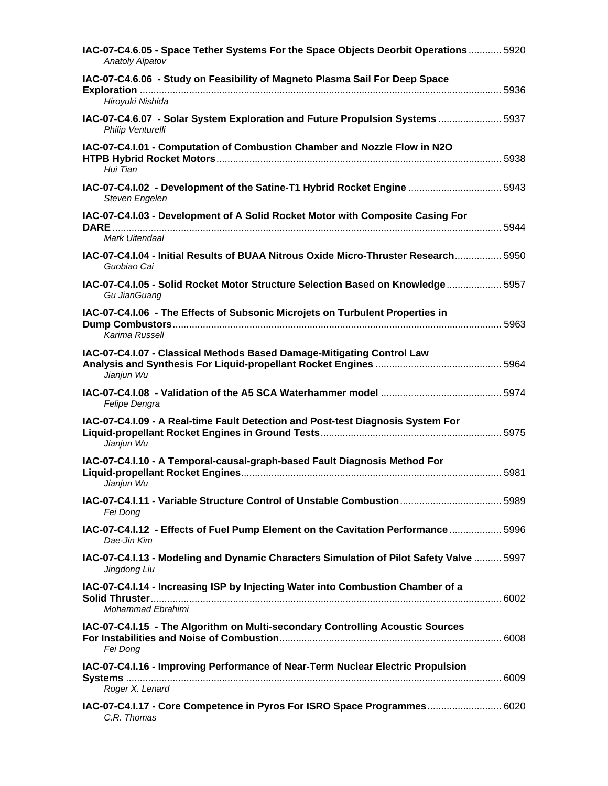| IAC-07-C4.6.05 - Space Tether Systems For the Space Objects Deorbit Operations 5920<br><b>Anatoly Alpatov</b> |  |
|---------------------------------------------------------------------------------------------------------------|--|
| IAC-07-C4.6.06 - Study on Feasibility of Magneto Plasma Sail For Deep Space<br>Hiroyuki Nishida               |  |
| IAC-07-C4.6.07 - Solar System Exploration and Future Propulsion Systems  5937<br>Philip Venturelli            |  |
| IAC-07-C4.I.01 - Computation of Combustion Chamber and Nozzle Flow in N2O<br>Hui Tian                         |  |
| IAC-07-C4.I.02 - Development of the Satine-T1 Hybrid Rocket Engine  5943<br>Steven Engelen                    |  |
| IAC-07-C4.I.03 - Development of A Solid Rocket Motor with Composite Casing For                                |  |
| Mark Uitendaal                                                                                                |  |
| IAC-07-C4.I.04 - Initial Results of BUAA Nitrous Oxide Micro-Thruster Research 5950<br>Guobiao Cai            |  |
| IAC-07-C4.I.05 - Solid Rocket Motor Structure Selection Based on Knowledge  5957<br>Gu JianGuang              |  |
| IAC-07-C4.I.06 - The Effects of Subsonic Microjets on Turbulent Properties in<br>Karima Russell               |  |
| IAC-07-C4.I.07 - Classical Methods Based Damage-Mitigating Control Law<br>Jianjun Wu                          |  |
| Felipe Dengra                                                                                                 |  |
| IAC-07-C4.I.09 - A Real-time Fault Detection and Post-test Diagnosis System For<br>Jianjun Wu                 |  |
| IAC-07-C4.I.10 - A Temporal-causal-graph-based Fault Diagnosis Method For<br>Jianjun Wu                       |  |
| IAC-07-C4.I.11 - Variable Structure Control of Unstable Combustion 5989<br>Fei Dong                           |  |
| IAC-07-C4.I.12 - Effects of Fuel Pump Element on the Cavitation Performance  5996<br>Dae-Jin Kim              |  |
| IAC-07-C4.I.13 - Modeling and Dynamic Characters Simulation of Pilot Safety Valve  5997<br>Jingdong Liu       |  |
| IAC-07-C4.I.14 - Increasing ISP by Injecting Water into Combustion Chamber of a<br>Mohammad Ebrahimi          |  |
| IAC-07-C4.I.15 - The Algorithm on Multi-secondary Controlling Acoustic Sources<br>Fei Dong                    |  |
| IAC-07-C4.I.16 - Improving Performance of Near-Term Nuclear Electric Propulsion<br>Roger X. Lenard            |  |
| IAC-07-C4.I.17 - Core Competence in Pyros For ISRO Space Programmes 6020<br>C.R. Thomas                       |  |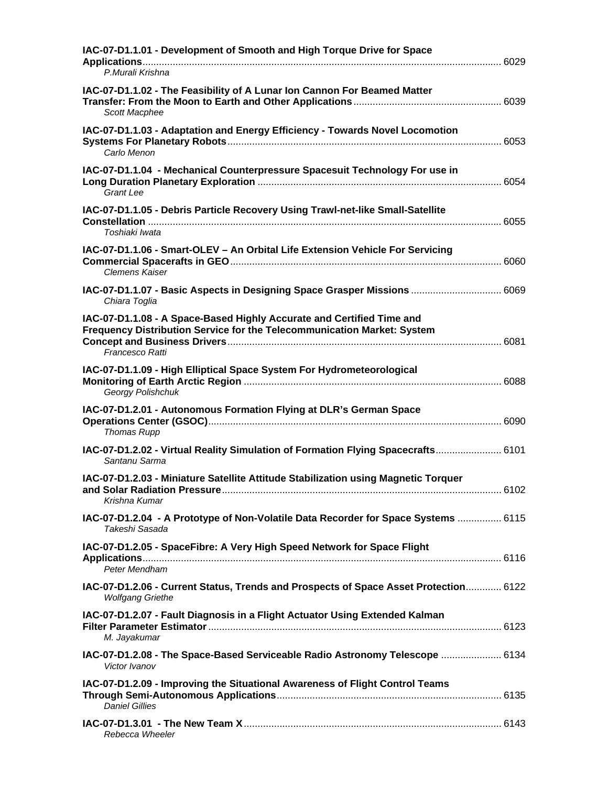| IAC-07-D1.1.01 - Development of Smooth and High Torque Drive for Space<br>P.Murali Krishna                                                                          |  |
|---------------------------------------------------------------------------------------------------------------------------------------------------------------------|--|
| IAC-07-D1.1.02 - The Feasibility of A Lunar Ion Cannon For Beamed Matter<br><b>Scott Macphee</b>                                                                    |  |
| IAC-07-D1.1.03 - Adaptation and Energy Efficiency - Towards Novel Locomotion<br>Carlo Menon                                                                         |  |
| IAC-07-D1.1.04 - Mechanical Counterpressure Spacesuit Technology For use in<br><b>Grant Lee</b>                                                                     |  |
| IAC-07-D1.1.05 - Debris Particle Recovery Using Trawl-net-like Small-Satellite<br>Toshiaki Iwata                                                                    |  |
| IAC-07-D1.1.06 - Smart-OLEV - An Orbital Life Extension Vehicle For Servicing<br><b>Clemens Kaiser</b>                                                              |  |
| IAC-07-D1.1.07 - Basic Aspects in Designing Space Grasper Missions  6069<br>Chiara Toglia                                                                           |  |
| IAC-07-D1.1.08 - A Space-Based Highly Accurate and Certified Time and<br>Frequency Distribution Service for the Telecommunication Market: System<br>Francesco Ratti |  |
| IAC-07-D1.1.09 - High Elliptical Space System For Hydrometeorological<br>Georgy Polishchuk                                                                          |  |
| IAC-07-D1.2.01 - Autonomous Formation Flying at DLR's German Space<br>Thomas Rupp                                                                                   |  |
| IAC-07-D1.2.02 - Virtual Reality Simulation of Formation Flying Spacecrafts 6101<br>Santanu Sarma                                                                   |  |
| IAC-07-D1.2.03 - Miniature Satellite Attitude Stabilization using Magnetic Torquer<br>Krishna Kumar                                                                 |  |
| IAC-07-D1.2.04 - A Prototype of Non-Volatile Data Recorder for Space Systems  6115<br>Takeshi Sasada                                                                |  |
| IAC-07-D1.2.05 - SpaceFibre: A Very High Speed Network for Space Flight<br>Peter Mendham                                                                            |  |
| IAC-07-D1.2.06 - Current Status, Trends and Prospects of Space Asset Protection 6122<br><b>Wolfgang Griethe</b>                                                     |  |
| IAC-07-D1.2.07 - Fault Diagnosis in a Flight Actuator Using Extended Kalman<br>M. Jayakumar                                                                         |  |
| IAC-07-D1.2.08 - The Space-Based Serviceable Radio Astronomy Telescope  6134<br>Victor Ivanov                                                                       |  |
| IAC-07-D1.2.09 - Improving the Situational Awareness of Flight Control Teams<br><b>Daniel Gillies</b>                                                               |  |
| Rebecca Wheeler                                                                                                                                                     |  |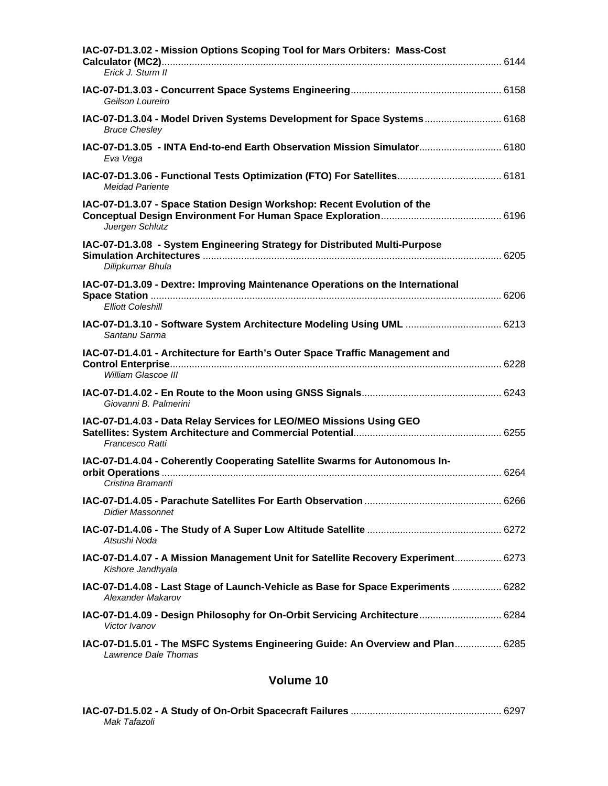| IAC-07-D1.3.02 - Mission Options Scoping Tool for Mars Orbiters: Mass-Cost<br>Erick J. Sturm II            |  |
|------------------------------------------------------------------------------------------------------------|--|
| Geilson Loureiro                                                                                           |  |
| IAC-07-D1.3.04 - Model Driven Systems Development for Space Systems 6168<br><b>Bruce Chesley</b>           |  |
| 1AC-07-D1.3.05 - INTA End-to-end Earth Observation Mission Simulator 6180<br>Eva Vega                      |  |
| <b>Meidad Pariente</b>                                                                                     |  |
| IAC-07-D1.3.07 - Space Station Design Workshop: Recent Evolution of the<br>Juergen Schlutz                 |  |
| IAC-07-D1.3.08 - System Engineering Strategy for Distributed Multi-Purpose<br>Dilipkumar Bhula             |  |
| IAC-07-D1.3.09 - Dextre: Improving Maintenance Operations on the International<br><b>Elliott Coleshill</b> |  |
| IAC-07-D1.3.10 - Software System Architecture Modeling Using UML  6213<br>Santanu Sarma                    |  |
| IAC-07-D1.4.01 - Architecture for Earth's Outer Space Traffic Management and<br>William Glascoe III        |  |
| Giovanni B. Palmerini                                                                                      |  |
| IAC-07-D1.4.03 - Data Relay Services for LEO/MEO Missions Using GEO<br>Francesco Ratti                     |  |
| IAC-07-D1.4.04 - Coherently Cooperating Satellite Swarms for Autonomous In-<br>Cristina Bramanti           |  |
| Didier Massonnet                                                                                           |  |
| Atsushi Noda                                                                                               |  |
| IAC-07-D1.4.07 - A Mission Management Unit for Satellite Recovery Experiment 6273<br>Kishore Jandhyala     |  |
| IAC-07-D1.4.08 - Last Stage of Launch-Vehicle as Base for Space Experiments  6282<br>Alexander Makarov     |  |
| IAC-07-D1.4.09 - Design Philosophy for On-Orbit Servicing Architecture 6284<br>Victor Ivanov               |  |
| IAC-07-D1.5.01 - The MSFC Systems Engineering Guide: An Overview and Plan 6285<br>Lawrence Dale Thomas     |  |

| Mak Tafazoli |  |
|--------------|--|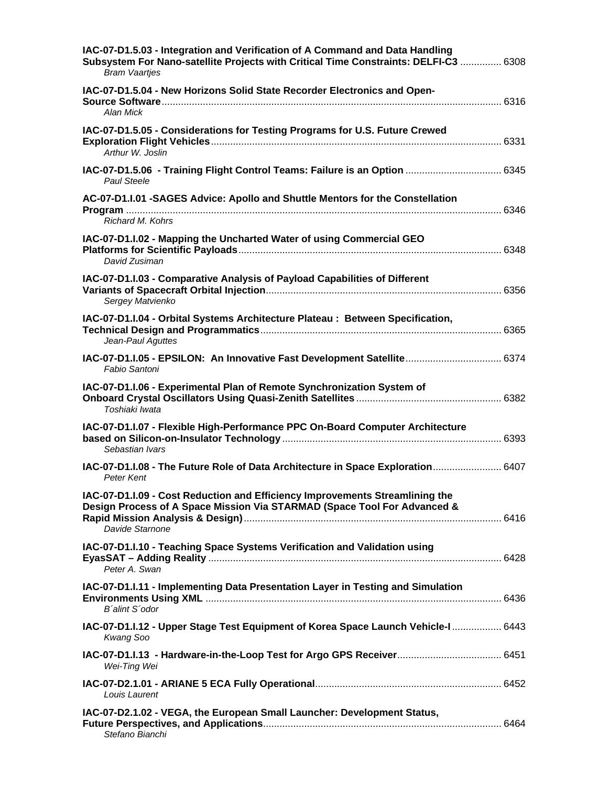| IAC-07-D1.5.03 - Integration and Verification of A Command and Data Handling<br><b>Bram Vaartjes</b>                                                                        |
|-----------------------------------------------------------------------------------------------------------------------------------------------------------------------------|
| IAC-07-D1.5.04 - New Horizons Solid State Recorder Electronics and Open-<br>Alan Mick                                                                                       |
| IAC-07-D1.5.05 - Considerations for Testing Programs for U.S. Future Crewed<br>Arthur W. Joslin                                                                             |
| IAC-07-D1.5.06 - Training Flight Control Teams: Failure is an Option  6345<br><b>Paul Steele</b>                                                                            |
| AC-07-D1.I.01 -SAGES Advice: Apollo and Shuttle Mentors for the Constellation<br>Richard M. Kohrs                                                                           |
| IAC-07-D1.I.02 - Mapping the Uncharted Water of using Commercial GEO<br>David Zusiman                                                                                       |
| IAC-07-D1.I.03 - Comparative Analysis of Payload Capabilities of Different<br>Sergey Matvienko                                                                              |
| IAC-07-D1.I.04 - Orbital Systems Architecture Plateau : Between Specification,<br>Jean-Paul Aguttes                                                                         |
| Fabio Santoni                                                                                                                                                               |
| IAC-07-D1.I.06 - Experimental Plan of Remote Synchronization System of<br>Toshiaki Iwata                                                                                    |
| IAC-07-D1.I.07 - Flexible High-Performance PPC On-Board Computer Architecture<br>Sebastian Ivars                                                                            |
| IAC-07-D1.I.08 - The Future Role of Data Architecture in Space Exploration 6407<br>Peter Kent                                                                               |
| IAC-07-D1.I.09 - Cost Reduction and Efficiency Improvements Streamlining the<br>Design Process of A Space Mission Via STARMAD (Space Tool For Advanced &<br>Davide Starnone |
| IAC-07-D1.I.10 - Teaching Space Systems Verification and Validation using<br>Peter A. Swan                                                                                  |
| IAC-07-D1.I.11 - Implementing Data Presentation Layer in Testing and Simulation<br>B'alint S'odor                                                                           |
| 1AC-07-D1.I.12 - Upper Stage Test Equipment of Korea Space Launch Vehicle-I  6443<br>Kwang Soo                                                                              |
| Wei-Ting Wei                                                                                                                                                                |
| Louis Laurent                                                                                                                                                               |
| IAC-07-D2.1.02 - VEGA, the European Small Launcher: Development Status,<br>Stefano Bianchi                                                                                  |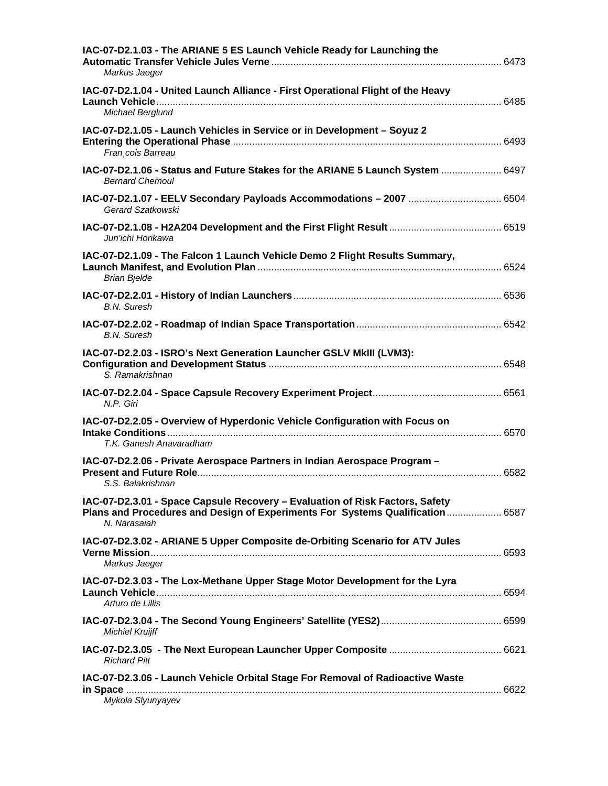| IAC-07-D2.1.03 - The ARIANE 5 ES Launch Vehicle Ready for Launching the<br>Markus Jaeger                                                                                       |  |
|--------------------------------------------------------------------------------------------------------------------------------------------------------------------------------|--|
| IAC-07-D2.1.04 - United Launch Alliance - First Operational Flight of the Heavy<br>Michael Berglund                                                                            |  |
| IAC-07-D2.1.05 - Launch Vehicles in Service or in Development - Soyuz 2<br>Fran cois Barreau                                                                                   |  |
| IAC-07-D2.1.06 - Status and Future Stakes for the ARIANE 5 Launch System  6497<br><b>Bernard Chemoul</b>                                                                       |  |
| Gerard Szatkowski                                                                                                                                                              |  |
| Jun'ichi Horikawa                                                                                                                                                              |  |
| IAC-07-D2.1.09 - The Falcon 1 Launch Vehicle Demo 2 Flight Results Summary,<br><b>Brian Bjelde</b>                                                                             |  |
| <b>B.N.</b> Suresh                                                                                                                                                             |  |
| <b>B.N.</b> Suresh                                                                                                                                                             |  |
| IAC-07-D2.2.03 - ISRO's Next Generation Launcher GSLV MkIII (LVM3):<br>S. Ramakrishnan                                                                                         |  |
| N.P. Giri                                                                                                                                                                      |  |
| IAC-07-D2.2.05 - Overview of Hyperdonic Vehicle Configuration with Focus on<br>T.K. Ganesh Anavaradham                                                                         |  |
| IAC-07-D2.2.06 - Private Aerospace Partners in Indian Aerospace Program -<br>S.S. Balakrishnan                                                                                 |  |
| IAC-07-D2.3.01 - Space Capsule Recovery - Evaluation of Risk Factors, Safety<br>Plans and Procedures and Design of Experiments For Systems Qualification  6587<br>N. Narasaiah |  |
| IAC-07-D2.3.02 - ARIANE 5 Upper Composite de-Orbiting Scenario for ATV Jules<br>Markus Jaeger                                                                                  |  |
| IAC-07-D2.3.03 - The Lox-Methane Upper Stage Motor Development for the Lyra<br>Arturo de Lillis                                                                                |  |
| <b>Michiel Kruijff</b>                                                                                                                                                         |  |
| <b>Richard Pitt</b>                                                                                                                                                            |  |
| IAC-07-D2.3.06 - Launch Vehicle Orbital Stage For Removal of Radioactive Waste<br>Mykola Slyunyayev                                                                            |  |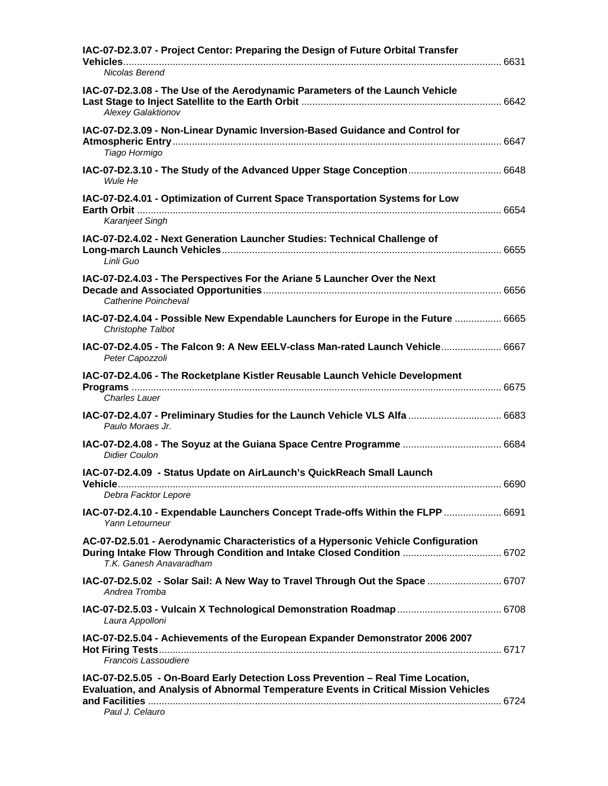| IAC-07-D2.3.07 - Project Centor: Preparing the Design of Future Orbital Transfer<br>Nicolas Berend                                                                                         |  |
|--------------------------------------------------------------------------------------------------------------------------------------------------------------------------------------------|--|
| IAC-07-D2.3.08 - The Use of the Aerodynamic Parameters of the Launch Vehicle<br>Alexey Galaktionov                                                                                         |  |
| IAC-07-D2.3.09 - Non-Linear Dynamic Inversion-Based Guidance and Control for<br>Tiago Hormigo                                                                                              |  |
| IAC-07-D2.3.10 - The Study of the Advanced Upper Stage Conception 6648<br>Wule He                                                                                                          |  |
| IAC-07-D2.4.01 - Optimization of Current Space Transportation Systems for Low<br><b>Earth Orbit</b>                                                                                        |  |
| Karanjeet Singh                                                                                                                                                                            |  |
| IAC-07-D2.4.02 - Next Generation Launcher Studies: Technical Challenge of<br>Linli Guo                                                                                                     |  |
| IAC-07-D2.4.03 - The Perspectives For the Ariane 5 Launcher Over the Next<br>Catherine Poincheval                                                                                          |  |
| IAC-07-D2.4.04 - Possible New Expendable Launchers for Europe in the Future  6665<br>Christophe Talbot                                                                                     |  |
| IAC-07-D2.4.05 - The Falcon 9: A New EELV-class Man-rated Launch Vehicle 6667<br>Peter Capozzoli                                                                                           |  |
| IAC-07-D2.4.06 - The Rocketplane Kistler Reusable Launch Vehicle Development<br><b>Charles Lauer</b>                                                                                       |  |
| 1AC-07-D2.4.07 - Preliminary Studies for the Launch Vehicle VLS Alfa  6683                                                                                                                 |  |
| Paulo Moraes Jr.                                                                                                                                                                           |  |
| <b>Didier Coulon</b>                                                                                                                                                                       |  |
| IAC-07-D2.4.09 - Status Update on AirLaunch's QuickReach Small Launch<br>Debra Facktor Lepore                                                                                              |  |
| IAC-07-D2.4.10 - Expendable Launchers Concept Trade-offs Within the FLPP  6691<br>Yann Letourneur                                                                                          |  |
| AC-07-D2.5.01 - Aerodynamic Characteristics of a Hypersonic Vehicle Configuration<br>During Intake Flow Through Condition and Intake Closed Condition  6702<br>T.K. Ganesh Anavaradham     |  |
| IAC-07-D2.5.02 - Solar Sail: A New Way to Travel Through Out the Space  6707<br>Andrea Tromba                                                                                              |  |
| Laura Appolloni                                                                                                                                                                            |  |
| IAC-07-D2.5.04 - Achievements of the European Expander Demonstrator 2006 2007<br>Francois Lassoudiere                                                                                      |  |
| IAC-07-D2.5.05 - On-Board Early Detection Loss Prevention - Real Time Location,<br>Evaluation, and Analysis of Abnormal Temperature Events in Critical Mission Vehicles<br>Paul J. Celauro |  |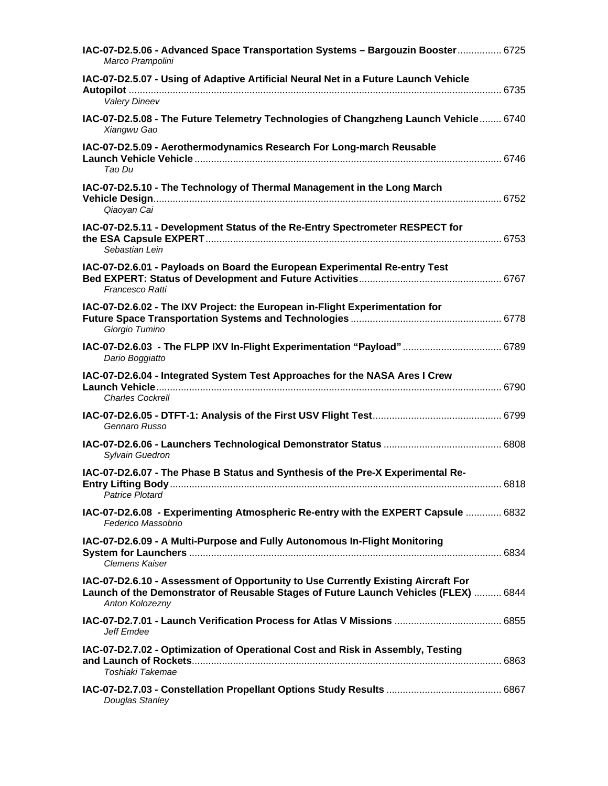| IAC-07-D2.5.06 - Advanced Space Transportation Systems - Bargouzin Booster 6725<br>Marco Prampolini                                                                                          |  |
|----------------------------------------------------------------------------------------------------------------------------------------------------------------------------------------------|--|
| IAC-07-D2.5.07 - Using of Adaptive Artificial Neural Net in a Future Launch Vehicle<br><b>Valery Dineev</b>                                                                                  |  |
| IAC-07-D2.5.08 - The Future Telemetry Technologies of Changzheng Launch Vehicle 6740<br>Xiangwu Gao                                                                                          |  |
| IAC-07-D2.5.09 - Aerothermodynamics Research For Long-march Reusable<br>Tao Du                                                                                                               |  |
| IAC-07-D2.5.10 - The Technology of Thermal Management in the Long March<br>Qiaoyan Cai                                                                                                       |  |
| IAC-07-D2.5.11 - Development Status of the Re-Entry Spectrometer RESPECT for<br>Sebastian Lein                                                                                               |  |
| IAC-07-D2.6.01 - Payloads on Board the European Experimental Re-entry Test<br>Francesco Ratti                                                                                                |  |
| IAC-07-D2.6.02 - The IXV Project: the European in-Flight Experimentation for<br>Giorgio Tumino                                                                                               |  |
| IAC-07-D2.6.03 - The FLPP IXV In-Flight Experimentation "Payload" 6789<br>Dario Boggiatto                                                                                                    |  |
| IAC-07-D2.6.04 - Integrated System Test Approaches for the NASA Ares I Crew<br><b>Charles Cockrell</b>                                                                                       |  |
| Gennaro Russo                                                                                                                                                                                |  |
| Sylvain Guedron                                                                                                                                                                              |  |
| IAC-07-D2.6.07 - The Phase B Status and Synthesis of the Pre-X Experimental Re-<br><b>Patrice Plotard</b>                                                                                    |  |
| IAC-07-D2.6.08 - Experimenting Atmospheric Re-entry with the EXPERT Capsule  6832<br>Federico Massobrio                                                                                      |  |
| IAC-07-D2.6.09 - A Multi-Purpose and Fully Autonomous In-Flight Monitoring<br>Clemens Kaiser                                                                                                 |  |
| IAC-07-D2.6.10 - Assessment of Opportunity to Use Currently Existing Aircraft For<br>Launch of the Demonstrator of Reusable Stages of Future Launch Vehicles (FLEX)  6844<br>Anton Kolozezny |  |
| Jeff Emdee                                                                                                                                                                                   |  |
| IAC-07-D2.7.02 - Optimization of Operational Cost and Risk in Assembly, Testing<br>Toshiaki Takemae                                                                                          |  |
| Douglas Stanley                                                                                                                                                                              |  |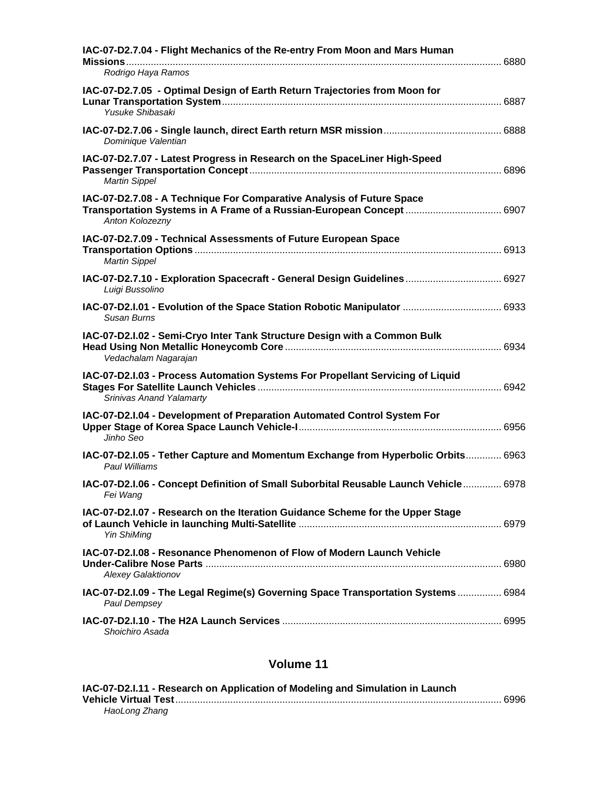| IAC-07-D2.7.04 - Flight Mechanics of the Re-entry From Moon and Mars Human<br>Rodrigo Haya Ramos                                                                  |  |
|-------------------------------------------------------------------------------------------------------------------------------------------------------------------|--|
| IAC-07-D2.7.05 - Optimal Design of Earth Return Trajectories from Moon for<br>Yusuke Shibasaki                                                                    |  |
| Dominique Valentian                                                                                                                                               |  |
| IAC-07-D2.7.07 - Latest Progress in Research on the SpaceLiner High-Speed<br><b>Martin Sippel</b>                                                                 |  |
| IAC-07-D2.7.08 - A Technique For Comparative Analysis of Future Space<br>Transportation Systems in A Frame of a Russian-European Concept  6907<br>Anton Kolozezny |  |
| IAC-07-D2.7.09 - Technical Assessments of Future European Space<br><b>Martin Sippel</b>                                                                           |  |
| IAC-07-D2.7.10 - Exploration Spacecraft - General Design Guidelines 6927<br>Luigi Bussolino                                                                       |  |
| Susan Burns                                                                                                                                                       |  |
| IAC-07-D2.I.02 - Semi-Cryo Inter Tank Structure Design with a Common Bulk<br>Vedachalam Nagarajan                                                                 |  |
| IAC-07-D2.I.03 - Process Automation Systems For Propellant Servicing of Liquid<br>Srinivas Anand Yalamarty                                                        |  |
| IAC-07-D2.I.04 - Development of Preparation Automated Control System For<br>Jinho Seo                                                                             |  |
| IAC-07-D2.I.05 - Tether Capture and Momentum Exchange from Hyperbolic Orbits 6963<br>Paul Williams                                                                |  |
| IAC-07-D2.I.06 - Concept Definition of Small Suborbital Reusable Launch Vehicle 6978<br>Fei Wang                                                                  |  |
| IAC-07-D2.I.07 - Research on the Iteration Guidance Scheme for the Upper Stage<br><b>Yin ShiMing</b>                                                              |  |
| IAC-07-D2.I.08 - Resonance Phenomenon of Flow of Modern Launch Vehicle<br><b>Alexey Galaktionov</b>                                                               |  |
| IAC-07-D2.I.09 - The Legal Regime(s) Governing Space Transportation Systems 6984<br>Paul Dempsey                                                                  |  |
| Shoichiro Asada                                                                                                                                                   |  |

| IAC-07-D2.I.11 - Research on Application of Modeling and Simulation in Launch |  |
|-------------------------------------------------------------------------------|--|
|                                                                               |  |
| HaoLong Zhang                                                                 |  |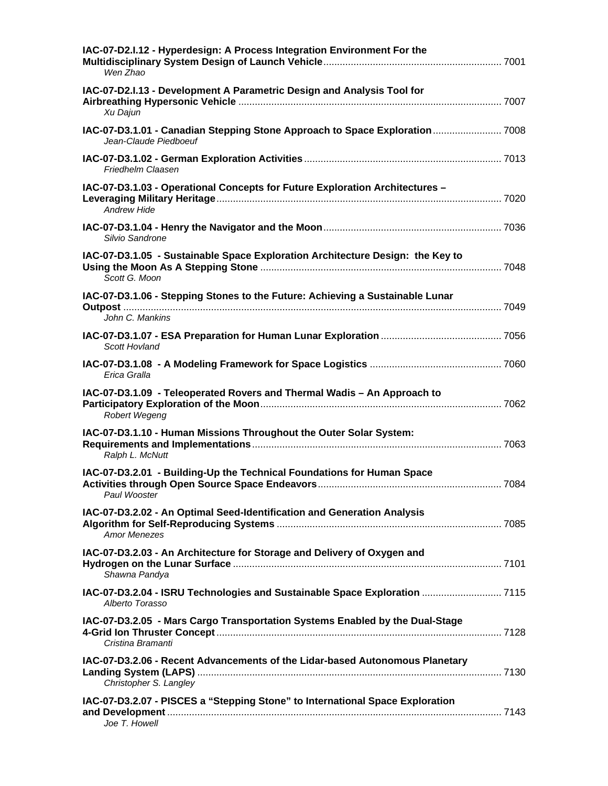| IAC-07-D2.I.12 - Hyperdesign: A Process Integration Environment For the<br>Wen Zhao                    |  |
|--------------------------------------------------------------------------------------------------------|--|
| IAC-07-D2.I.13 - Development A Parametric Design and Analysis Tool for<br>Xu Dajun                     |  |
| IAC-07-D3.1.01 - Canadian Stepping Stone Approach to Space Exploration 7008<br>Jean-Claude Piedboeuf   |  |
| Friedhelm Claasen                                                                                      |  |
| IAC-07-D3.1.03 - Operational Concepts for Future Exploration Architectures -<br><b>Andrew Hide</b>     |  |
| Silvio Sandrone                                                                                        |  |
| IAC-07-D3.1.05 - Sustainable Space Exploration Architecture Design: the Key to<br>Scott G. Moon        |  |
| IAC-07-D3.1.06 - Stepping Stones to the Future: Achieving a Sustainable Lunar<br>John C. Mankins       |  |
| Scott Hovland                                                                                          |  |
| Erica Gralla                                                                                           |  |
| IAC-07-D3.1.09 - Teleoperated Rovers and Thermal Wadis - An Approach to<br>Robert Wegeng               |  |
| IAC-07-D3.1.10 - Human Missions Throughout the Outer Solar System:<br>Ralph L. McNutt                  |  |
| IAC-07-D3.2.01 - Building-Up the Technical Foundations for Human Space<br>Paul Wooster                 |  |
| IAC-07-D3.2.02 - An Optimal Seed-Identification and Generation Analysis<br><b>Amor Menezes</b>         |  |
| IAC-07-D3.2.03 - An Architecture for Storage and Delivery of Oxygen and<br>Shawna Pandya               |  |
| IAC-07-D3.2.04 - ISRU Technologies and Sustainable Space Exploration  7115<br>Alberto Torasso          |  |
| IAC-07-D3.2.05 - Mars Cargo Transportation Systems Enabled by the Dual-Stage<br>Cristina Bramanti      |  |
| IAC-07-D3.2.06 - Recent Advancements of the Lidar-based Autonomous Planetary<br>Christopher S. Langley |  |
| IAC-07-D3.2.07 - PISCES a "Stepping Stone" to International Space Exploration<br>Joe T. Howell         |  |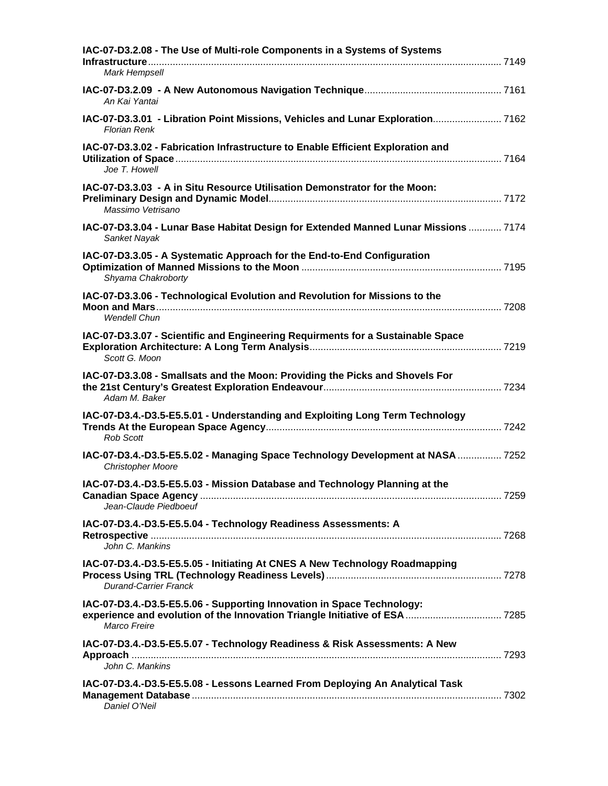| IAC-07-D3.2.08 - The Use of Multi-role Components in a Systems of Systems<br>Mark Hempsell                  |  |
|-------------------------------------------------------------------------------------------------------------|--|
| An Kai Yantai                                                                                               |  |
| IAC-07-D3.3.01 - Libration Point Missions, Vehicles and Lunar Exploration 7162<br><b>Florian Renk</b>       |  |
| IAC-07-D3.3.02 - Fabrication Infrastructure to Enable Efficient Exploration and<br>Joe T. Howell            |  |
| IAC-07-D3.3.03 - A in Situ Resource Utilisation Demonstrator for the Moon:<br>Massimo Vetrisano             |  |
| IAC-07-D3.3.04 - Lunar Base Habitat Design for Extended Manned Lunar Missions  7174<br>Sanket Nayak         |  |
| IAC-07-D3.3.05 - A Systematic Approach for the End-to-End Configuration<br>Shyama Chakroborty               |  |
| IAC-07-D3.3.06 - Technological Evolution and Revolution for Missions to the<br><b>Wendell Chun</b>          |  |
| IAC-07-D3.3.07 - Scientific and Engineering Requirments for a Sustainable Space<br>Scott G. Moon            |  |
| IAC-07-D3.3.08 - Smallsats and the Moon: Providing the Picks and Shovels For<br>Adam M. Baker               |  |
| IAC-07-D3.4.-D3.5-E5.5.01 - Understanding and Exploiting Long Term Technology<br><b>Rob Scott</b>           |  |
| IAC-07-D3.4.-D3.5-E5.5.02 - Managing Space Technology Development at NASA  7252<br><b>Christopher Moore</b> |  |
| IAC-07-D3.4.-D3.5-E5.5.03 - Mission Database and Technology Planning at the<br>Jean-Claude Piedboeuf        |  |
| IAC-07-D3.4.-D3.5-E5.5.04 - Technology Readiness Assessments: A<br>John C. Mankins                          |  |
| IAC-07-D3.4.-D3.5-E5.5.05 - Initiating At CNES A New Technology Roadmapping<br><b>Durand-Carrier Franck</b> |  |
| IAC-07-D3.4.-D3.5-E5.5.06 - Supporting Innovation in Space Technology:<br>Marco Freire                      |  |
| IAC-07-D3.4.-D3.5-E5.5.07 - Technology Readiness & Risk Assessments: A New<br>John C. Mankins               |  |
| IAC-07-D3.4.-D3.5-E5.5.08 - Lessons Learned From Deploying An Analytical Task<br>Daniel O'Neil              |  |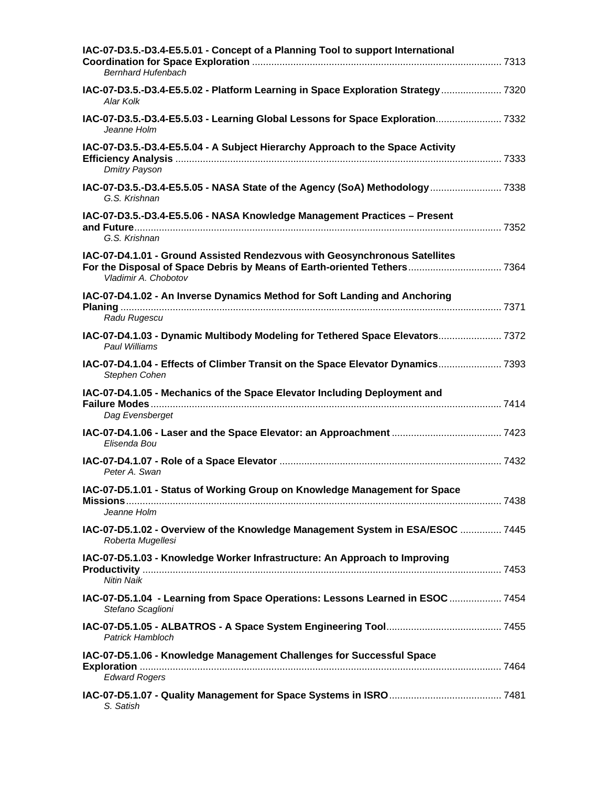| IAC-07-D3.5.-D3.4-E5.5.01 - Concept of a Planning Tool to support International<br><b>Bernhard Hufenbach</b>                                                                   |  |
|--------------------------------------------------------------------------------------------------------------------------------------------------------------------------------|--|
| IAC-07-D3.5.-D3.4-E5.5.02 - Platform Learning in Space Exploration Strategy 7320<br>Alar Kolk                                                                                  |  |
| IAC-07-D3.5.-D3.4-E5.5.03 - Learning Global Lessons for Space Exploration 7332<br>Jeanne Holm                                                                                  |  |
| IAC-07-D3.5.-D3.4-E5.5.04 - A Subject Hierarchy Approach to the Space Activity<br><b>Dmitry Payson</b>                                                                         |  |
| IAC-07-D3.5.-D3.4-E5.5.05 - NASA State of the Agency (SoA) Methodology  7338<br>G.S. Krishnan                                                                                  |  |
| IAC-07-D3.5.-D3.4-E5.5.06 - NASA Knowledge Management Practices - Present<br>G.S. Krishnan                                                                                     |  |
| IAC-07-D4.1.01 - Ground Assisted Rendezvous with Geosynchronous Satellites<br>For the Disposal of Space Debris by Means of Earth-oriented Tethers 7364<br>Vladimir A. Chobotov |  |
| IAC-07-D4.1.02 - An Inverse Dynamics Method for Soft Landing and Anchoring<br>Radu Rugescu                                                                                     |  |
| IAC-07-D4.1.03 - Dynamic Multibody Modeling for Tethered Space Elevators 7372<br>Paul Williams                                                                                 |  |
| IAC-07-D4.1.04 - Effects of Climber Transit on the Space Elevator Dynamics 7393<br>Stephen Cohen                                                                               |  |
| IAC-07-D4.1.05 - Mechanics of the Space Elevator Including Deployment and                                                                                                      |  |
| Dag Evensberget<br>Elisenda Bou                                                                                                                                                |  |
| Peter A. Swan                                                                                                                                                                  |  |
| IAC-07-D5.1.01 - Status of Working Group on Knowledge Management for Space<br>Jeanne Holm                                                                                      |  |
| IAC-07-D5.1.02 - Overview of the Knowledge Management System in ESA/ESOC  7445<br>Roberta Mugellesi                                                                            |  |
| IAC-07-D5.1.03 - Knowledge Worker Infrastructure: An Approach to Improving<br><b>Nitin Naik</b>                                                                                |  |
| IAC-07-D5.1.04 - Learning from Space Operations: Lessons Learned in ESOC  7454<br>Stefano Scaglioni                                                                            |  |
| Patrick Hambloch                                                                                                                                                               |  |
| IAC-07-D5.1.06 - Knowledge Management Challenges for Successful Space<br><b>Edward Rogers</b>                                                                                  |  |
|                                                                                                                                                                                |  |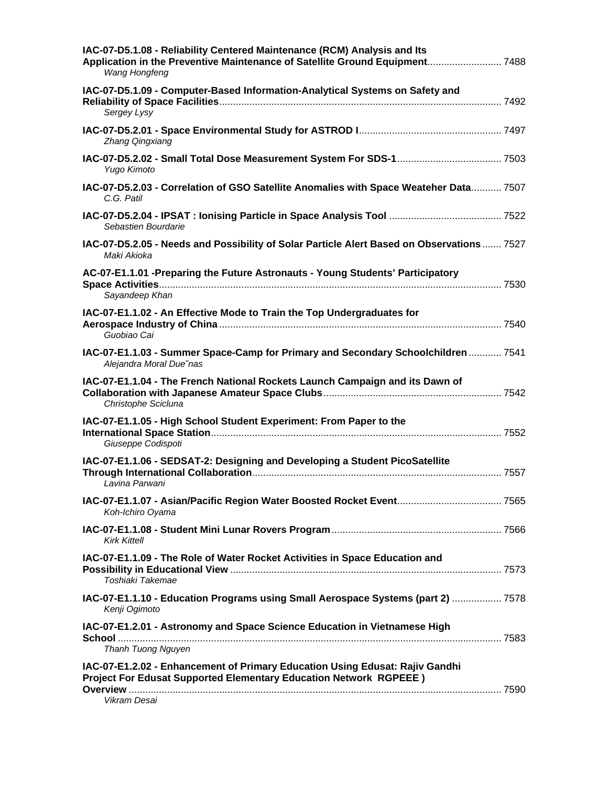| IAC-07-D5.1.08 - Reliability Centered Maintenance (RCM) Analysis and Its<br>Application in the Preventive Maintenance of Satellite Ground Equipment 7488<br>Wang Hongfeng                      |  |
|------------------------------------------------------------------------------------------------------------------------------------------------------------------------------------------------|--|
| IAC-07-D5.1.09 - Computer-Based Information-Analytical Systems on Safety and<br>Sergey Lysy                                                                                                    |  |
| Zhang Qingxiang                                                                                                                                                                                |  |
| Yugo Kimoto                                                                                                                                                                                    |  |
| IAC-07-D5.2.03 - Correlation of GSO Satellite Anomalies with Space Weateher Data 7507<br>C.G. Patil                                                                                            |  |
| Sebastien Bourdarie                                                                                                                                                                            |  |
| IAC-07-D5.2.05 - Needs and Possibility of Solar Particle Alert Based on Observations  7527<br>Maki Akioka                                                                                      |  |
| AC-07-E1.1.01 -Preparing the Future Astronauts - Young Students' Participatory<br>Sayandeep Khan                                                                                               |  |
| IAC-07-E1.1.02 - An Effective Mode to Train the Top Undergraduates for<br>Guobiao Cai                                                                                                          |  |
| IAC-07-E1.1.03 - Summer Space-Camp for Primary and Secondary Schoolchildren  7541<br>Alejandra Moral Due nas                                                                                   |  |
| IAC-07-E1.1.04 - The French National Rockets Launch Campaign and its Dawn of<br>Christophe Scicluna                                                                                            |  |
| IAC-07-E1.1.05 - High School Student Experiment: From Paper to the<br>Giuseppe Codispoti                                                                                                       |  |
| IAC-07-E1.1.06 - SEDSAT-2: Designing and Developing a Student PicoSatellite<br>Lavina Parwani                                                                                                  |  |
| Koh-Ichiro Oyama                                                                                                                                                                               |  |
| <b>Kirk Kittell</b>                                                                                                                                                                            |  |
| IAC-07-E1.1.09 - The Role of Water Rocket Activities in Space Education and<br>Toshiaki Takemae                                                                                                |  |
| 1AC-07-E1.1.10 - Education Programs using Small Aerospace Systems (part 2)  7578<br>Kenji Ogimoto                                                                                              |  |
| IAC-07-E1.2.01 - Astronomy and Space Science Education in Vietnamese High                                                                                                                      |  |
| Thanh Tuong Nguyen<br>IAC-07-E1.2.02 - Enhancement of Primary Education Using Edusat: Rajiv Gandhi<br><b>Project For Edusat Supported Elementary Education Network RGPEEE)</b><br>Vikram Desai |  |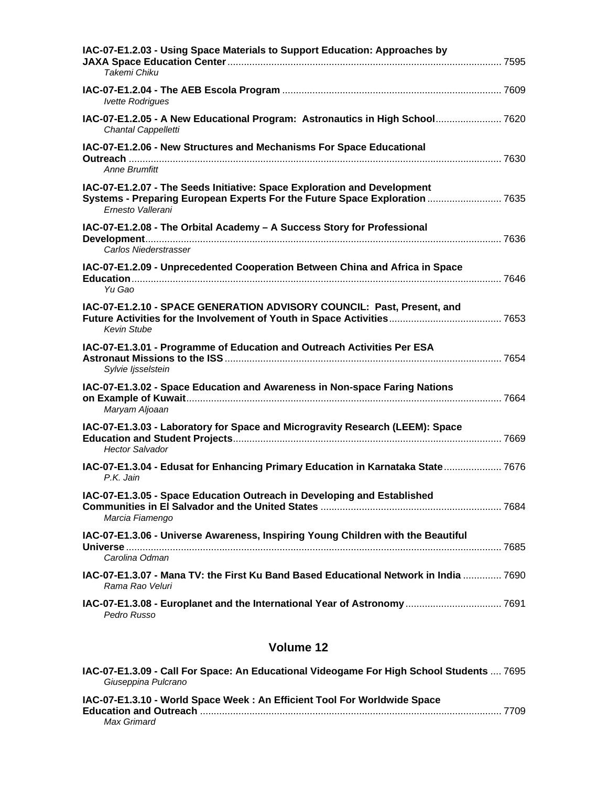| IAC-07-E1.2.03 - Using Space Materials to Support Education: Approaches by<br>Takemi Chiku                                                                                   |  |
|------------------------------------------------------------------------------------------------------------------------------------------------------------------------------|--|
| <b>Ivette Rodrigues</b>                                                                                                                                                      |  |
| IAC-07-E1.2.05 - A New Educational Program: Astronautics in High School 7620<br>Chantal Cappelletti                                                                          |  |
| IAC-07-E1.2.06 - New Structures and Mechanisms For Space Educational<br><b>Anne Brumfitt</b>                                                                                 |  |
| IAC-07-E1.2.07 - The Seeds Initiative: Space Exploration and Development<br>Systems - Preparing European Experts For the Future Space Exploration  7635<br>Ernesto Vallerani |  |
| IAC-07-E1.2.08 - The Orbital Academy - A Success Story for Professional<br>Carlos Niederstrasser                                                                             |  |
| IAC-07-E1.2.09 - Unprecedented Cooperation Between China and Africa in Space<br>Yu Gao                                                                                       |  |
| IAC-07-E1.2.10 - SPACE GENERATION ADVISORY COUNCIL: Past, Present, and<br><b>Kevin Stube</b>                                                                                 |  |
| IAC-07-E1.3.01 - Programme of Education and Outreach Activities Per ESA<br>Sylvie Ijsselstein                                                                                |  |
| IAC-07-E1.3.02 - Space Education and Awareness in Non-space Faring Nations<br>Maryam Aljoaan                                                                                 |  |
| IAC-07-E1.3.03 - Laboratory for Space and Microgravity Research (LEEM): Space<br><b>Hector Salvador</b>                                                                      |  |
| IAC-07-E1.3.04 - Edusat for Enhancing Primary Education in Karnataka State 7676<br>P.K. Jain                                                                                 |  |
| IAC-07-E1.3.05 - Space Education Outreach in Developing and Established<br>Marcia Fiamengo                                                                                   |  |
| IAC-07-E1.3.06 - Universe Awareness, Inspiring Young Children with the Beautiful<br>Carolina Odman                                                                           |  |
| IAC-07-E1.3.07 - Mana TV: the First Ku Band Based Educational Network in India  7690<br>Rama Rao Veluri                                                                      |  |
| IAC-07-E1.3.08 - Europlanet and the International Year of Astronomy  7691<br>Pedro Russo                                                                                     |  |

| IAC-07-E1.3.09 - Call For Space: An Educational Videogame For High School Students  7695<br>Giuseppina Pulcrano |  |
|-----------------------------------------------------------------------------------------------------------------|--|
| IAC-07-E1.3.10 - World Space Week: An Efficient Tool For Worldwide Space                                        |  |
| Max Grimard                                                                                                     |  |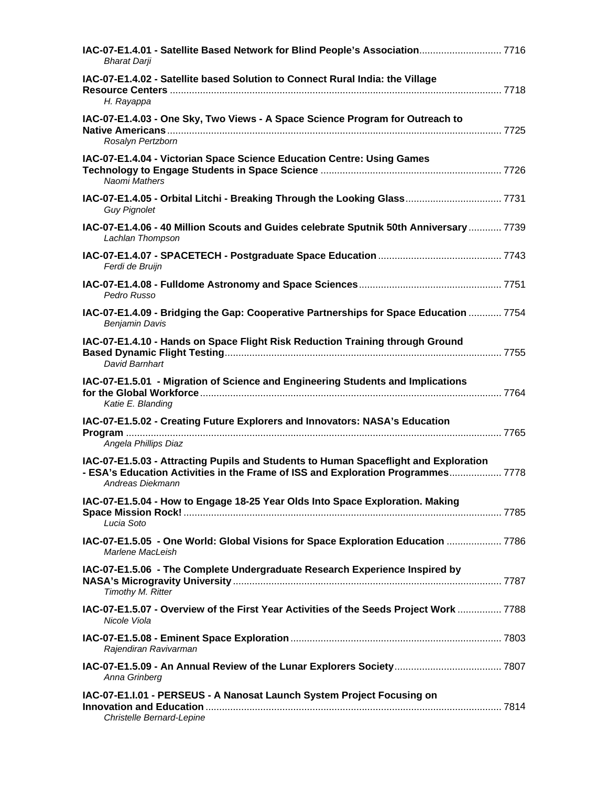| IAC-07-E1.4.01 - Satellite Based Network for Blind People's Association 7716<br><b>Bharat Darji</b>                                                                                          |  |
|----------------------------------------------------------------------------------------------------------------------------------------------------------------------------------------------|--|
| IAC-07-E1.4.02 - Satellite based Solution to Connect Rural India: the Village<br>H. Rayappa                                                                                                  |  |
| IAC-07-E1.4.03 - One Sky, Two Views - A Space Science Program for Outreach to<br>Rosalyn Pertzborn                                                                                           |  |
| IAC-07-E1.4.04 - Victorian Space Science Education Centre: Using Games<br>Naomi Mathers                                                                                                      |  |
| IAC-07-E1.4.05 - Orbital Litchi - Breaking Through the Looking Glass 7731<br><b>Guy Pignolet</b>                                                                                             |  |
| IAC-07-E1.4.06 - 40 Million Scouts and Guides celebrate Sputnik 50th Anniversary  7739<br>Lachlan Thompson                                                                                   |  |
| Ferdi de Bruijn                                                                                                                                                                              |  |
| Pedro Russo                                                                                                                                                                                  |  |
| IAC-07-E1.4.09 - Bridging the Gap: Cooperative Partnerships for Space Education  7754<br><b>Benjamin Davis</b>                                                                               |  |
| IAC-07-E1.4.10 - Hands on Space Flight Risk Reduction Training through Ground<br>David Barnhart                                                                                              |  |
| IAC-07-E1.5.01 - Migration of Science and Engineering Students and Implications<br>Katie E. Blanding                                                                                         |  |
| IAC-07-E1.5.02 - Creating Future Explorers and Innovators: NASA's Education<br>Angela Phillips Diaz                                                                                          |  |
| IAC-07-E1.5.03 - Attracting Pupils and Students to Human Spaceflight and Exploration<br>- ESA's Education Activities in the Frame of ISS and Exploration Programmes 7778<br>Andreas Diekmann |  |
| IAC-07-E1.5.04 - How to Engage 18-25 Year Olds Into Space Exploration. Making<br>Lucia Soto                                                                                                  |  |
| IAC-07-E1.5.05 - One World: Global Visions for Space Exploration Education  7786<br>Marlene MacLeish                                                                                         |  |
| IAC-07-E1.5.06 - The Complete Undergraduate Research Experience Inspired by<br>Timothy M. Ritter                                                                                             |  |
| IAC-07-E1.5.07 - Overview of the First Year Activities of the Seeds Project Work  7788<br>Nicole Viola                                                                                       |  |
| Rajendiran Ravivarman                                                                                                                                                                        |  |
| Anna Grinberg                                                                                                                                                                                |  |
| IAC-07-E1.I.01 - PERSEUS - A Nanosat Launch System Project Focusing on<br>Christelle Bernard-Lepine                                                                                          |  |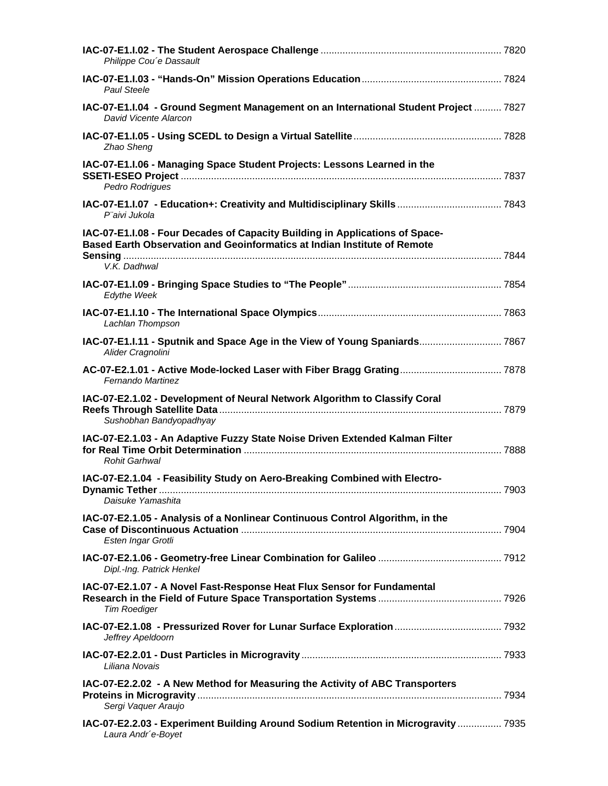| Philippe Cou'e Dassault                                                                                                                                                  |  |
|--------------------------------------------------------------------------------------------------------------------------------------------------------------------------|--|
| <b>Paul Steele</b>                                                                                                                                                       |  |
| IAC-07-E1.I.04 - Ground Segment Management on an International Student Project  7827<br>David Vicente Alarcon                                                            |  |
| Zhao Sheng                                                                                                                                                               |  |
| IAC-07-E1.I.06 - Managing Space Student Projects: Lessons Learned in the<br>Pedro Rodrigues                                                                              |  |
| P"aivi Jukola                                                                                                                                                            |  |
| IAC-07-E1.I.08 - Four Decades of Capacity Building in Applications of Space-<br>Based Earth Observation and Geoinformatics at Indian Institute of Remote<br>V.K. Dadhwal |  |
| <b>Edythe Week</b>                                                                                                                                                       |  |
| Lachlan Thompson                                                                                                                                                         |  |
| IAC-07-E1.I.11 - Sputnik and Space Age in the View of Young Spaniards 7867<br>Alider Cragnolini                                                                          |  |
| Fernando Martinez                                                                                                                                                        |  |
| IAC-07-E2.1.02 - Development of Neural Network Algorithm to Classify Coral<br>Sushobhan Bandyopadhyay                                                                    |  |
| IAC-07-E2.1.03 - An Adaptive Fuzzy State Noise Driven Extended Kalman Filter<br><b>Rohit Garhwal</b>                                                                     |  |
| IAC-07-E2.1.04 - Feasibility Study on Aero-Breaking Combined with Electro-<br>Daisuke Yamashita                                                                          |  |
| IAC-07-E2.1.05 - Analysis of a Nonlinear Continuous Control Algorithm, in the<br>Esten Ingar Grotli                                                                      |  |
| Dipl.-Ing. Patrick Henkel                                                                                                                                                |  |
| IAC-07-E2.1.07 - A Novel Fast-Response Heat Flux Sensor for Fundamental<br><b>Tim Roediger</b>                                                                           |  |
| Jeffrey Apeldoorn                                                                                                                                                        |  |
| Liliana Novais                                                                                                                                                           |  |
| IAC-07-E2.2.02 - A New Method for Measuring the Activity of ABC Transporters<br>Sergi Vaquer Araujo                                                                      |  |
| IAC-07-E2.2.03 - Experiment Building Around Sodium Retention in Microgravity  7935<br>Laura Andr'e-Boyet                                                                 |  |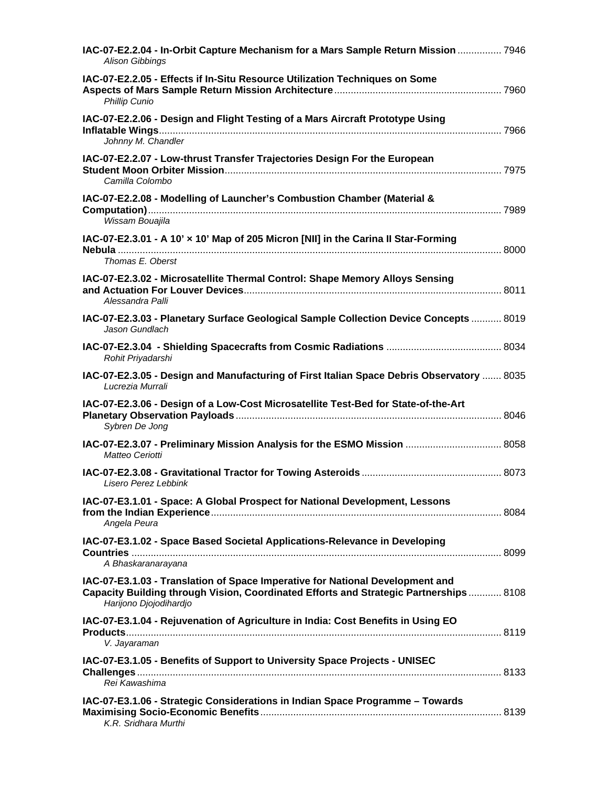| IAC-07-E2.2.04 - In-Orbit Capture Mechanism for a Mars Sample Return Mission  7946<br><b>Alison Gibbings</b>                                                                                     |  |
|--------------------------------------------------------------------------------------------------------------------------------------------------------------------------------------------------|--|
| IAC-07-E2.2.05 - Effects if In-Situ Resource Utilization Techniques on Some<br><b>Phillip Cunio</b>                                                                                              |  |
| IAC-07-E2.2.06 - Design and Flight Testing of a Mars Aircraft Prototype Using<br>Johnny M. Chandler                                                                                              |  |
| IAC-07-E2.2.07 - Low-thrust Transfer Trajectories Design For the European<br>Camilla Colombo                                                                                                     |  |
| IAC-07-E2.2.08 - Modelling of Launcher's Combustion Chamber (Material &<br>Wissam Bouajila                                                                                                       |  |
| IAC-07-E2.3.01 - A 10' x 10' Map of 205 Micron [NII] in the Carina II Star-Forming<br>Thomas E. Oberst                                                                                           |  |
| IAC-07-E2.3.02 - Microsatellite Thermal Control: Shape Memory Alloys Sensing<br>Alessandra Palli                                                                                                 |  |
| IAC-07-E2.3.03 - Planetary Surface Geological Sample Collection Device Concepts  8019<br>Jason Gundlach                                                                                          |  |
| Rohit Priyadarshi                                                                                                                                                                                |  |
| IAC-07-E2.3.05 - Design and Manufacturing of First Italian Space Debris Observatory  8035                                                                                                        |  |
| Lucrezia Murrali                                                                                                                                                                                 |  |
| IAC-07-E2.3.06 - Design of a Low-Cost Microsatellite Test-Bed for State-of-the-Art<br>Sybren De Jong                                                                                             |  |
| IAC-07-E2.3.07 - Preliminary Mission Analysis for the ESMO Mission  8058<br>Matteo Ceriotti                                                                                                      |  |
| Lisero Perez Lebbink                                                                                                                                                                             |  |
| IAC-07-E3.1.01 - Space: A Global Prospect for National Development, Lessons<br>Angela Peura                                                                                                      |  |
| IAC-07-E3.1.02 - Space Based Societal Applications-Relevance in Developing<br>A Bhaskaranarayana                                                                                                 |  |
| IAC-07-E3.1.03 - Translation of Space Imperative for National Development and<br>Capacity Building through Vision, Coordinated Efforts and Strategic Partnerships 8108<br>Harijono Djojodihardjo |  |
| IAC-07-E3.1.04 - Rejuvenation of Agriculture in India: Cost Benefits in Using EO<br>V. Jayaraman                                                                                                 |  |
| IAC-07-E3.1.05 - Benefits of Support to University Space Projects - UNISEC<br>Rei Kawashima                                                                                                      |  |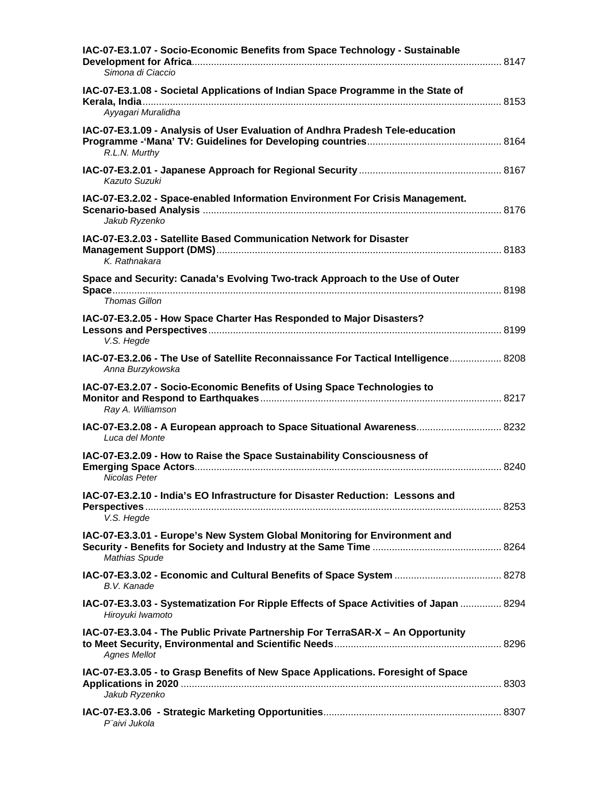| IAC-07-E3.1.07 - Socio-Economic Benefits from Space Technology - Sustainable<br>Simona di Ciaccio          |  |
|------------------------------------------------------------------------------------------------------------|--|
| IAC-07-E3.1.08 - Societal Applications of Indian Space Programme in the State of<br>Ayyagari Muralidha     |  |
| IAC-07-E3.1.09 - Analysis of User Evaluation of Andhra Pradesh Tele-education<br>R.L.N. Murthy             |  |
| Kazuto Suzuki                                                                                              |  |
| IAC-07-E3.2.02 - Space-enabled Information Environment For Crisis Management.<br>Jakub Ryzenko             |  |
| IAC-07-E3.2.03 - Satellite Based Communication Network for Disaster<br>K. Rathnakara                       |  |
| Space and Security: Canada's Evolving Two-track Approach to the Use of Outer<br>Thomas Gillon              |  |
| IAC-07-E3.2.05 - How Space Charter Has Responded to Major Disasters?<br>V.S. Hegde                         |  |
| IAC-07-E3.2.06 - The Use of Satellite Reconnaissance For Tactical Intelligence 8208<br>Anna Burzykowska    |  |
| IAC-07-E3.2.07 - Socio-Economic Benefits of Using Space Technologies to<br>Ray A. Williamson               |  |
| IAC-07-E3.2.08 - A European approach to Space Situational Awareness 8232<br>Luca del Monte                 |  |
| IAC-07-E3.2.09 - How to Raise the Space Sustainability Consciousness of<br>Nicolas Peter                   |  |
| IAC-07-E3.2.10 - India's EO Infrastructure for Disaster Reduction: Lessons and<br>V.S. Hegde               |  |
| IAC-07-E3.3.01 - Europe's New System Global Monitoring for Environment and<br><b>Mathias Spude</b>         |  |
| B.V. Kanade                                                                                                |  |
| IAC-07-E3.3.03 - Systematization For Ripple Effects of Space Activities of Japan  8294<br>Hiroyuki Iwamoto |  |
| IAC-07-E3.3.04 - The Public Private Partnership For TerraSAR-X - An Opportunity<br><b>Agnes Mellot</b>     |  |
| IAC-07-E3.3.05 - to Grasp Benefits of New Space Applications. Foresight of Space<br>Jakub Ryzenko          |  |
| P"aivi Jukola                                                                                              |  |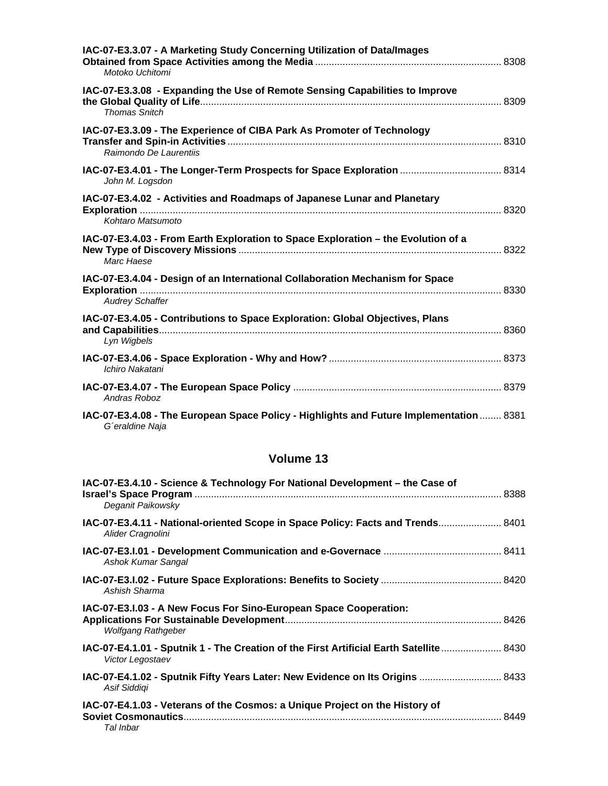| IAC-07-E3.3.07 - A Marketing Study Concerning Utilization of Data/Images<br>Motoko Uchitomi                |  |
|------------------------------------------------------------------------------------------------------------|--|
| IAC-07-E3.3.08 - Expanding the Use of Remote Sensing Capabilities to Improve<br><b>Thomas Snitch</b>       |  |
| IAC-07-E3.3.09 - The Experience of CIBA Park As Promoter of Technology<br>Raimondo De Laurentiis           |  |
| IAC-07-E3.4.01 - The Longer-Term Prospects for Space Exploration  8314<br>John M. Logsdon                  |  |
| IAC-07-E3.4.02 - Activities and Roadmaps of Japanese Lunar and Planetary<br>Kohtaro Matsumoto              |  |
| IAC-07-E3.4.03 - From Earth Exploration to Space Exploration - the Evolution of a<br>Marc Haese            |  |
| IAC-07-E3.4.04 - Design of an International Collaboration Mechanism for Space<br><b>Audrey Schaffer</b>    |  |
| IAC-07-E3.4.05 - Contributions to Space Exploration: Global Objectives, Plans<br>Lyn Wigbels               |  |
| Ichiro Nakatani                                                                                            |  |
| Andras Roboz                                                                                               |  |
| IAC-07-E3.4.08 - The European Space Policy - Highlights and Future Implementation  8381<br>G'eraldine Naja |  |

| IAC-07-E3.4.10 - Science & Technology For National Development - the Case of<br>Deganit Paikowsky          |  |
|------------------------------------------------------------------------------------------------------------|--|
| IAC-07-E3.4.11 - National-oriented Scope in Space Policy: Facts and Trends 8401<br>Alider Cragnolini       |  |
| Ashok Kumar Sangal                                                                                         |  |
| Ashish Sharma                                                                                              |  |
| IAC-07-E3.I.03 - A New Focus For Sino-European Space Cooperation:<br><b>Wolfgang Rathgeber</b>             |  |
| IAC-07-E4.1.01 - Sputnik 1 - The Creation of the First Artificial Earth Satellite 8430<br>Victor Legostaev |  |
| IAC-07-E4.1.02 - Sputnik Fifty Years Later: New Evidence on Its Origins  8433<br>Asif Siddigi              |  |
| IAC-07-E4.1.03 - Veterans of the Cosmos: a Unique Project on the History of<br>Tal Inbar                   |  |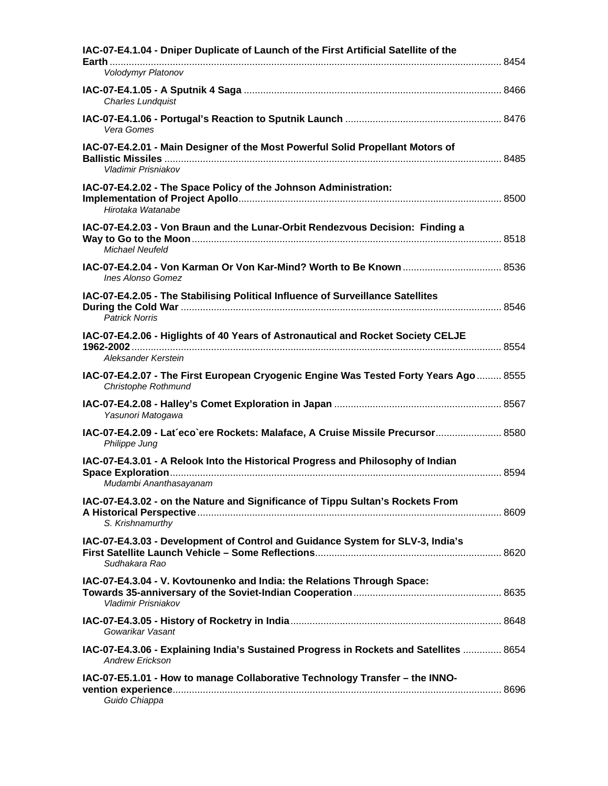| IAC-07-E4.1.04 - Dniper Duplicate of Launch of the First Artificial Satellite of the<br>Volodymyr Platonov       |  |
|------------------------------------------------------------------------------------------------------------------|--|
| <b>Charles Lundquist</b>                                                                                         |  |
| Vera Gomes                                                                                                       |  |
| IAC-07-E4.2.01 - Main Designer of the Most Powerful Solid Propellant Motors of<br>Vladimir Prisniakov            |  |
| IAC-07-E4.2.02 - The Space Policy of the Johnson Administration:<br>Hirotaka Watanabe                            |  |
| IAC-07-E4.2.03 - Von Braun and the Lunar-Orbit Rendezvous Decision: Finding a<br><b>Michael Neufeld</b>          |  |
| <b>Ines Alonso Gomez</b>                                                                                         |  |
| IAC-07-E4.2.05 - The Stabilising Political Influence of Surveillance Satellites<br><b>Patrick Norris</b>         |  |
| IAC-07-E4.2.06 - Higlights of 40 Years of Astronautical and Rocket Society CELJE<br>Aleksander Kerstein          |  |
| IAC-07-E4.2.07 - The First European Cryogenic Engine Was Tested Forty Years Ago  8555<br>Christophe Rothmund     |  |
| Yasunori Matogawa                                                                                                |  |
| IAC-07-E4.2.09 - Lat'eco`ere Rockets: Malaface, A Cruise Missile Precursor 8580<br>Philippe Jung                 |  |
| IAC-07-E4.3.01 - A Relook Into the Historical Progress and Philosophy of Indian<br>Mudambi Ananthasayanam        |  |
| IAC-07-E4.3.02 - on the Nature and Significance of Tippu Sultan's Rockets From<br>S. Krishnamurthy               |  |
| IAC-07-E4.3.03 - Development of Control and Guidance System for SLV-3, India's<br>Sudhakara Rao                  |  |
| IAC-07-E4.3.04 - V. Kovtounenko and India: the Relations Through Space:<br>Vladimir Prisniakov                   |  |
| Gowarikar Vasant                                                                                                 |  |
| IAC-07-E4.3.06 - Explaining India's Sustained Progress in Rockets and Satellites  8654<br><b>Andrew Erickson</b> |  |
| IAC-07-E5.1.01 - How to manage Collaborative Technology Transfer - the INNO-<br>Guido Chiappa                    |  |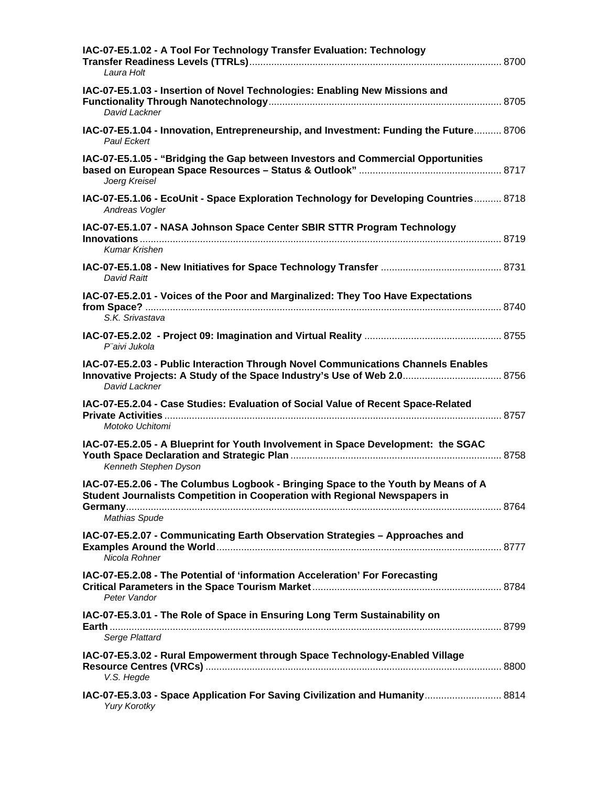| IAC-07-E5.1.02 - A Tool For Technology Transfer Evaluation: Technology<br>Laura Holt                                                                                           |  |
|--------------------------------------------------------------------------------------------------------------------------------------------------------------------------------|--|
| IAC-07-E5.1.03 - Insertion of Novel Technologies: Enabling New Missions and<br>David Lackner                                                                                   |  |
| IAC-07-E5.1.04 - Innovation, Entrepreneurship, and Investment: Funding the Future 8706<br><b>Paul Eckert</b>                                                                   |  |
| IAC-07-E5.1.05 - "Bridging the Gap between Investors and Commercial Opportunities<br>Joerg Kreisel                                                                             |  |
| IAC-07-E5.1.06 - EcoUnit - Space Exploration Technology for Developing Countries 8718<br>Andreas Vogler                                                                        |  |
| IAC-07-E5.1.07 - NASA Johnson Space Center SBIR STTR Program Technology                                                                                                        |  |
| <b>Kumar Krishen</b>                                                                                                                                                           |  |
| <b>David Raitt</b>                                                                                                                                                             |  |
| IAC-07-E5.2.01 - Voices of the Poor and Marginalized: They Too Have Expectations<br>S.K. Srivastava                                                                            |  |
| P"aivi Jukola                                                                                                                                                                  |  |
| IAC-07-E5.2.03 - Public Interaction Through Novel Communications Channels Enables<br>Innovative Projects: A Study of the Space Industry's Use of Web 2.0 8756<br>David Lackner |  |
| IAC-07-E5.2.04 - Case Studies: Evaluation of Social Value of Recent Space-Related<br>Motoko Uchitomi                                                                           |  |
| IAC-07-E5.2.05 - A Blueprint for Youth Involvement in Space Development: the SGAC<br>Kenneth Stephen Dyson                                                                     |  |
| IAC-07-E5.2.06 - The Columbus Logbook - Bringing Space to the Youth by Means of A<br>Student Journalists Competition in Cooperation with Regional Newspapers in                |  |
| <b>Mathias Spude</b>                                                                                                                                                           |  |
| IAC-07-E5.2.07 - Communicating Earth Observation Strategies - Approaches and<br>Nicola Rohner                                                                                  |  |
| IAC-07-E5.2.08 - The Potential of 'information Acceleration' For Forecasting<br>Peter Vandor                                                                                   |  |
| IAC-07-E5.3.01 - The Role of Space in Ensuring Long Term Sustainability on<br>Serge Plattard                                                                                   |  |
| IAC-07-E5.3.02 - Rural Empowerment through Space Technology-Enabled Village<br>V.S. Hegde                                                                                      |  |
| IAC-07-E5.3.03 - Space Application For Saving Civilization and Humanity 8814<br><b>Yury Korotky</b>                                                                            |  |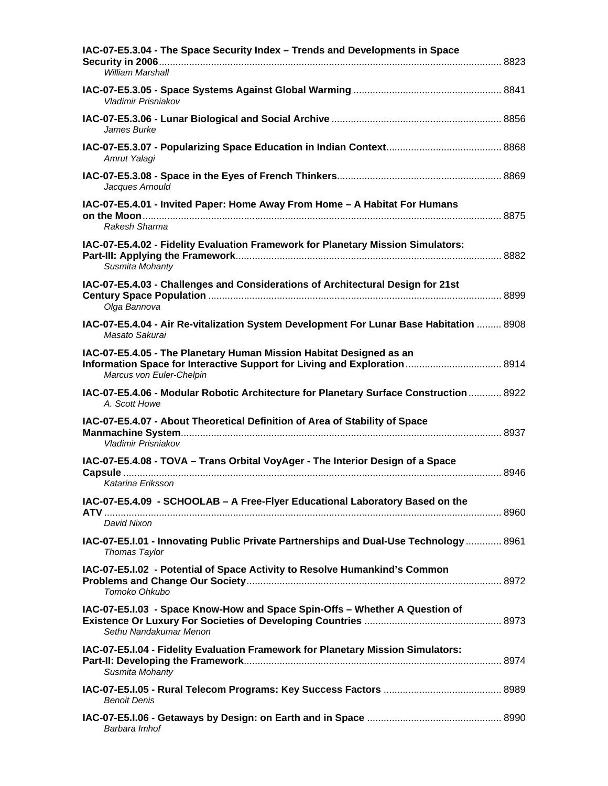| IAC-07-E5.3.04 - The Space Security Index - Trends and Developments in Space<br>William Marshall                          |  |
|---------------------------------------------------------------------------------------------------------------------------|--|
| Vladimir Prisniakov                                                                                                       |  |
| James Burke                                                                                                               |  |
| Amrut Yalagi                                                                                                              |  |
| Jacques Arnould                                                                                                           |  |
| IAC-07-E5.4.01 - Invited Paper: Home Away From Home - A Habitat For Humans                                                |  |
| Rakesh Sharma                                                                                                             |  |
| IAC-07-E5.4.02 - Fidelity Evaluation Framework for Planetary Mission Simulators:<br>Susmita Mohanty                       |  |
| IAC-07-E5.4.03 - Challenges and Considerations of Architectural Design for 21st                                           |  |
| Olga Bannova<br>IAC-07-E5.4.04 - Air Re-vitalization System Development For Lunar Base Habitation  8908<br>Masato Sakurai |  |
| IAC-07-E5.4.05 - The Planetary Human Mission Habitat Designed as an<br>Marcus von Euler-Chelpin                           |  |
| IAC-07-E5.4.06 - Modular Robotic Architecture for Planetary Surface Construction  8922<br>A. Scott Howe                   |  |
| IAC-07-E5.4.07 - About Theoretical Definition of Area of Stability of Space<br>Vladimir Prisniakov                        |  |
| IAC-07-E5.4.08 - TOVA - Trans Orbital VoyAger - The Interior Design of a Space<br>Katarina Eriksson                       |  |
| IAC-07-E5.4.09 - SCHOOLAB - A Free-Flyer Educational Laboratory Based on the<br>David Nixon                               |  |
| IAC-07-E5.I.01 - Innovating Public Private Partnerships and Dual-Use Technology  8961<br>Thomas Taylor                    |  |
| IAC-07-E5.I.02 - Potential of Space Activity to Resolve Humankind's Common<br>Tomoko Ohkubo                               |  |
| IAC-07-E5.I.03 - Space Know-How and Space Spin-Offs - Whether A Question of<br>Sethu Nandakumar Menon                     |  |
| IAC-07-E5.I.04 - Fidelity Evaluation Framework for Planetary Mission Simulators:<br>Susmita Mohanty                       |  |
| <b>Benoit Denis</b>                                                                                                       |  |
| Barbara Imhof                                                                                                             |  |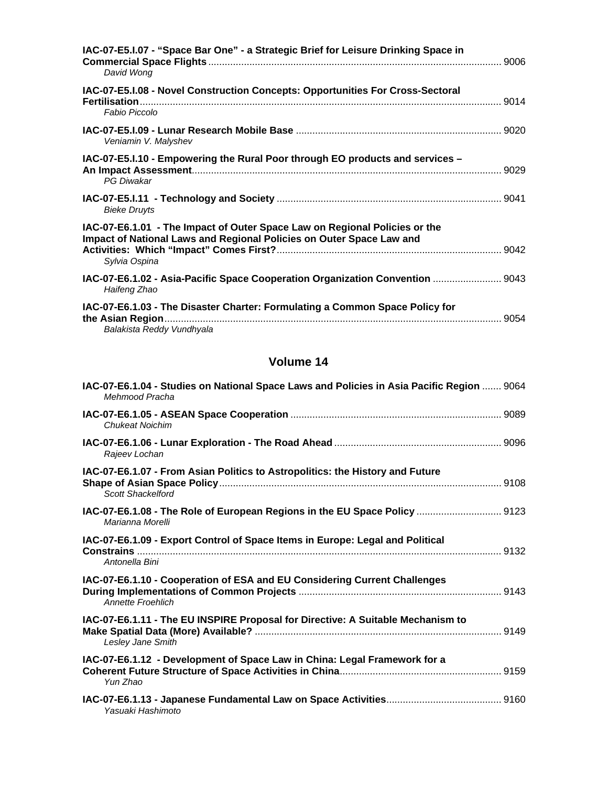| IAC-07-E5.I.07 - "Space Bar One" - a Strategic Brief for Leisure Drinking Space in<br>David Wong                                                                    |  |
|---------------------------------------------------------------------------------------------------------------------------------------------------------------------|--|
| IAC-07-E5.I.08 - Novel Construction Concepts: Opportunities For Cross-Sectoral<br>Fabio Piccolo                                                                     |  |
| Veniamin V. Malyshev                                                                                                                                                |  |
| IAC-07-E5.I.10 - Empowering the Rural Poor through EO products and services -<br><b>PG Diwakar</b>                                                                  |  |
| <b>Bieke Druyts</b>                                                                                                                                                 |  |
| IAC-07-E6.1.01 - The Impact of Outer Space Law on Regional Policies or the<br>Impact of National Laws and Regional Policies on Outer Space Law and<br>Sylvia Ospina |  |
| IAC-07-E6.1.02 - Asia-Pacific Space Cooperation Organization Convention  9043<br>Haifeng Zhao                                                                       |  |
| IAC-07-E6.1.03 - The Disaster Charter: Formulating a Common Space Policy for<br>Balakista Reddy Vundhyala                                                           |  |

| IAC-07-E6.1.04 - Studies on National Space Laws and Policies in Asia Pacific Region  9064<br>Mehmood Pracha |  |
|-------------------------------------------------------------------------------------------------------------|--|
| Chukeat Noichim                                                                                             |  |
| Rajeev Lochan                                                                                               |  |
| IAC-07-E6.1.07 - From Asian Politics to Astropolitics: the History and Future<br><b>Scott Shackelford</b>   |  |
| IAC-07-E6.1.08 - The Role of European Regions in the EU Space Policy  9123<br>Marianna Morelli              |  |
| IAC-07-E6.1.09 - Export Control of Space Items in Europe: Legal and Political<br>Antonella Bini             |  |
| IAC-07-E6.1.10 - Cooperation of ESA and EU Considering Current Challenges<br><b>Annette Froehlich</b>       |  |
| IAC-07-E6.1.11 - The EU INSPIRE Proposal for Directive: A Suitable Mechanism to<br>Lesley Jane Smith        |  |
| IAC-07-E6.1.12 - Development of Space Law in China: Legal Framework for a<br>Yun Zhao                       |  |
| Yasuaki Hashimoto                                                                                           |  |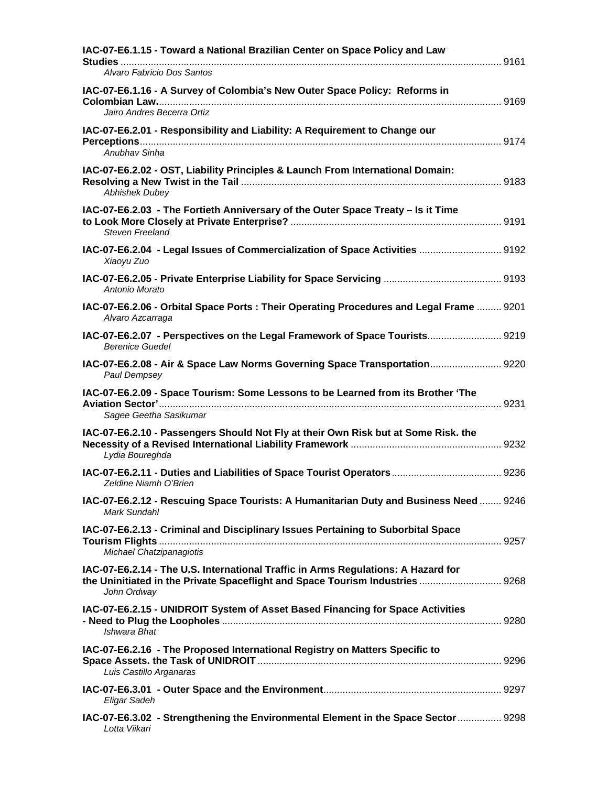| IAC-07-E6.1.15 - Toward a National Brazilian Center on Space Policy and Law                                                                                                       |  |
|-----------------------------------------------------------------------------------------------------------------------------------------------------------------------------------|--|
| Alvaro Fabricio Dos Santos                                                                                                                                                        |  |
| IAC-07-E6.1.16 - A Survey of Colombia's New Outer Space Policy: Reforms in                                                                                                        |  |
| Jairo Andres Becerra Ortiz                                                                                                                                                        |  |
| IAC-07-E6.2.01 - Responsibility and Liability: A Requirement to Change our<br>Anubhav Sinha                                                                                       |  |
| IAC-07-E6.2.02 - OST, Liability Principles & Launch From International Domain:<br><b>Abhishek Dubey</b>                                                                           |  |
| IAC-07-E6.2.03 - The Fortieth Anniversary of the Outer Space Treaty - Is it Time<br><b>Steven Freeland</b>                                                                        |  |
| IAC-07-E6.2.04 - Legal Issues of Commercialization of Space Activities  9192<br>Xiaoyu Zuo                                                                                        |  |
| Antonio Morato                                                                                                                                                                    |  |
| IAC-07-E6.2.06 - Orbital Space Ports: Their Operating Procedures and Legal Frame  9201<br>Alvaro Azcarraga                                                                        |  |
| IAC-07-E6.2.07 - Perspectives on the Legal Framework of Space Tourists 9219<br><b>Berenice Guedel</b>                                                                             |  |
| IAC-07-E6.2.08 - Air & Space Law Norms Governing Space Transportation 9220<br>Paul Dempsey                                                                                        |  |
| IAC-07-E6.2.09 - Space Tourism: Some Lessons to be Learned from its Brother 'The<br>Sagee Geetha Sasikumar                                                                        |  |
| IAC-07-E6.2.10 - Passengers Should Not Fly at their Own Risk but at Some Risk. the<br>Lydia Boureghda                                                                             |  |
| Zeldine Niamh O'Brien                                                                                                                                                             |  |
| IAC-07-E6.2.12 - Rescuing Space Tourists: A Humanitarian Duty and Business Need  9246<br>Mark Sundahl                                                                             |  |
| IAC-07-E6.2.13 - Criminal and Disciplinary Issues Pertaining to Suborbital Space<br>Michael Chatzipanagiotis                                                                      |  |
| IAC-07-E6.2.14 - The U.S. International Traffic in Arms Regulations: A Hazard for<br>the Uninitiated in the Private Spaceflight and Space Tourism Industries  9268<br>John Ordway |  |
| IAC-07-E6.2.15 - UNIDROIT System of Asset Based Financing for Space Activities<br>Ishwara Bhat                                                                                    |  |
| IAC-07-E6.2.16 - The Proposed International Registry on Matters Specific to<br>Luis Castillo Arganaras                                                                            |  |
| Eligar Sadeh                                                                                                                                                                      |  |
| IAC-07-E6.3.02 - Strengthening the Environmental Element in the Space Sector  9298<br>Lotta Viikari                                                                               |  |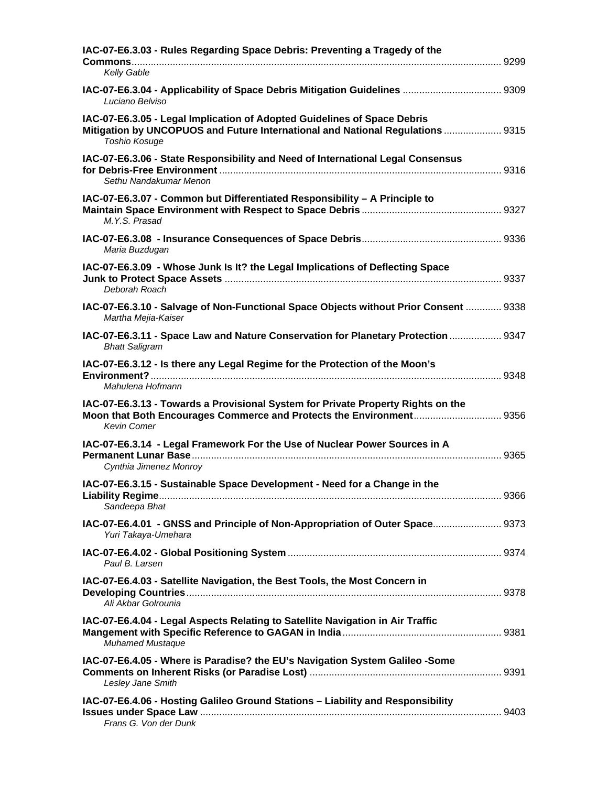| IAC-07-E6.3.03 - Rules Regarding Space Debris: Preventing a Tragedy of the                                                                                                     |  |
|--------------------------------------------------------------------------------------------------------------------------------------------------------------------------------|--|
| Kelly Gable                                                                                                                                                                    |  |
| IAC-07-E6.3.04 - Applicability of Space Debris Mitigation Guidelines  9309<br>Luciano Belviso                                                                                  |  |
| IAC-07-E6.3.05 - Legal Implication of Adopted Guidelines of Space Debris<br>Mitigation by UNCOPUOS and Future International and National Regulations  9315<br>Toshio Kosuge    |  |
| IAC-07-E6.3.06 - State Responsibility and Need of International Legal Consensus<br>Sethu Nandakumar Menon                                                                      |  |
| IAC-07-E6.3.07 - Common but Differentiated Responsibility - A Principle to<br>M.Y.S. Prasad                                                                                    |  |
| Maria Buzdugan                                                                                                                                                                 |  |
| IAC-07-E6.3.09 - Whose Junk Is It? the Legal Implications of Deflecting Space<br>Deborah Roach                                                                                 |  |
| IAC-07-E6.3.10 - Salvage of Non-Functional Space Objects without Prior Consent  9338<br>Martha Mejia-Kaiser                                                                    |  |
| IAC-07-E6.3.11 - Space Law and Nature Conservation for Planetary Protection  9347<br><b>Bhatt Saligram</b>                                                                     |  |
| IAC-07-E6.3.12 - Is there any Legal Regime for the Protection of the Moon's<br>Mahulena Hofmann                                                                                |  |
| IAC-07-E6.3.13 - Towards a Provisional System for Private Property Rights on the<br>Moon that Both Encourages Commerce and Protects the Environment 9356<br><b>Kevin Comer</b> |  |
| IAC-07-E6.3.14 - Legal Framework For the Use of Nuclear Power Sources in A<br>Cynthia Jimenez Monroy                                                                           |  |
| IAC-07-E6.3.15 - Sustainable Space Development - Need for a Change in the<br>Sandeepa Bhat                                                                                     |  |
| IAC-07-E6.4.01 - GNSS and Principle of Non-Appropriation of Outer Space 9373<br>Yuri Takaya-Umehara                                                                            |  |
| Paul B. Larsen                                                                                                                                                                 |  |
| IAC-07-E6.4.03 - Satellite Navigation, the Best Tools, the Most Concern in<br>Ali Akbar Golrounia                                                                              |  |
| IAC-07-E6.4.04 - Legal Aspects Relating to Satellite Navigation in Air Traffic<br><b>Muhamed Mustaque</b>                                                                      |  |
| IAC-07-E6.4.05 - Where is Paradise? the EU's Navigation System Galileo -Some<br>Lesley Jane Smith                                                                              |  |
| IAC-07-E6.4.06 - Hosting Galileo Ground Stations - Liability and Responsibility<br>Frans G. Von der Dunk                                                                       |  |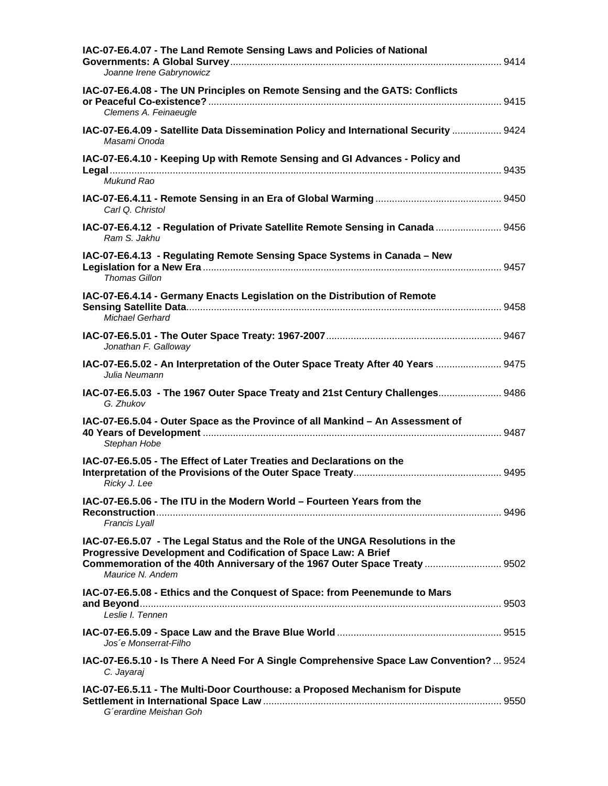| IAC-07-E6.4.07 - The Land Remote Sensing Laws and Policies of National<br>Joanne Irene Gabrynowicz                                                                                                                                                |  |
|---------------------------------------------------------------------------------------------------------------------------------------------------------------------------------------------------------------------------------------------------|--|
| IAC-07-E6.4.08 - The UN Principles on Remote Sensing and the GATS: Conflicts<br>Clemens A. Feinaeugle                                                                                                                                             |  |
| IAC-07-E6.4.09 - Satellite Data Dissemination Policy and International Security  9424<br>Masami Onoda                                                                                                                                             |  |
| IAC-07-E6.4.10 - Keeping Up with Remote Sensing and GI Advances - Policy and                                                                                                                                                                      |  |
| Mukund Rao<br>Carl Q. Christol                                                                                                                                                                                                                    |  |
| IAC-07-E6.4.12 - Regulation of Private Satellite Remote Sensing in Canada  9456<br>Ram S. Jakhu                                                                                                                                                   |  |
| IAC-07-E6.4.13 - Regulating Remote Sensing Space Systems in Canada - New<br>Thomas Gillon                                                                                                                                                         |  |
| IAC-07-E6.4.14 - Germany Enacts Legislation on the Distribution of Remote<br>Michael Gerhard                                                                                                                                                      |  |
| Jonathan F. Galloway                                                                                                                                                                                                                              |  |
| IAC-07-E6.5.02 - An Interpretation of the Outer Space Treaty After 40 Years  9475<br>Julia Neumann                                                                                                                                                |  |
| IAC-07-E6.5.03 - The 1967 Outer Space Treaty and 21st Century Challenges 9486<br>G. Zhukov                                                                                                                                                        |  |
| IAC-07-E6.5.04 - Outer Space as the Province of all Mankind - An Assessment of<br>Stephan Hobe                                                                                                                                                    |  |
| IAC-07-E6.5.05 - The Effect of Later Treaties and Declarations on the<br>Ricky J. Lee                                                                                                                                                             |  |
| IAC-07-E6.5.06 - The ITU in the Modern World – Fourteen Years from the<br>Francis Lyall                                                                                                                                                           |  |
| IAC-07-E6.5.07 - The Legal Status and the Role of the UNGA Resolutions in the<br>Progressive Development and Codification of Space Law: A Brief<br>Commemoration of the 40th Anniversary of the 1967 Outer Space Treaty  9502<br>Maurice N. Andem |  |
| IAC-07-E6.5.08 - Ethics and the Conquest of Space: from Peenemunde to Mars<br>Leslie I. Tennen                                                                                                                                                    |  |
| Jos e Monserrat-Filho                                                                                                                                                                                                                             |  |
| IAC-07-E6.5.10 - Is There A Need For A Single Comprehensive Space Law Convention?  9524<br>C. Jayaraj                                                                                                                                             |  |
| IAC-07-E6.5.11 - The Multi-Door Courthouse: a Proposed Mechanism for Dispute<br>G'erardine Meishan Goh                                                                                                                                            |  |